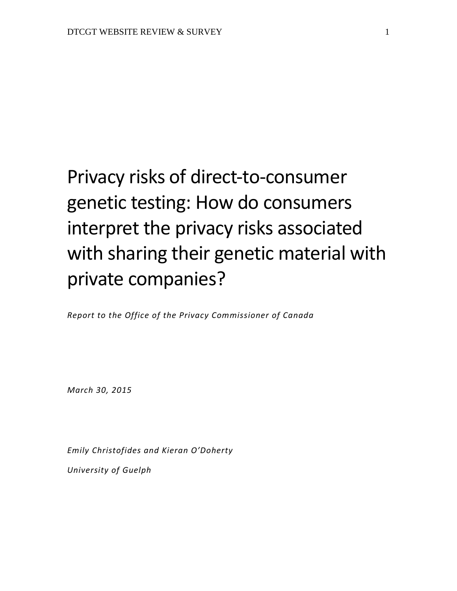# Privacy risks of direct-to-consumer genetic testing: How do consumers interpret the privacy risks associated with sharing their genetic material with private companies?

*Report to the Office of the Privacy Commissioner of Canada*

*March 30, 2015*

*Emily Christofides and Kieran O'Doherty University of Guelph*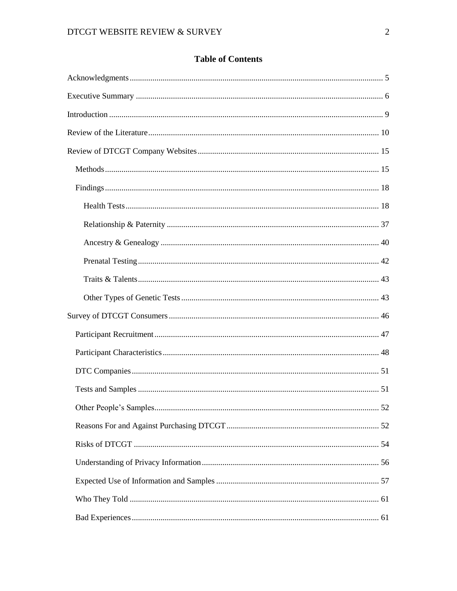# **Table of Contents**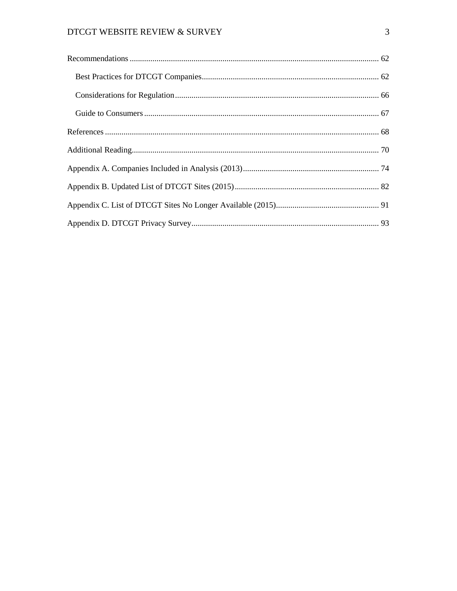# DTCGT WEBSITE REVIEW & SURVEY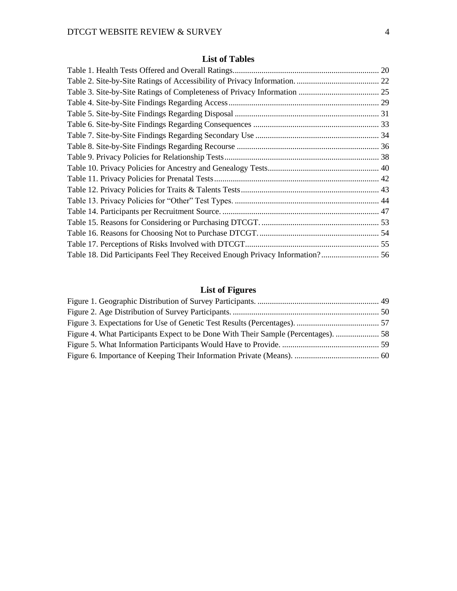# **List of Tables**

| Table 18. Did Participants Feel They Received Enough Privacy Information? 56 |  |
|------------------------------------------------------------------------------|--|

# **List of Figures**

| Figure 4. What Participants Expect to be Done With Their Sample (Percentages).  58 |  |
|------------------------------------------------------------------------------------|--|
|                                                                                    |  |
|                                                                                    |  |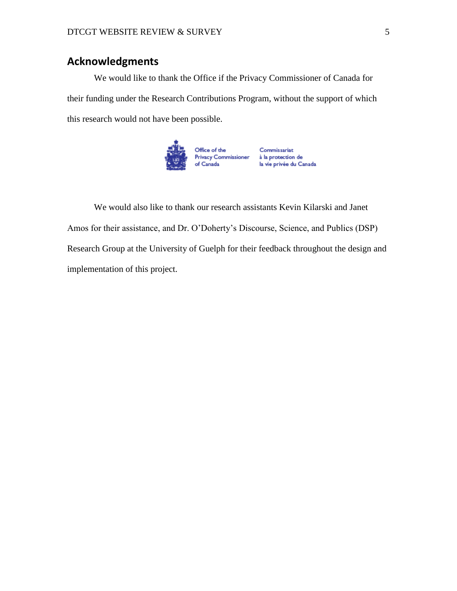# **Acknowledgments**

We would like to thank the Office if the Privacy Commissioner of Canada for their funding under the Research Contributions Program, without the support of which this research would not have been possible.



We would also like to thank our research assistants Kevin Kilarski and Janet Amos for their assistance, and Dr. O'Doherty's Discourse, Science, and Publics (DSP) Research Group at the University of Guelph for their feedback throughout the design and implementation of this project.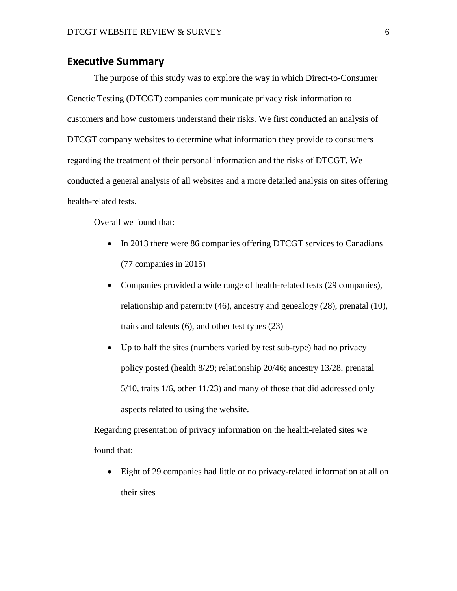## **Executive Summary**

The purpose of this study was to explore the way in which Direct-to-Consumer Genetic Testing (DTCGT) companies communicate privacy risk information to customers and how customers understand their risks. We first conducted an analysis of DTCGT company websites to determine what information they provide to consumers regarding the treatment of their personal information and the risks of DTCGT. We conducted a general analysis of all websites and a more detailed analysis on sites offering health-related tests.

Overall we found that:

- In 2013 there were 86 companies offering DTCGT services to Canadians (77 companies in 2015)
- Companies provided a wide range of health-related tests (29 companies), relationship and paternity (46), ancestry and genealogy (28), prenatal (10), traits and talents (6), and other test types (23)
- Up to half the sites (numbers varied by test sub-type) had no privacy policy posted (health 8/29; relationship 20/46; ancestry 13/28, prenatal 5/10, traits 1/6, other 11/23) and many of those that did addressed only aspects related to using the website.

Regarding presentation of privacy information on the health-related sites we found that:

 Eight of 29 companies had little or no privacy-related information at all on their sites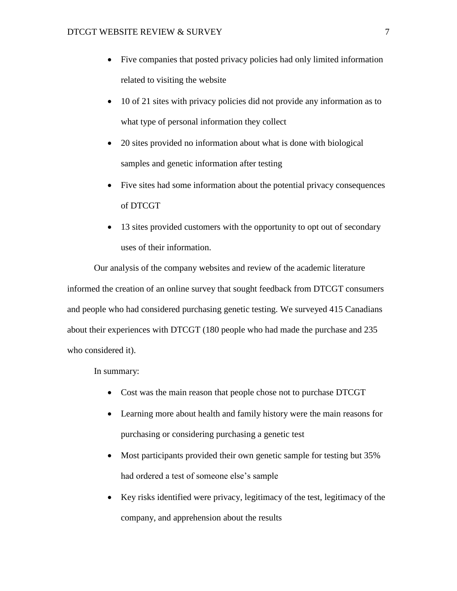- Five companies that posted privacy policies had only limited information related to visiting the website
- 10 of 21 sites with privacy policies did not provide any information as to what type of personal information they collect
- 20 sites provided no information about what is done with biological samples and genetic information after testing
- Five sites had some information about the potential privacy consequences of DTCGT
- 13 sites provided customers with the opportunity to opt out of secondary uses of their information.

Our analysis of the company websites and review of the academic literature informed the creation of an online survey that sought feedback from DTCGT consumers and people who had considered purchasing genetic testing. We surveyed 415 Canadians about their experiences with DTCGT (180 people who had made the purchase and 235 who considered it).

In summary:

- Cost was the main reason that people chose not to purchase DTCGT
- Learning more about health and family history were the main reasons for purchasing or considering purchasing a genetic test
- Most participants provided their own genetic sample for testing but 35% had ordered a test of someone else's sample
- Key risks identified were privacy, legitimacy of the test, legitimacy of the company, and apprehension about the results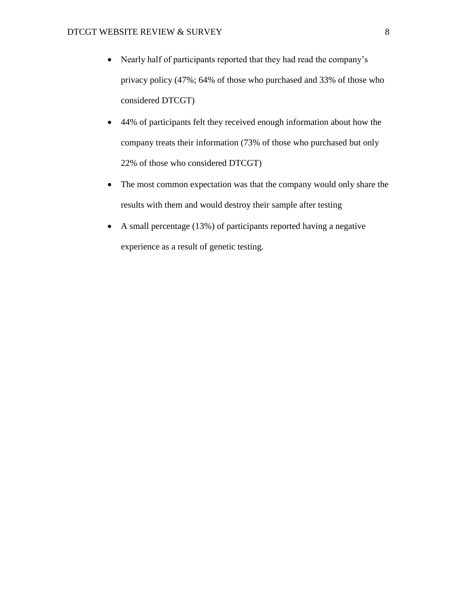- Nearly half of participants reported that they had read the company's privacy policy (47%; 64% of those who purchased and 33% of those who considered DTCGT)
- 44% of participants felt they received enough information about how the company treats their information (73% of those who purchased but only 22% of those who considered DTCGT)
- The most common expectation was that the company would only share the results with them and would destroy their sample after testing
- A small percentage (13%) of participants reported having a negative experience as a result of genetic testing.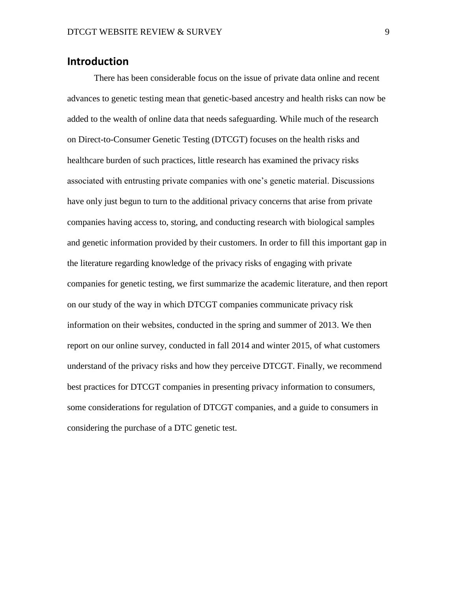# **Introduction**

There has been considerable focus on the issue of private data online and recent advances to genetic testing mean that genetic-based ancestry and health risks can now be added to the wealth of online data that needs safeguarding. While much of the research on Direct-to-Consumer Genetic Testing (DTCGT) focuses on the health risks and healthcare burden of such practices, little research has examined the privacy risks associated with entrusting private companies with one's genetic material. Discussions have only just begun to turn to the additional privacy concerns that arise from private companies having access to, storing, and conducting research with biological samples and genetic information provided by their customers. In order to fill this important gap in the literature regarding knowledge of the privacy risks of engaging with private companies for genetic testing, we first summarize the academic literature, and then report on our study of the way in which DTCGT companies communicate privacy risk information on their websites, conducted in the spring and summer of 2013. We then report on our online survey, conducted in fall 2014 and winter 2015, of what customers understand of the privacy risks and how they perceive DTCGT. Finally, we recommend best practices for DTCGT companies in presenting privacy information to consumers, some considerations for regulation of DTCGT companies, and a guide to consumers in considering the purchase of a DTC genetic test.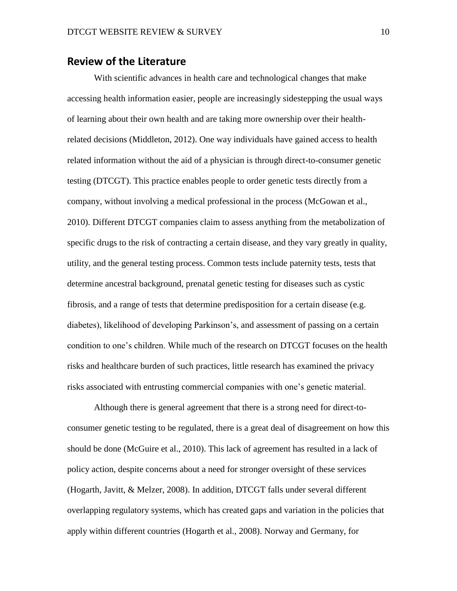## **Review of the Literature**

With scientific advances in health care and technological changes that make accessing health information easier, people are increasingly sidestepping the usual ways of learning about their own health and are taking more ownership over their healthrelated decisions (Middleton, 2012). One way individuals have gained access to health related information without the aid of a physician is through direct-to-consumer genetic testing (DTCGT). This practice enables people to order genetic tests directly from a company, without involving a medical professional in the process (McGowan et al., 2010). Different DTCGT companies claim to assess anything from the metabolization of specific drugs to the risk of contracting a certain disease, and they vary greatly in quality, utility, and the general testing process. Common tests include paternity tests, tests that determine ancestral background, prenatal genetic testing for diseases such as cystic fibrosis, and a range of tests that determine predisposition for a certain disease (e.g. diabetes), likelihood of developing Parkinson's, and assessment of passing on a certain condition to one's children. While much of the research on DTCGT focuses on the health risks and healthcare burden of such practices, little research has examined the privacy risks associated with entrusting commercial companies with one's genetic material.

Although there is general agreement that there is a strong need for direct-toconsumer genetic testing to be regulated, there is a great deal of disagreement on how this should be done (McGuire et al., 2010). This lack of agreement has resulted in a lack of policy action, despite concerns about a need for stronger oversight of these services (Hogarth, Javitt, & Melzer, 2008). In addition, DTCGT falls under several different overlapping regulatory systems, which has created gaps and variation in the policies that apply within different countries (Hogarth et al., 2008). Norway and Germany, for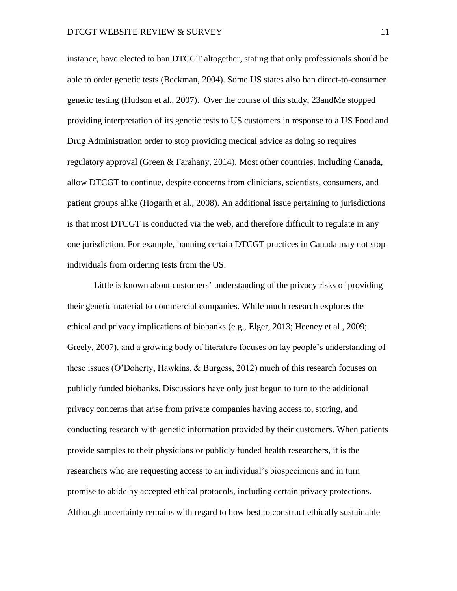instance, have elected to ban DTCGT altogether, stating that only professionals should be able to order genetic tests (Beckman, 2004). Some US states also ban direct-to-consumer genetic testing (Hudson et al., 2007). Over the course of this study, 23andMe stopped providing interpretation of its genetic tests to US customers in response to a US Food and Drug Administration order to stop providing medical advice as doing so requires regulatory approval (Green & Farahany, 2014). Most other countries, including Canada, allow DTCGT to continue, despite concerns from clinicians, scientists, consumers, and patient groups alike (Hogarth et al., 2008). An additional issue pertaining to jurisdictions is that most DTCGT is conducted via the web, and therefore difficult to regulate in any one jurisdiction. For example, banning certain DTCGT practices in Canada may not stop individuals from ordering tests from the US.

Little is known about customers' understanding of the privacy risks of providing their genetic material to commercial companies. While much research explores the ethical and privacy implications of biobanks (e.g., Elger, 2013; Heeney et al., 2009; Greely, 2007), and a growing body of literature focuses on lay people's understanding of these issues (O'Doherty, Hawkins, & Burgess, 2012) much of this research focuses on publicly funded biobanks. Discussions have only just begun to turn to the additional privacy concerns that arise from private companies having access to, storing, and conducting research with genetic information provided by their customers. When patients provide samples to their physicians or publicly funded health researchers, it is the researchers who are requesting access to an individual's biospecimens and in turn promise to abide by accepted ethical protocols, including certain privacy protections. Although uncertainty remains with regard to how best to construct ethically sustainable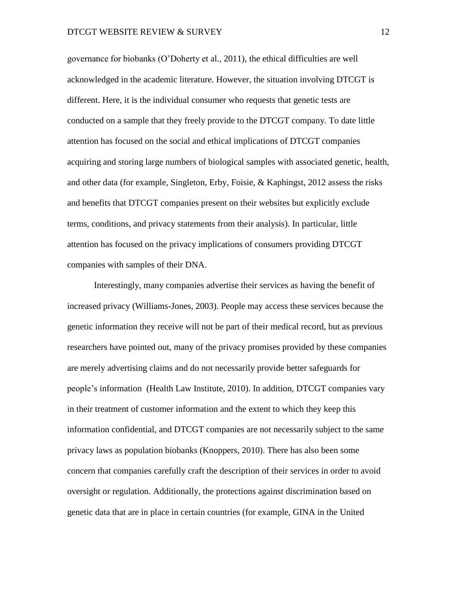governance for biobanks (O'Doherty et al., 2011), the ethical difficulties are well acknowledged in the academic literature. However, the situation involving DTCGT is different. Here, it is the individual consumer who requests that genetic tests are conducted on a sample that they freely provide to the DTCGT company. To date little attention has focused on the social and ethical implications of DTCGT companies acquiring and storing large numbers of biological samples with associated genetic, health, and other data (for example, Singleton, Erby, Foisie, & Kaphingst, 2012 assess the risks and benefits that DTCGT companies present on their websites but explicitly exclude terms, conditions, and privacy statements from their analysis). In particular, little attention has focused on the privacy implications of consumers providing DTCGT companies with samples of their DNA.

Interestingly, many companies advertise their services as having the benefit of increased privacy (Williams-Jones, 2003). People may access these services because the genetic information they receive will not be part of their medical record, but as previous researchers have pointed out, many of the privacy promises provided by these companies are merely advertising claims and do not necessarily provide better safeguards for people's information (Health Law Institute, 2010). In addition, DTCGT companies vary in their treatment of customer information and the extent to which they keep this information confidential, and DTCGT companies are not necessarily subject to the same privacy laws as population biobanks (Knoppers, 2010). There has also been some concern that companies carefully craft the description of their services in order to avoid oversight or regulation. Additionally, the protections against discrimination based on genetic data that are in place in certain countries (for example, GINA in the United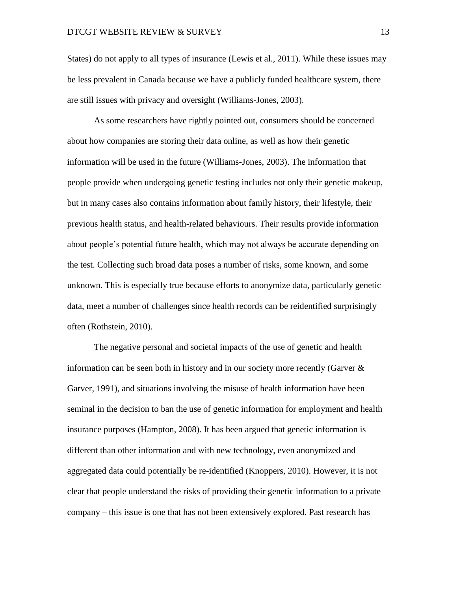States) do not apply to all types of insurance (Lewis et al., 2011). While these issues may be less prevalent in Canada because we have a publicly funded healthcare system, there are still issues with privacy and oversight (Williams-Jones, 2003).

As some researchers have rightly pointed out, consumers should be concerned about how companies are storing their data online, as well as how their genetic information will be used in the future (Williams-Jones, 2003). The information that people provide when undergoing genetic testing includes not only their genetic makeup, but in many cases also contains information about family history, their lifestyle, their previous health status, and health-related behaviours. Their results provide information about people's potential future health, which may not always be accurate depending on the test. Collecting such broad data poses a number of risks, some known, and some unknown. This is especially true because efforts to anonymize data, particularly genetic data, meet a number of challenges since health records can be reidentified surprisingly often (Rothstein, 2010).

The negative personal and societal impacts of the use of genetic and health information can be seen both in history and in our society more recently (Garver & Garver, 1991), and situations involving the misuse of health information have been seminal in the decision to ban the use of genetic information for employment and health insurance purposes (Hampton, 2008). It has been argued that genetic information is different than other information and with new technology, even anonymized and aggregated data could potentially be re-identified (Knoppers, 2010). However, it is not clear that people understand the risks of providing their genetic information to a private company – this issue is one that has not been extensively explored. Past research has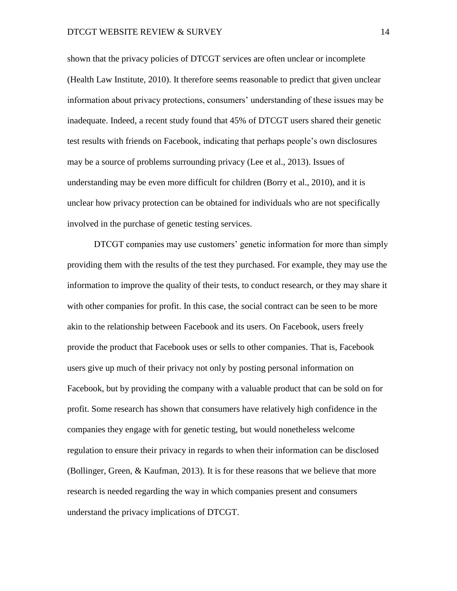shown that the privacy policies of DTCGT services are often unclear or incomplete (Health Law Institute, 2010). It therefore seems reasonable to predict that given unclear information about privacy protections, consumers' understanding of these issues may be inadequate. Indeed, a recent study found that 45% of DTCGT users shared their genetic test results with friends on Facebook, indicating that perhaps people's own disclosures may be a source of problems surrounding privacy (Lee et al., 2013). Issues of understanding may be even more difficult for children (Borry et al., 2010), and it is unclear how privacy protection can be obtained for individuals who are not specifically involved in the purchase of genetic testing services.

DTCGT companies may use customers' genetic information for more than simply providing them with the results of the test they purchased. For example, they may use the information to improve the quality of their tests, to conduct research, or they may share it with other companies for profit. In this case, the social contract can be seen to be more akin to the relationship between Facebook and its users. On Facebook, users freely provide the product that Facebook uses or sells to other companies. That is, Facebook users give up much of their privacy not only by posting personal information on Facebook, but by providing the company with a valuable product that can be sold on for profit. Some research has shown that consumers have relatively high confidence in the companies they engage with for genetic testing, but would nonetheless welcome regulation to ensure their privacy in regards to when their information can be disclosed (Bollinger, Green, & Kaufman, 2013). It is for these reasons that we believe that more research is needed regarding the way in which companies present and consumers understand the privacy implications of DTCGT.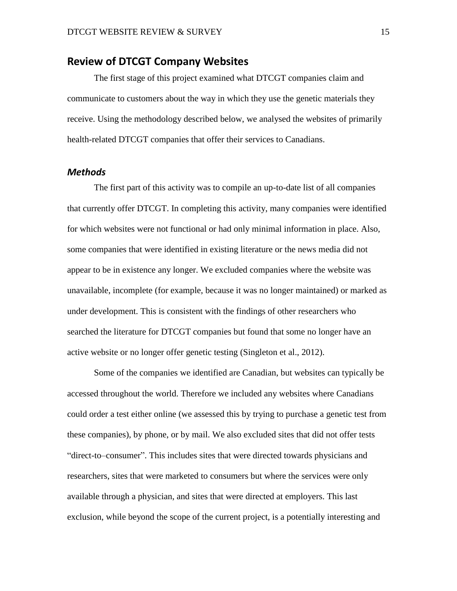## **Review of DTCGT Company Websites**

The first stage of this project examined what DTCGT companies claim and communicate to customers about the way in which they use the genetic materials they receive. Using the methodology described below, we analysed the websites of primarily health-related DTCGT companies that offer their services to Canadians.

#### *Methods*

The first part of this activity was to compile an up-to-date list of all companies that currently offer DTCGT. In completing this activity, many companies were identified for which websites were not functional or had only minimal information in place. Also, some companies that were identified in existing literature or the news media did not appear to be in existence any longer. We excluded companies where the website was unavailable, incomplete (for example, because it was no longer maintained) or marked as under development. This is consistent with the findings of other researchers who searched the literature for DTCGT companies but found that some no longer have an active website or no longer offer genetic testing (Singleton et al., 2012).

Some of the companies we identified are Canadian, but websites can typically be accessed throughout the world. Therefore we included any websites where Canadians could order a test either online (we assessed this by trying to purchase a genetic test from these companies), by phone, or by mail. We also excluded sites that did not offer tests "direct-to–consumer". This includes sites that were directed towards physicians and researchers, sites that were marketed to consumers but where the services were only available through a physician, and sites that were directed at employers. This last exclusion, while beyond the scope of the current project, is a potentially interesting and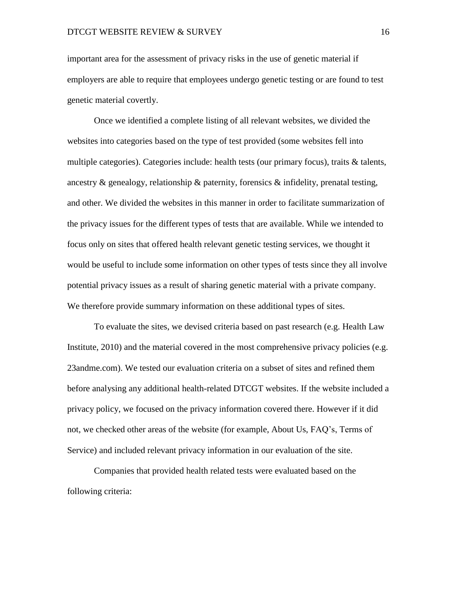important area for the assessment of privacy risks in the use of genetic material if employers are able to require that employees undergo genetic testing or are found to test genetic material covertly.

Once we identified a complete listing of all relevant websites, we divided the websites into categories based on the type of test provided (some websites fell into multiple categories). Categories include: health tests (our primary focus), traits & talents, ancestry  $\&$  genealogy, relationship  $\&$  paternity, forensics  $\&$  infidelity, prenatal testing, and other. We divided the websites in this manner in order to facilitate summarization of the privacy issues for the different types of tests that are available. While we intended to focus only on sites that offered health relevant genetic testing services, we thought it would be useful to include some information on other types of tests since they all involve potential privacy issues as a result of sharing genetic material with a private company. We therefore provide summary information on these additional types of sites.

To evaluate the sites, we devised criteria based on past research (e.g. Health Law Institute, 2010) and the material covered in the most comprehensive privacy policies (e.g. 23andme.com). We tested our evaluation criteria on a subset of sites and refined them before analysing any additional health-related DTCGT websites. If the website included a privacy policy, we focused on the privacy information covered there. However if it did not, we checked other areas of the website (for example, About Us, FAQ's, Terms of Service) and included relevant privacy information in our evaluation of the site.

Companies that provided health related tests were evaluated based on the following criteria: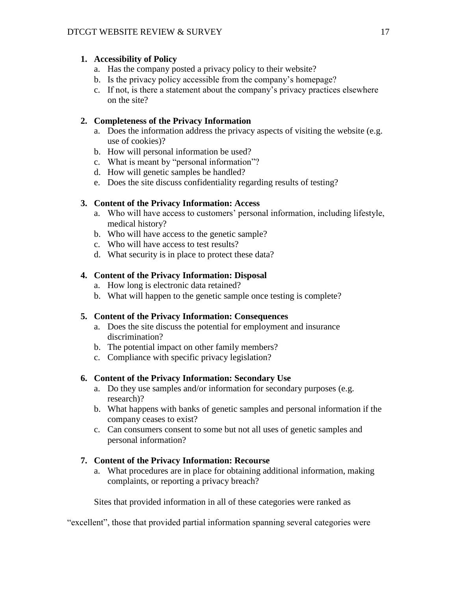#### **1. Accessibility of Policy**

- a. Has the company posted a privacy policy to their website?
- b. Is the privacy policy accessible from the company's homepage?
- c. If not, is there a statement about the company's privacy practices elsewhere on the site?

#### **2. Completeness of the Privacy Information**

- a. Does the information address the privacy aspects of visiting the website (e.g. use of cookies)?
- b. How will personal information be used?
- c. What is meant by "personal information"?
- d. How will genetic samples be handled?
- e. Does the site discuss confidentiality regarding results of testing?

#### **3. Content of the Privacy Information: Access**

- a. Who will have access to customers' personal information, including lifestyle, medical history?
- b. Who will have access to the genetic sample?
- c. Who will have access to test results?
- d. What security is in place to protect these data?

#### **4. Content of the Privacy Information: Disposal**

- a. How long is electronic data retained?
- b. What will happen to the genetic sample once testing is complete?

#### **5. Content of the Privacy Information: Consequences**

- a. Does the site discuss the potential for employment and insurance discrimination?
- b. The potential impact on other family members?
- c. Compliance with specific privacy legislation?

#### **6. Content of the Privacy Information: Secondary Use**

- a. Do they use samples and/or information for secondary purposes (e.g. research)?
- b. What happens with banks of genetic samples and personal information if the company ceases to exist?
- c. Can consumers consent to some but not all uses of genetic samples and personal information?

#### **7. Content of the Privacy Information: Recourse**

a. What procedures are in place for obtaining additional information, making complaints, or reporting a privacy breach?

Sites that provided information in all of these categories were ranked as

"excellent", those that provided partial information spanning several categories were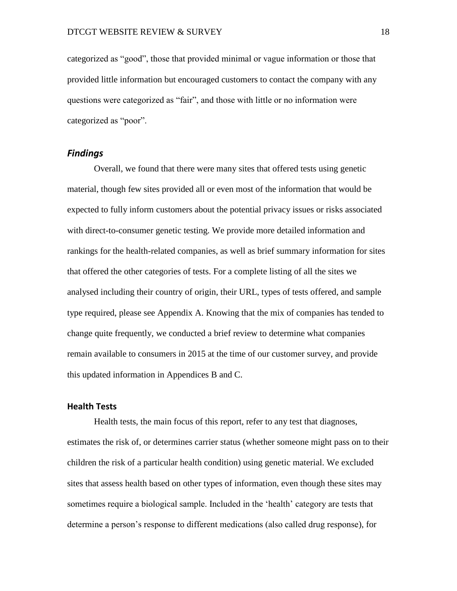categorized as "good", those that provided minimal or vague information or those that provided little information but encouraged customers to contact the company with any questions were categorized as "fair", and those with little or no information were categorized as "poor".

#### *Findings*

Overall, we found that there were many sites that offered tests using genetic material, though few sites provided all or even most of the information that would be expected to fully inform customers about the potential privacy issues or risks associated with direct-to-consumer genetic testing. We provide more detailed information and rankings for the health-related companies, as well as brief summary information for sites that offered the other categories of tests. For a complete listing of all the sites we analysed including their country of origin, their URL, types of tests offered, and sample type required, please see Appendix A. Knowing that the mix of companies has tended to change quite frequently, we conducted a brief review to determine what companies remain available to consumers in 2015 at the time of our customer survey, and provide this updated information in Appendices B and C.

#### **Health Tests**

Health tests, the main focus of this report, refer to any test that diagnoses, estimates the risk of, or determines carrier status (whether someone might pass on to their children the risk of a particular health condition) using genetic material. We excluded sites that assess health based on other types of information, even though these sites may sometimes require a biological sample. Included in the 'health' category are tests that determine a person's response to different medications (also called drug response), for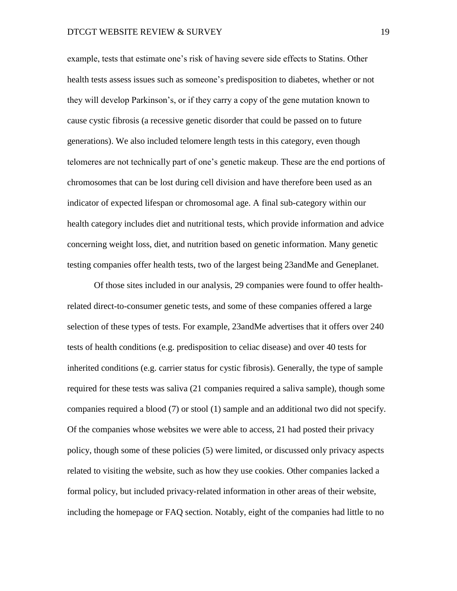example, tests that estimate one's risk of having severe side effects to Statins. Other health tests assess issues such as someone's predisposition to diabetes, whether or not they will develop Parkinson's, or if they carry a copy of the gene mutation known to cause cystic fibrosis (a recessive genetic disorder that could be passed on to future generations). We also included telomere length tests in this category, even though telomeres are not technically part of one's genetic makeup. These are the end portions of chromosomes that can be lost during cell division and have therefore been used as an indicator of expected lifespan or chromosomal age. A final sub-category within our health category includes diet and nutritional tests, which provide information and advice concerning weight loss, diet, and nutrition based on genetic information. Many genetic testing companies offer health tests, two of the largest being 23andMe and Geneplanet.

Of those sites included in our analysis, 29 companies were found to offer healthrelated direct-to-consumer genetic tests, and some of these companies offered a large selection of these types of tests. For example, 23andMe advertises that it offers over 240 tests of health conditions (e.g. predisposition to celiac disease) and over 40 tests for inherited conditions (e.g. carrier status for cystic fibrosis). Generally, the type of sample required for these tests was saliva (21 companies required a saliva sample), though some companies required a blood (7) or stool (1) sample and an additional two did not specify. Of the companies whose websites we were able to access, 21 had posted their privacy policy, though some of these policies (5) were limited, or discussed only privacy aspects related to visiting the website, such as how they use cookies. Other companies lacked a formal policy, but included privacy-related information in other areas of their website, including the homepage or FAQ section. Notably, eight of the companies had little to no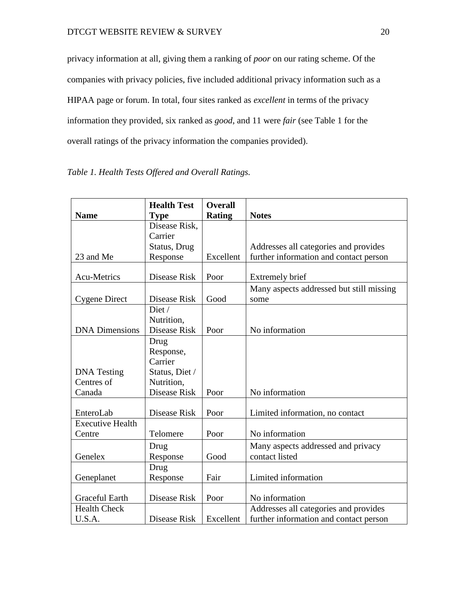privacy information at all, giving them a ranking of *poor* on our rating scheme. Of the companies with privacy policies, five included additional privacy information such as a HIPAA page or forum. In total, four sites ranked as *excellent* in terms of the privacy information they provided, six ranked as *good*, and 11 were *fair* (see Table 1 for the overall ratings of the privacy information the companies provided).

|                         | <b>Health Test</b> | <b>Overall</b> |                                          |
|-------------------------|--------------------|----------------|------------------------------------------|
| <b>Name</b>             | <b>Type</b>        | <b>Rating</b>  | <b>Notes</b>                             |
|                         | Disease Risk,      |                |                                          |
|                         | Carrier            |                |                                          |
|                         | Status, Drug       |                | Addresses all categories and provides    |
| 23 and Me               | Response           | Excellent      | further information and contact person   |
|                         |                    |                |                                          |
| <b>Acu-Metrics</b>      | Disease Risk       | Poor           | <b>Extremely brief</b>                   |
|                         |                    |                | Many aspects addressed but still missing |
| <b>Cygene Direct</b>    | Disease Risk       | Good           | some                                     |
|                         | Diet /             |                |                                          |
|                         | Nutrition,         |                |                                          |
| <b>DNA Dimensions</b>   | Disease Risk       | Poor           | No information                           |
|                         | Drug               |                |                                          |
|                         | Response,          |                |                                          |
|                         | Carrier            |                |                                          |
| <b>DNA</b> Testing      | Status, Diet /     |                |                                          |
| Centres of              | Nutrition,         |                |                                          |
| Canada                  | Disease Risk       | Poor           | No information                           |
|                         |                    |                |                                          |
| EnteroLab               | Disease Risk       | Poor           | Limited information, no contact          |
| <b>Executive Health</b> |                    |                |                                          |
| Centre                  | Telomere           | Poor           | No information                           |
|                         | Drug               |                | Many aspects addressed and privacy       |
| Genelex                 | Response           | Good           | contact listed                           |
|                         | Drug               |                |                                          |
| Geneplanet              | Response           | Fair           | Limited information                      |
|                         |                    |                |                                          |
| <b>Graceful Earth</b>   | Disease Risk       | Poor           | No information                           |
| <b>Health Check</b>     |                    |                | Addresses all categories and provides    |
| U.S.A.                  | Disease Risk       | Excellent      | further information and contact person   |

# <span id="page-19-0"></span>*Table 1. Health Tests Offered and Overall Ratings.*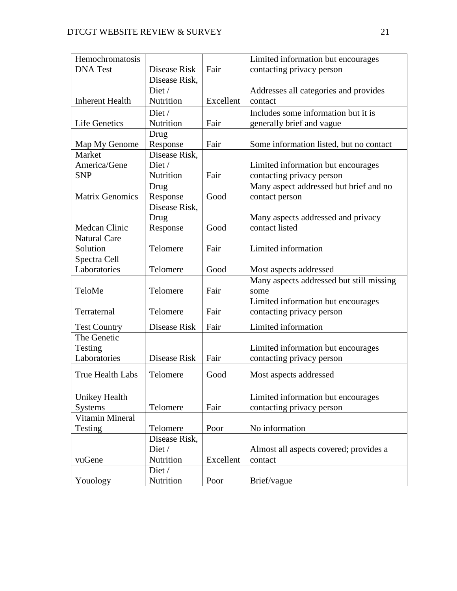| Hemochromatosis         |               |           | Limited information but encourages       |
|-------------------------|---------------|-----------|------------------------------------------|
| <b>DNA</b> Test         | Disease Risk  | Fair      | contacting privacy person                |
|                         | Disease Risk, |           |                                          |
|                         | Diet /        |           | Addresses all categories and provides    |
| <b>Inherent Health</b>  | Nutrition     | Excellent | contact                                  |
|                         | Diet /        |           | Includes some information but it is      |
| Life Genetics           | Nutrition     | Fair      | generally brief and vague                |
|                         | Drug          |           |                                          |
| Map My Genome           | Response      | Fair      | Some information listed, but no contact  |
| Market                  | Disease Risk, |           |                                          |
| America/Gene            | Diet /        |           | Limited information but encourages       |
| <b>SNP</b>              | Nutrition     | Fair      | contacting privacy person                |
|                         | Drug          |           | Many aspect addressed but brief and no   |
| <b>Matrix Genomics</b>  | Response      | Good      | contact person                           |
|                         | Disease Risk, |           |                                          |
|                         | Drug          |           | Many aspects addressed and privacy       |
| <b>Medcan Clinic</b>    | Response      | Good      | contact listed                           |
| <b>Natural Care</b>     |               |           |                                          |
| Solution                | Telomere      | Fair      | Limited information                      |
| Spectra Cell            |               |           |                                          |
| Laboratories            | Telomere      | Good      | Most aspects addressed                   |
|                         |               |           | Many aspects addressed but still missing |
| TeloMe                  | Telomere      | Fair      | some                                     |
|                         |               |           | Limited information but encourages       |
| Terraternal             | Telomere      | Fair      | contacting privacy person                |
| <b>Test Country</b>     | Disease Risk  | Fair      | Limited information                      |
| The Genetic             |               |           |                                          |
| Testing                 |               |           | Limited information but encourages       |
| Laboratories            | Disease Risk  | Fair      | contacting privacy person                |
| <b>True Health Labs</b> | Telomere      | Good      | Most aspects addressed                   |
|                         |               |           |                                          |
| Unikey Health           |               |           | Limited information but encourages       |
| <b>Systems</b>          | Telomere      | Fair      | contacting privacy person                |
| Vitamin Mineral         |               |           |                                          |
| Testing                 | Telomere      | Poor      | No information                           |
|                         | Disease Risk, |           |                                          |
|                         | Diet /        |           | Almost all aspects covered; provides a   |
| vuGene                  | Nutrition     | Excellent | contact                                  |
|                         | Diet /        |           |                                          |
| Youology                | Nutrition     | Poor      | Brief/vague                              |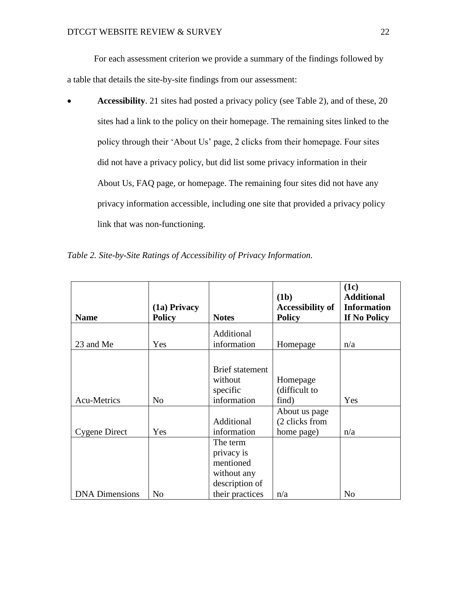For each assessment criterion we provide a summary of the findings followed by a table that details the site-by-site findings from our assessment:

 **Accessibility**. 21 sites had posted a privacy policy (see Table 2), and of these, 20 sites had a link to the policy on their homepage. The remaining sites linked to the policy through their 'About Us' page, 2 clicks from their homepage. Four sites did not have a privacy policy, but did list some privacy information in their About Us, FAQ page, or homepage. The remaining four sites did not have any privacy information accessible, including one site that provided a privacy policy link that was non-functioning.

<span id="page-21-0"></span>

|  |  |  |  |  |  |  | Table 2. Site-by-Site Ratings of Accessibility of Privacy Information. |
|--|--|--|--|--|--|--|------------------------------------------------------------------------|
|--|--|--|--|--|--|--|------------------------------------------------------------------------|

| <b>Name</b>           | (1a) Privacy<br><b>Policy</b> | <b>Notes</b>                                                         | (1b)<br><b>Accessibility of</b><br><b>Policy</b> | (1c)<br><b>Additional</b><br><b>Information</b><br>If No Policy |
|-----------------------|-------------------------------|----------------------------------------------------------------------|--------------------------------------------------|-----------------------------------------------------------------|
|                       |                               | Additional                                                           |                                                  |                                                                 |
| 23 and Me             | Yes                           | information                                                          | Homepage                                         | n/a                                                             |
| <b>Acu-Metrics</b>    | No                            | <b>Brief</b> statement<br>without<br>specific<br>information         | Homepage<br>(difficult to<br>find)               | Yes                                                             |
|                       |                               |                                                                      | About us page                                    |                                                                 |
| Cygene Direct         | Yes                           | Additional<br>information                                            | (2 clicks from<br>home page)                     | n/a                                                             |
|                       |                               | The term<br>privacy is<br>mentioned<br>without any<br>description of |                                                  |                                                                 |
| <b>DNA</b> Dimensions | N <sub>0</sub>                | their practices                                                      | n/a                                              | No                                                              |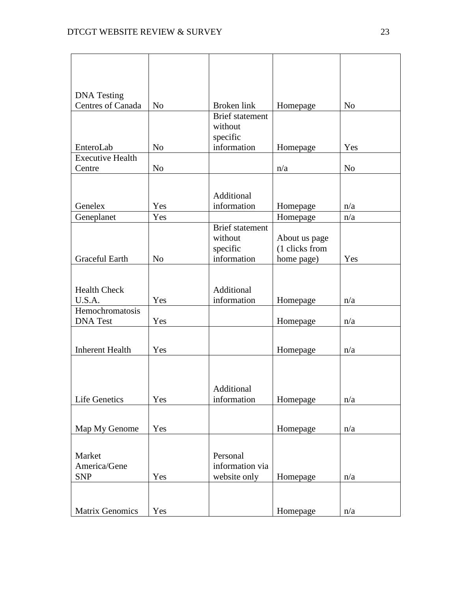| <b>DNA</b> Testing      |                |                                   |                |                |
|-------------------------|----------------|-----------------------------------|----------------|----------------|
| Centres of Canada       | N <sub>o</sub> | Broken link                       | Homepage       | N <sub>o</sub> |
|                         |                | <b>Brief</b> statement<br>without |                |                |
|                         |                | specific                          |                |                |
| EnteroLab               | N <sub>o</sub> | information                       | Homepage       | Yes            |
| <b>Executive Health</b> |                |                                   |                |                |
| Centre                  | N <sub>o</sub> |                                   | n/a            | N <sub>o</sub> |
|                         |                |                                   |                |                |
|                         |                | Additional                        |                |                |
| Genelex                 | Yes            | information                       | Homepage       | n/a            |
| Geneplanet              | Yes            |                                   | Homepage       | n/a            |
|                         |                | <b>Brief</b> statement            |                |                |
|                         |                | without                           | About us page  |                |
| <b>Graceful Earth</b>   |                | specific                          | (1 clicks from |                |
|                         | N <sub>o</sub> | information                       | home page)     | Yes            |
|                         |                |                                   |                |                |
| <b>Health Check</b>     |                | Additional                        |                |                |
| U.S.A.                  | Yes            | information                       | Homepage       | n/a            |
| Hemochromatosis         |                |                                   |                |                |
| <b>DNA</b> Test         | Yes            |                                   | Homepage       | n/a            |
|                         |                |                                   |                |                |
| <b>Inherent Health</b>  | Yes            |                                   | Homepage       | n/a            |
|                         |                |                                   |                |                |
|                         |                |                                   |                |                |
|                         |                | Additional                        |                |                |
| <b>Life Genetics</b>    | Yes            | information                       | Homepage       | n/a            |
|                         |                |                                   |                |                |
|                         |                |                                   |                |                |
| Map My Genome           | Yes            |                                   | Homepage       | n/a            |
|                         |                |                                   |                |                |
| Market                  |                | Personal                          |                |                |
| America/Gene            |                | information via                   |                |                |
| <b>SNP</b>              | Yes            | website only                      | Homepage       | n/a            |
|                         |                |                                   |                |                |
|                         |                |                                   |                |                |
| <b>Matrix Genomics</b>  | Yes            |                                   | Homepage       | n/a            |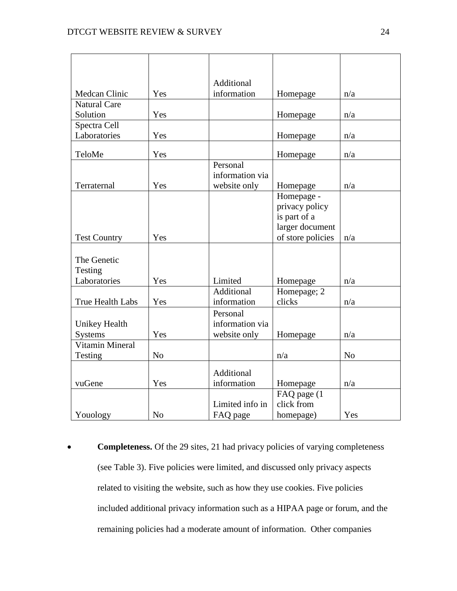|                      |                | Additional      |                   |                |
|----------------------|----------------|-----------------|-------------------|----------------|
| Medcan Clinic        | Yes            | information     | Homepage          | n/a            |
| <b>Natural Care</b>  |                |                 |                   |                |
| Solution             | Yes            |                 | Homepage          | n/a            |
| Spectra Cell         |                |                 |                   |                |
| Laboratories         | Yes            |                 | Homepage          | n/a            |
| TeloMe               | Yes            |                 | Homepage          | n/a            |
|                      |                | Personal        |                   |                |
|                      |                | information via |                   |                |
| Terraternal          | Yes            | website only    | Homepage          | n/a            |
|                      |                |                 | Homepage -        |                |
|                      |                |                 | privacy policy    |                |
|                      |                |                 | is part of a      |                |
|                      |                |                 | larger document   |                |
| <b>Test Country</b>  | Yes            |                 | of store policies | n/a            |
|                      |                |                 |                   |                |
| The Genetic          |                |                 |                   |                |
| Testing              |                |                 |                   |                |
| Laboratories         | Yes            | Limited         | Homepage          | n/a            |
|                      |                | Additional      | Homepage; 2       |                |
| True Health Labs     | Yes            | information     | clicks            | n/a            |
|                      |                | Personal        |                   |                |
| <b>Unikey Health</b> |                | information via |                   |                |
| <b>Systems</b>       | Yes            | website only    | Homepage          | n/a            |
| Vitamin Mineral      |                |                 |                   |                |
| Testing              | N <sub>o</sub> |                 | n/a               | N <sub>o</sub> |
|                      |                | Additional      |                   |                |
| vuGene               | Yes            | information     | Homepage          | n/a            |
|                      |                |                 | FAQ page (1)      |                |
|                      |                | Limited info in | click from        |                |
| Youology             | N <sub>o</sub> | FAQ page        | homepage)         | Yes            |

 **Completeness.** Of the 29 sites, 21 had privacy policies of varying completeness (see Table 3). Five policies were limited, and discussed only privacy aspects related to visiting the website, such as how they use cookies. Five policies included additional privacy information such as a HIPAA page or forum, and the remaining policies had a moderate amount of information. Other companies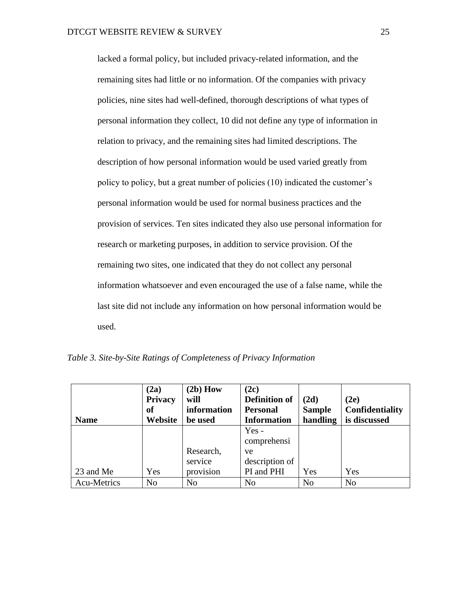lacked a formal policy, but included privacy-related information, and the remaining sites had little or no information. Of the companies with privacy policies, nine sites had well-defined, thorough descriptions of what types of personal information they collect, 10 did not define any type of information in relation to privacy, and the remaining sites had limited descriptions. The description of how personal information would be used varied greatly from policy to policy, but a great number of policies (10) indicated the customer's personal information would be used for normal business practices and the provision of services. Ten sites indicated they also use personal information for research or marketing purposes, in addition to service provision. Of the remaining two sites, one indicated that they do not collect any personal information whatsoever and even encouraged the use of a false name, while the last site did not include any information on how personal information would be used.

| <b>Name</b> | (2a)<br>Privacy<br>of<br>Website | $(2b)$ How<br>will<br>information<br>be used | (2c)<br><b>Definition of</b><br><b>Personal</b><br><b>Information</b> | (2d)<br><b>Sample</b><br>handling | (2e)<br><b>Confidentiality</b><br>is discussed |
|-------------|----------------------------------|----------------------------------------------|-----------------------------------------------------------------------|-----------------------------------|------------------------------------------------|
|             |                                  |                                              | $Yes -$                                                               |                                   |                                                |
|             |                                  |                                              | comprehensi                                                           |                                   |                                                |
|             |                                  | Research,                                    | ve                                                                    |                                   |                                                |
|             |                                  | service                                      | description of                                                        |                                   |                                                |
| 23 and Me   | Yes                              | provision                                    | PI and PHI                                                            | Yes                               | Yes                                            |
| Acu-Metrics | N <sub>o</sub>                   | N <sub>o</sub>                               | No                                                                    | N <sub>o</sub>                    | N <sub>o</sub>                                 |

<span id="page-24-0"></span>*Table 3. Site-by-Site Ratings of Completeness of Privacy Information*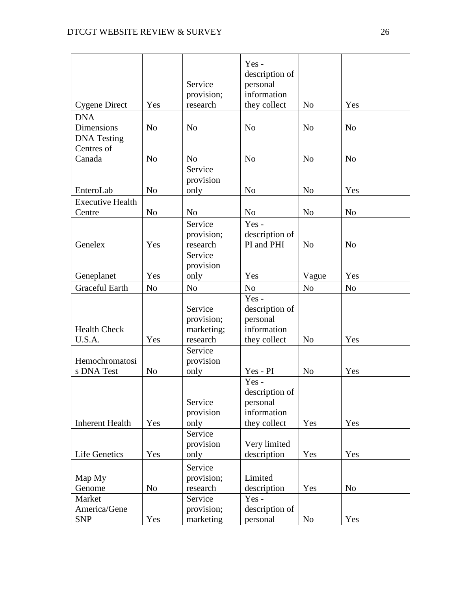|                                  |                | Service<br>provision;    | Yes-<br>description of<br>personal<br>information |                |                |
|----------------------------------|----------------|--------------------------|---------------------------------------------------|----------------|----------------|
| <b>Cygene Direct</b>             | Yes            | research                 | they collect                                      | N <sub>o</sub> | Yes            |
| <b>DNA</b>                       |                |                          |                                                   |                |                |
| <b>Dimensions</b>                | N <sub>o</sub> | N <sub>o</sub>           | N <sub>o</sub>                                    | N <sub>o</sub> | N <sub>o</sub> |
| <b>DNA</b> Testing<br>Centres of |                |                          |                                                   |                |                |
| Canada                           | N <sub>o</sub> | N <sub>o</sub>           | N <sub>o</sub>                                    | N <sub>o</sub> | N <sub>o</sub> |
|                                  |                | Service                  |                                                   |                |                |
|                                  |                | provision                |                                                   |                |                |
| EnteroLab                        | N <sub>o</sub> | only                     | N <sub>o</sub>                                    | N <sub>o</sub> | Yes            |
| <b>Executive Health</b>          |                |                          |                                                   |                |                |
| Centre                           | N <sub>o</sub> | N <sub>o</sub>           | N <sub>o</sub>                                    | N <sub>o</sub> | N <sub>o</sub> |
|                                  |                | Service                  | Yes-                                              |                |                |
|                                  |                | provision;               | description of                                    |                |                |
| Genelex                          | Yes            | research                 | PI and PHI                                        | N <sub>o</sub> | N <sub>o</sub> |
|                                  |                | Service                  |                                                   |                |                |
|                                  |                | provision                |                                                   |                |                |
| Geneplanet                       | Yes            | only                     | Yes                                               | Vague          | Yes            |
| <b>Graceful Earth</b>            | N <sub>o</sub> | N <sub>o</sub>           | N <sub>o</sub>                                    | N <sub>o</sub> | N <sub>o</sub> |
|                                  |                |                          | Yes-                                              |                |                |
|                                  |                | Service                  | description of                                    |                |                |
| <b>Health Check</b>              |                | provision;<br>marketing; | personal<br>information                           |                |                |
| U.S.A.                           | Yes            | research                 | they collect                                      | N <sub>o</sub> | Yes            |
|                                  |                | Service                  |                                                   |                |                |
| Hemochromatosi                   |                | provision                |                                                   |                |                |
| s DNA Test                       | N <sub>o</sub> | only                     | Yes - PI                                          | N <sub>o</sub> | Yes            |
|                                  |                |                          | Yes-                                              |                |                |
|                                  |                |                          | description of                                    |                |                |
|                                  |                | Service                  | personal                                          |                |                |
|                                  |                | provision                | information                                       |                |                |
| <b>Inherent Health</b>           | Yes            | only                     | they collect                                      | Yes            | Yes            |
|                                  |                | Service                  |                                                   |                |                |
|                                  | Yes            | provision                | Very limited                                      |                | Yes            |
| <b>Life Genetics</b>             |                | only                     | description                                       | Yes            |                |
|                                  |                | Service                  |                                                   |                |                |
| Map My                           |                | provision;               | Limited                                           |                |                |
| Genome<br>Market                 | N <sub>o</sub> | research<br>Service      | description<br>$Yes -$                            | Yes            | N <sub>o</sub> |
| America/Gene                     |                | provision;               | description of                                    |                |                |
| <b>SNP</b>                       | Yes            | marketing                | personal                                          | N <sub>0</sub> | Yes            |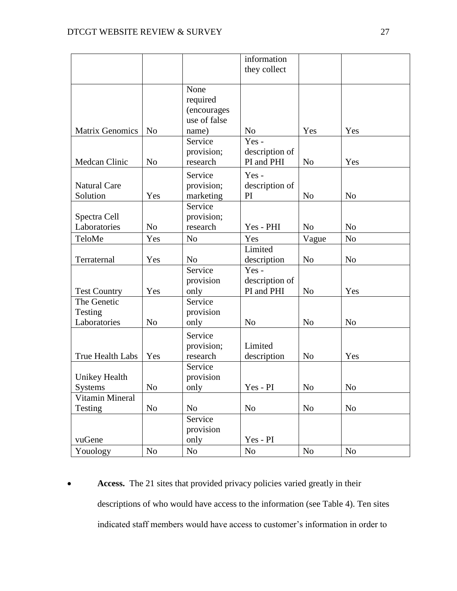|                        |                |                | information    |                |                |
|------------------------|----------------|----------------|----------------|----------------|----------------|
|                        |                |                | they collect   |                |                |
|                        |                |                |                |                |                |
|                        |                | None           |                |                |                |
|                        |                | required       |                |                |                |
|                        |                | (encourages    |                |                |                |
|                        |                | use of false   |                |                |                |
| <b>Matrix Genomics</b> | N <sub>o</sub> | name)          | No             | Yes            | Yes            |
|                        |                | Service        | Yes-           |                |                |
|                        |                | provision;     | description of |                |                |
| Medcan Clinic          | N <sub>o</sub> | research       | PI and PHI     | N <sub>o</sub> | Yes            |
|                        |                | Service        | $Yes -$        |                |                |
| <b>Natural Care</b>    |                | provision;     | description of |                |                |
| Solution               | Yes            | marketing      | PI             | N <sub>o</sub> | N <sub>o</sub> |
|                        |                | Service        |                |                |                |
| Spectra Cell           |                | provision;     |                |                |                |
| Laboratories           | N <sub>o</sub> | research       | Yes - PHI      | N <sub>o</sub> | N <sub>o</sub> |
| TeloMe                 | Yes            | N <sub>o</sub> | Yes            | Vague          | N <sub>o</sub> |
|                        |                |                | Limited        |                |                |
| Terraternal            | Yes            | N <sub>o</sub> | description    | N <sub>o</sub> | N <sub>o</sub> |
|                        |                | Service        | Yes-           |                |                |
|                        |                | provision      | description of |                |                |
| <b>Test Country</b>    | Yes            | only           | PI and PHI     | N <sub>o</sub> | Yes            |
| The Genetic            |                | Service        |                |                |                |
| Testing                |                | provision      |                |                |                |
| Laboratories           | N <sub>o</sub> | only           | N <sub>o</sub> | N <sub>o</sub> | N <sub>o</sub> |
|                        |                | Service        |                |                |                |
|                        |                | provision;     | Limited        |                |                |
| True Health Labs       | Yes            | research       | description    | N <sub>o</sub> | Yes            |
|                        |                | Service        |                |                |                |
| <b>Unikey Health</b>   |                | provision      |                |                |                |
| Systems                | No             | only           | Yes - PI       | N <sub>0</sub> | No             |
| Vitamin Mineral        |                |                |                |                |                |
| Testing                | N <sub>o</sub> | N <sub>o</sub> | N <sub>o</sub> | N <sub>o</sub> | N <sub>o</sub> |
|                        |                | Service        |                |                |                |
|                        |                | provision      |                |                |                |
| vuGene                 |                | only           | Yes - PI       |                |                |
| Youology               | $\rm No$       | No             | N <sub>o</sub> | $\rm No$       | N <sub>0</sub> |

**Access.** The 21 sites that provided privacy policies varied greatly in their descriptions of who would have access to the information (see Table 4). Ten sites indicated staff members would have access to customer's information in order to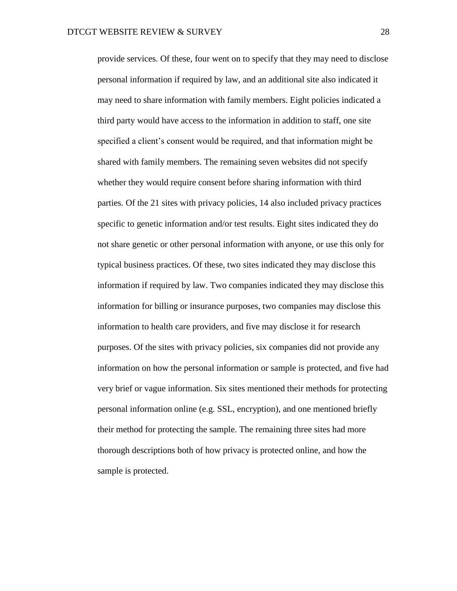provide services. Of these, four went on to specify that they may need to disclose personal information if required by law, and an additional site also indicated it may need to share information with family members. Eight policies indicated a third party would have access to the information in addition to staff, one site specified a client's consent would be required, and that information might be shared with family members. The remaining seven websites did not specify whether they would require consent before sharing information with third parties. Of the 21 sites with privacy policies, 14 also included privacy practices specific to genetic information and/or test results. Eight sites indicated they do not share genetic or other personal information with anyone, or use this only for typical business practices. Of these, two sites indicated they may disclose this information if required by law. Two companies indicated they may disclose this information for billing or insurance purposes, two companies may disclose this information to health care providers, and five may disclose it for research purposes. Of the sites with privacy policies, six companies did not provide any information on how the personal information or sample is protected, and five had very brief or vague information. Six sites mentioned their methods for protecting personal information online (e.g. SSL, encryption), and one mentioned briefly their method for protecting the sample. The remaining three sites had more thorough descriptions both of how privacy is protected online, and how the sample is protected.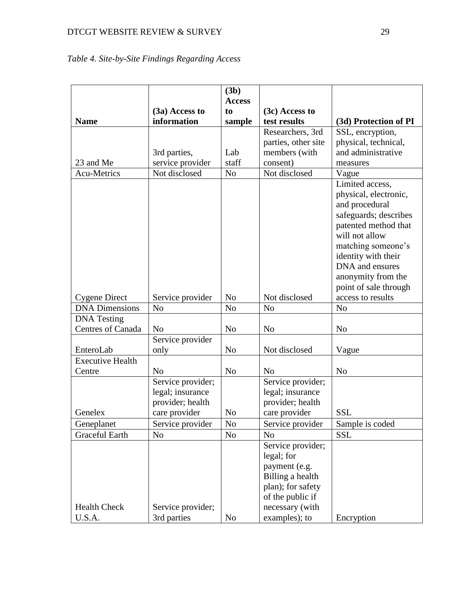# DTCGT WEBSITE REVIEW & SURVEY 29

# <span id="page-28-0"></span>*Table 4. Site-by-Site Findings Regarding Access*

|                         |                   | (3b)           |                     |                       |
|-------------------------|-------------------|----------------|---------------------|-----------------------|
|                         |                   | <b>Access</b>  |                     |                       |
|                         | (3a) Access to    | to             | (3c) Access to      |                       |
| <b>Name</b>             | information       | sample         | test results        | (3d) Protection of PI |
|                         |                   |                | Researchers, 3rd    | SSL, encryption,      |
|                         |                   |                | parties, other site | physical, technical,  |
|                         | 3rd parties,      | Lab            | members (with       | and administrative    |
| 23 and Me               | service provider  | staff          | consent)            | measures              |
| <b>Acu-Metrics</b>      | Not disclosed     | N <sub>o</sub> | Not disclosed       | Vague                 |
|                         |                   |                |                     | Limited access,       |
|                         |                   |                |                     | physical, electronic, |
|                         |                   |                |                     | and procedural        |
|                         |                   |                |                     | safeguards; describes |
|                         |                   |                |                     | patented method that  |
|                         |                   |                |                     | will not allow        |
|                         |                   |                |                     | matching someone's    |
|                         |                   |                |                     | identity with their   |
|                         |                   |                |                     | DNA and ensures       |
|                         |                   |                |                     | anonymity from the    |
|                         |                   |                |                     | point of sale through |
| <b>Cygene Direct</b>    | Service provider  | N <sub>o</sub> | Not disclosed       | access to results     |
| <b>DNA</b> Dimensions   | N <sub>o</sub>    | N <sub>o</sub> | N <sub>o</sub>      | N <sub>o</sub>        |
| <b>DNA</b> Testing      |                   |                |                     |                       |
| Centres of Canada       | N <sub>o</sub>    | N <sub>o</sub> | N <sub>o</sub>      | N <sub>o</sub>        |
|                         | Service provider  |                |                     |                       |
| EnteroLab               | only              | N <sub>o</sub> | Not disclosed       | Vague                 |
| <b>Executive Health</b> |                   |                |                     |                       |
| Centre                  | N <sub>o</sub>    | N <sub>o</sub> | N <sub>o</sub>      | N <sub>o</sub>        |
|                         | Service provider; |                | Service provider;   |                       |
|                         | legal; insurance  |                | legal; insurance    |                       |
|                         | provider; health  |                | provider; health    |                       |
| Genelex                 | care provider     | N <sub>o</sub> | care provider       | <b>SSL</b>            |
| Geneplanet              | Service provider  | No             | Service provider    | Sample is coded       |
| <b>Graceful Earth</b>   | N <sub>0</sub>    | N <sub>o</sub> | N <sub>o</sub>      | <b>SSL</b>            |
|                         |                   |                | Service provider;   |                       |
|                         |                   |                | legal; for          |                       |
|                         |                   |                | payment (e.g.       |                       |
|                         |                   |                | Billing a health    |                       |
|                         |                   |                | plan); for safety   |                       |
|                         |                   |                | of the public if    |                       |
| <b>Health Check</b>     | Service provider; |                | necessary (with     |                       |
| U.S.A.                  | 3rd parties       | N <sub>o</sub> | examples); to       | Encryption            |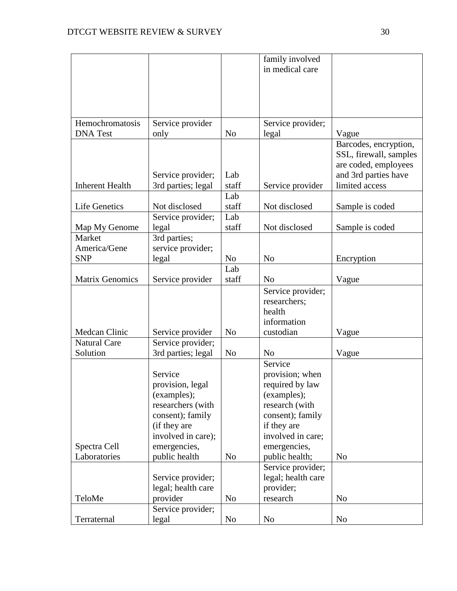|                        |                                  |                | family involved                 |                        |
|------------------------|----------------------------------|----------------|---------------------------------|------------------------|
|                        |                                  |                | in medical care                 |                        |
|                        |                                  |                |                                 |                        |
|                        |                                  |                |                                 |                        |
|                        |                                  |                |                                 |                        |
|                        |                                  |                |                                 |                        |
| Hemochromatosis        | Service provider                 |                | Service provider;               |                        |
| <b>DNA</b> Test        | only                             | N <sub>o</sub> | legal                           | Vague                  |
|                        |                                  |                |                                 | Barcodes, encryption,  |
|                        |                                  |                |                                 | SSL, firewall, samples |
|                        |                                  |                |                                 | are coded, employees   |
|                        | Service provider;                | Lab            |                                 | and 3rd parties have   |
| <b>Inherent Health</b> | 3rd parties; legal               | staff          | Service provider                | limited access         |
|                        |                                  | Lab            |                                 |                        |
| <b>Life Genetics</b>   | Not disclosed                    | staff          | Not disclosed                   | Sample is coded        |
|                        | Service provider;                | Lab            |                                 |                        |
| Map My Genome          | legal                            | staff          | Not disclosed                   | Sample is coded        |
| Market                 | 3rd parties;                     |                |                                 |                        |
| America/Gene           | service provider;                |                |                                 |                        |
| <b>SNP</b>             | legal                            | N <sub>o</sub> | N <sub>o</sub>                  | Encryption             |
|                        |                                  | Lab            |                                 |                        |
| <b>Matrix Genomics</b> | Service provider                 | staff          | No                              | Vague                  |
|                        |                                  |                | Service provider;               |                        |
|                        |                                  |                | researchers;                    |                        |
|                        |                                  |                | health                          |                        |
|                        |                                  |                | information                     |                        |
| Medcan Clinic          | Service provider                 | N <sub>o</sub> | custodian                       | Vague                  |
| <b>Natural Care</b>    | Service provider;                |                |                                 |                        |
| Solution               | 3rd parties; legal               | N <sub>o</sub> | N <sub>o</sub>                  | Vague                  |
|                        |                                  |                | Service                         |                        |
|                        | Service                          |                | provision; when                 |                        |
|                        | provision, legal                 |                | required by law                 |                        |
|                        | (examples);<br>researchers (with |                | (examples);<br>research (with   |                        |
|                        | consent); family                 |                |                                 |                        |
|                        | (if they are                     |                | consent); family<br>if they are |                        |
|                        | involved in care);               |                | involved in care;               |                        |
| Spectra Cell           | emergencies,                     |                | emergencies,                    |                        |
| Laboratories           | public health                    | N <sub>o</sub> | public health;                  | N <sub>o</sub>         |
|                        |                                  |                | Service provider;               |                        |
|                        | Service provider;                |                | legal; health care              |                        |
|                        | legal; health care               |                | provider;                       |                        |
| TeloMe                 | provider                         | N <sub>o</sub> | research                        | N <sub>0</sub>         |
|                        | Service provider;                |                |                                 |                        |
| Terraternal            | legal                            | N <sub>0</sub> | No                              | N <sub>o</sub>         |
|                        |                                  |                |                                 |                        |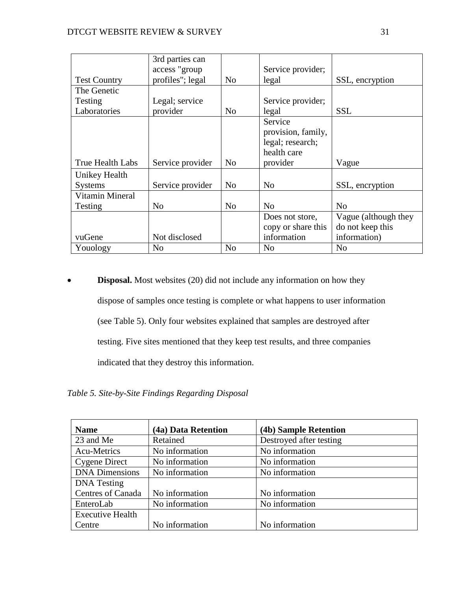|                     | 3rd parties can  |                |                    |                      |
|---------------------|------------------|----------------|--------------------|----------------------|
|                     | access "group    |                | Service provider;  |                      |
| <b>Test Country</b> | profiles"; legal | N <sub>o</sub> | legal              | SSL, encryption      |
| The Genetic         |                  |                |                    |                      |
| Testing             | Legal; service   |                | Service provider;  |                      |
| Laboratories        | provider         | N <sub>0</sub> | legal              | <b>SSL</b>           |
|                     |                  |                | Service            |                      |
|                     |                  |                | provision, family, |                      |
|                     |                  |                | legal; research;   |                      |
|                     |                  |                | health care        |                      |
| True Health Labs    | Service provider | N <sub>0</sub> | provider           | Vague                |
| Unikey Health       |                  |                |                    |                      |
| <b>Systems</b>      | Service provider | N <sub>o</sub> | N <sub>o</sub>     | SSL, encryption      |
| Vitamin Mineral     |                  |                |                    |                      |
| Testing             | N <sub>o</sub>   | N <sub>o</sub> | N <sub>0</sub>     | N <sub>0</sub>       |
|                     |                  |                | Does not store,    | Vague (although they |
|                     |                  |                | copy or share this | do not keep this     |
| vuGene              | Not disclosed    |                | information        | information)         |
| Youology            | N <sub>o</sub>   | N <sub>o</sub> | N <sub>0</sub>     | N <sub>o</sub>       |

**• Disposal.** Most websites (20) did not include any information on how they dispose of samples once testing is complete or what happens to user information (see Table 5). Only four websites explained that samples are destroyed after testing. Five sites mentioned that they keep test results, and three companies indicated that they destroy this information.

<span id="page-30-0"></span>*Table 5. Site-by-Site Findings Regarding Disposal*

| <b>Name</b>             | (4a) Data Retention | (4b) Sample Retention   |
|-------------------------|---------------------|-------------------------|
| 23 and Me               | Retained            | Destroyed after testing |
| Acu-Metrics             | No information      | No information          |
| <b>Cygene Direct</b>    | No information      | No information          |
| <b>DNA Dimensions</b>   | No information      | No information          |
| <b>DNA</b> Testing      |                     |                         |
| Centres of Canada       | No information      | No information          |
| EnteroLab               | No information      | No information          |
| <b>Executive Health</b> |                     |                         |
| Centre                  | No information      | No information          |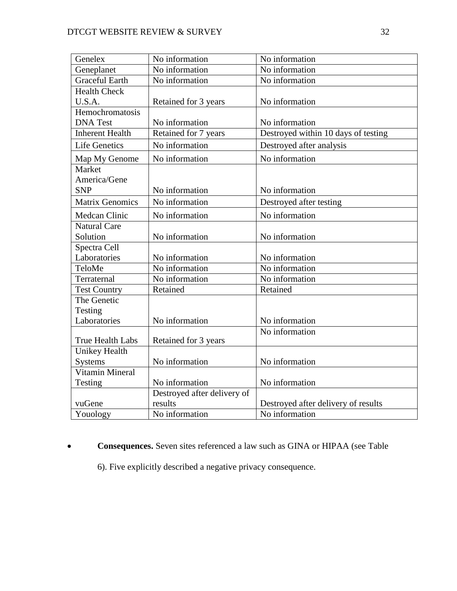| Genelex                | No information              | No information                      |
|------------------------|-----------------------------|-------------------------------------|
| Geneplanet             | No information              | No information                      |
| <b>Graceful Earth</b>  | No information              | No information                      |
| <b>Health Check</b>    |                             |                                     |
| U.S.A.                 | Retained for 3 years        | No information                      |
| Hemochromatosis        |                             |                                     |
| <b>DNA</b> Test        | No information              | No information                      |
| <b>Inherent Health</b> | Retained for 7 years        | Destroyed within 10 days of testing |
| <b>Life Genetics</b>   | No information              | Destroyed after analysis            |
| Map My Genome          | No information              | No information                      |
| Market                 |                             |                                     |
| America/Gene           |                             |                                     |
| <b>SNP</b>             | No information              | No information                      |
| <b>Matrix Genomics</b> | No information              | Destroyed after testing             |
| <b>Medcan Clinic</b>   | No information              | No information                      |
| <b>Natural Care</b>    |                             |                                     |
| Solution               | No information              | No information                      |
| Spectra Cell           |                             |                                     |
| Laboratories           | No information              | No information                      |
| TeloMe                 | No information              | No information                      |
| Terraternal            | No information              | No information                      |
| <b>Test Country</b>    | Retained                    | Retained                            |
| The Genetic            |                             |                                     |
| Testing                |                             |                                     |
| Laboratories           | No information              | No information                      |
|                        |                             | No information                      |
| True Health Labs       | Retained for 3 years        |                                     |
| <b>Unikey Health</b>   |                             |                                     |
| <b>Systems</b>         | No information              | No information                      |
| Vitamin Mineral        |                             |                                     |
| Testing                | No information              | No information                      |
|                        | Destroyed after delivery of |                                     |
| vuGene                 | results                     | Destroyed after delivery of results |
| Youology               | No information              | No information                      |

## **Consequences.** Seven sites referenced a law such as GINA or HIPAA (see Table

6). Five explicitly described a negative privacy consequence.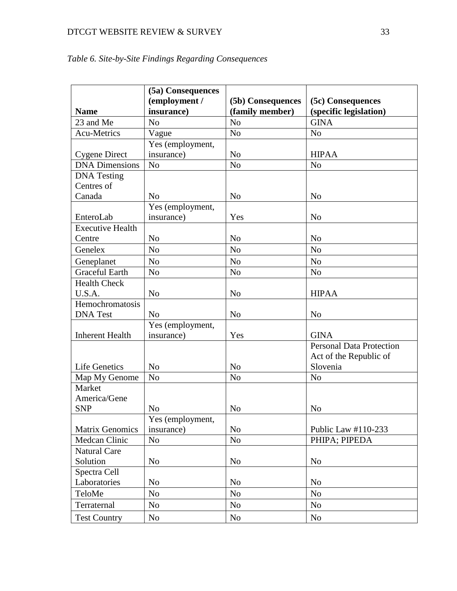# DTCGT WEBSITE REVIEW & SURVEY 33

| <b>Name</b>                | (5a) Consequences<br>(employment /<br>insurance) | (5b) Consequences<br>(family member) | (5c) Consequences<br>(specific legislation) |
|----------------------------|--------------------------------------------------|--------------------------------------|---------------------------------------------|
| 23 and Me                  | N <sub>o</sub>                                   | N <sub>o</sub>                       | <b>GINA</b>                                 |
| <b>Acu-Metrics</b>         | Vague                                            | N <sub>o</sub>                       | N <sub>o</sub>                              |
|                            | Yes (employment,                                 |                                      |                                             |
| <b>Cygene Direct</b>       | insurance)                                       | N <sub>o</sub>                       | <b>HIPAA</b>                                |
| <b>DNA</b> Dimensions      | $\rm No$                                         | N <sub>o</sub>                       | N <sub>o</sub>                              |
| <b>DNA</b> Testing         |                                                  |                                      |                                             |
| Centres of                 |                                                  |                                      |                                             |
| Canada                     | N <sub>0</sub>                                   | N <sub>o</sub>                       | N <sub>0</sub>                              |
|                            | Yes (employment,                                 |                                      |                                             |
| EnteroLab                  | insurance)                                       | Yes                                  | N <sub>o</sub>                              |
| <b>Executive Health</b>    |                                                  |                                      |                                             |
| Centre                     | N <sub>o</sub>                                   | N <sub>o</sub>                       | N <sub>o</sub>                              |
| Genelex                    | N <sub>o</sub>                                   | N <sub>o</sub>                       | N <sub>o</sub>                              |
| Geneplanet                 | N <sub>o</sub>                                   | N <sub>o</sub>                       | N <sub>o</sub>                              |
| <b>Graceful Earth</b>      | N <sub>o</sub>                                   | N <sub>o</sub>                       | N <sub>o</sub>                              |
| <b>Health Check</b>        |                                                  |                                      |                                             |
| U.S.A.                     | N <sub>o</sub>                                   | N <sub>o</sub>                       | <b>HIPAA</b>                                |
| Hemochromatosis            |                                                  |                                      |                                             |
| <b>DNA</b> Test            | N <sub>0</sub>                                   | N <sub>o</sub>                       | N <sub>o</sub>                              |
|                            | Yes (employment,                                 |                                      |                                             |
| <b>Inherent Health</b>     | insurance)                                       | Yes                                  | <b>GINA</b>                                 |
|                            |                                                  |                                      | <b>Personal Data Protection</b>             |
|                            |                                                  |                                      | Act of the Republic of                      |
| <b>Life Genetics</b>       | N <sub>o</sub>                                   | N <sub>o</sub>                       | Slovenia                                    |
| Map My Genome              | N <sub>o</sub>                                   | N <sub>o</sub>                       | N <sub>o</sub>                              |
| Market                     |                                                  |                                      |                                             |
| America/Gene<br><b>SNP</b> |                                                  |                                      |                                             |
|                            | No                                               | N <sub>o</sub>                       | N <sub>o</sub>                              |
| <b>Matrix Genomics</b>     | Yes (employment,<br>insurance)                   | N <sub>o</sub>                       | Public Law #110-233                         |
| Medcan Clinic              | N <sub>o</sub>                                   | N <sub>o</sub>                       | PHIPA; PIPEDA                               |
| <b>Natural Care</b>        |                                                  |                                      |                                             |
| Solution                   | N <sub>o</sub>                                   | N <sub>o</sub>                       | N <sub>o</sub>                              |
| Spectra Cell               |                                                  |                                      |                                             |
| Laboratories               | N <sub>o</sub>                                   | N <sub>o</sub>                       | N <sub>0</sub>                              |
| TeloMe                     | N <sub>o</sub>                                   | N <sub>o</sub>                       | No                                          |
| Terraternal                | N <sub>o</sub>                                   | No                                   | No                                          |
|                            |                                                  |                                      |                                             |
| <b>Test Country</b>        | N <sub>0</sub>                                   | No                                   | N <sub>o</sub>                              |

<span id="page-32-0"></span>

|  |  | Table 6. Site-by-Site Findings Regarding Consequences |
|--|--|-------------------------------------------------------|
|  |  |                                                       |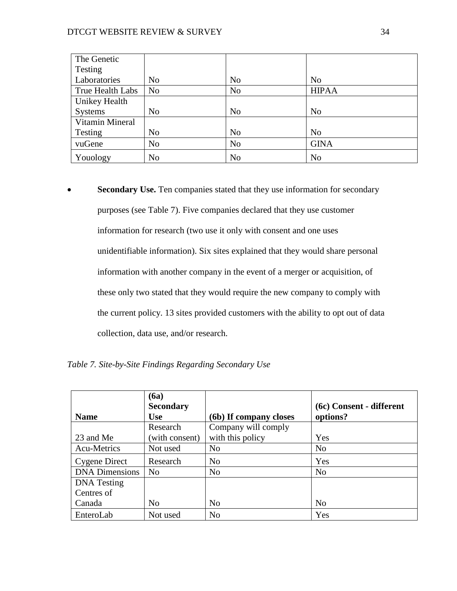| The Genetic      |                |                |                |
|------------------|----------------|----------------|----------------|
| Testing          |                |                |                |
| Laboratories     | N <sub>0</sub> | N <sub>o</sub> | N <sub>o</sub> |
| True Health Labs | N <sub>o</sub> | N <sub>o</sub> | <b>HIPAA</b>   |
| Unikey Health    |                |                |                |
| <b>Systems</b>   | N <sub>o</sub> | N <sub>o</sub> | N <sub>0</sub> |
| Vitamin Mineral  |                |                |                |
| Testing          | N <sub>0</sub> | N <sub>o</sub> | N <sub>0</sub> |
| vuGene           | N <sub>o</sub> | N <sub>o</sub> | <b>GINA</b>    |
| Youology         | N <sub>o</sub> | N <sub>o</sub> | N <sub>o</sub> |

**Secondary Use.** Ten companies stated that they use information for secondary purposes (see Table 7). Five companies declared that they use customer information for research (two use it only with consent and one uses unidentifiable information). Six sites explained that they would share personal information with another company in the event of a merger or acquisition, of these only two stated that they would require the new company to comply with the current policy. 13 sites provided customers with the ability to opt out of data collection, data use, and/or research.

<span id="page-33-0"></span>

| <b>Name</b>           | $6a$<br><b>Secondary</b><br>Use | (6b) If company closes | (6c) Consent - different<br>options? |
|-----------------------|---------------------------------|------------------------|--------------------------------------|
|                       | Research                        | Company will comply    |                                      |
| 23 and Me             | (with consent)                  | with this policy       | Yes                                  |
| Acu-Metrics           | Not used                        | N <sub>o</sub>         | N <sub>0</sub>                       |
| Cygene Direct         | Research                        | N <sub>o</sub>         | Yes                                  |
| <b>DNA</b> Dimensions | N <sub>o</sub>                  | N <sub>o</sub>         | N <sub>0</sub>                       |
| <b>DNA</b> Testing    |                                 |                        |                                      |
| Centres of            |                                 |                        |                                      |
| Canada                | No                              | N <sub>o</sub>         | N <sub>0</sub>                       |
| EnteroLab             | Not used                        | N <sub>o</sub>         | Yes                                  |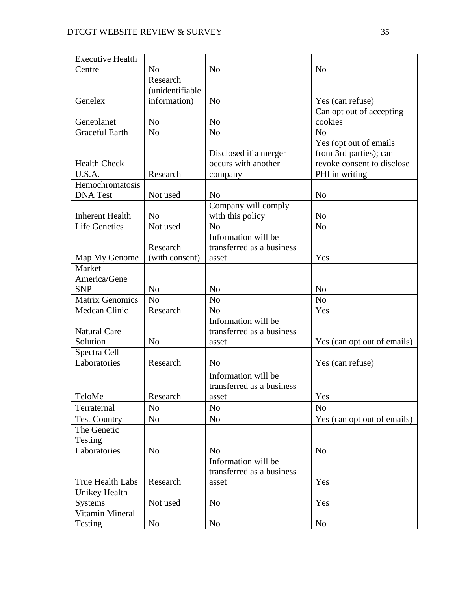| <b>Executive Health</b> |                 |                           |                             |
|-------------------------|-----------------|---------------------------|-----------------------------|
| Centre                  | N <sub>o</sub>  | N <sub>0</sub>            | N <sub>o</sub>              |
|                         | Research        |                           |                             |
|                         | (unidentifiable |                           |                             |
| Genelex                 | information)    | N <sub>0</sub>            | Yes (can refuse)            |
|                         |                 |                           | Can opt out of accepting    |
| Geneplanet              | N <sub>o</sub>  | N <sub>o</sub>            | cookies                     |
| <b>Graceful Earth</b>   | N <sub>o</sub>  | N <sub>o</sub>            | N <sub>o</sub>              |
|                         |                 |                           | Yes (opt out of emails      |
|                         |                 | Disclosed if a merger     | from 3rd parties); can      |
| <b>Health Check</b>     |                 | occurs with another       | revoke consent to disclose  |
| U.S.A.                  | Research        | company                   | PHI in writing              |
| Hemochromatosis         |                 |                           |                             |
| <b>DNA</b> Test         | Not used        | N <sub>0</sub>            | N <sub>o</sub>              |
|                         |                 | Company will comply       |                             |
| <b>Inherent Health</b>  | N <sub>0</sub>  | with this policy          | N <sub>o</sub>              |
| <b>Life Genetics</b>    | Not used        | N <sub>o</sub>            | N <sub>o</sub>              |
|                         |                 | Information will be       |                             |
|                         | Research        | transferred as a business |                             |
| Map My Genome           | (with consent)  | asset                     | Yes                         |
| Market                  |                 |                           |                             |
| America/Gene            |                 |                           |                             |
| <b>SNP</b>              | N <sub>0</sub>  | N <sub>o</sub>            | N <sub>o</sub>              |
| <b>Matrix Genomics</b>  | N <sub>o</sub>  | N <sub>o</sub>            | $\rm No$                    |
| Medcan Clinic           | Research        | N <sub>o</sub>            | Yes                         |
|                         |                 | Information will be       |                             |
| <b>Natural Care</b>     |                 | transferred as a business |                             |
| Solution                | N <sub>o</sub>  | asset                     | Yes (can opt out of emails) |
| Spectra Cell            |                 |                           |                             |
| Laboratories            | Research        | N <sub>o</sub>            | Yes (can refuse)            |
|                         |                 | Information will be       |                             |
|                         |                 | transferred as a business |                             |
| TeloMe                  | Research        | asset                     | Yes                         |
| Terraternal             | N <sub>o</sub>  | N <sub>o</sub>            | No                          |
| <b>Test Country</b>     | N <sub>o</sub>  | N <sub>o</sub>            | Yes (can opt out of emails) |
| The Genetic             |                 |                           |                             |
| Testing                 |                 |                           |                             |
| Laboratories            | N <sub>0</sub>  | N <sub>o</sub>            | N <sub>o</sub>              |
|                         |                 | Information will be       |                             |
|                         |                 | transferred as a business |                             |
| True Health Labs        | Research        | asset                     | Yes                         |
| <b>Unikey Health</b>    |                 |                           |                             |
| <b>Systems</b>          | Not used        | N <sub>o</sub>            | Yes                         |
| Vitamin Mineral         |                 |                           |                             |
| Testing                 | No              | No                        | No                          |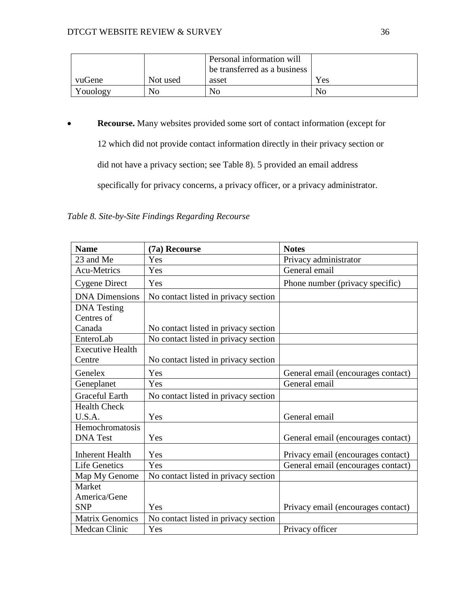|          |          | Personal information will    |     |
|----------|----------|------------------------------|-----|
|          |          | be transferred as a business |     |
| vuGene   | Not used | asset                        | Yes |
| Youology | No       | N <sub>o</sub>               | No  |

**Recourse.** Many websites provided some sort of contact information (except for

12 which did not provide contact information directly in their privacy section or

did not have a privacy section; see Table 8). 5 provided an email address

specifically for privacy concerns, a privacy officer, or a privacy administrator.

<span id="page-35-0"></span>*Table 8. Site-by-Site Findings Regarding Recourse*

| <b>Name</b>             | (7a) Recourse                        | <b>Notes</b>                       |
|-------------------------|--------------------------------------|------------------------------------|
| 23 and Me               | Yes                                  | Privacy administrator              |
| <b>Acu-Metrics</b>      | Yes                                  | General email                      |
| <b>Cygene Direct</b>    | Yes                                  | Phone number (privacy specific)    |
| <b>DNA</b> Dimensions   | No contact listed in privacy section |                                    |
| <b>DNA</b> Testing      |                                      |                                    |
| Centres of              |                                      |                                    |
| Canada                  | No contact listed in privacy section |                                    |
| EnteroLab               | No contact listed in privacy section |                                    |
| <b>Executive Health</b> |                                      |                                    |
| Centre                  | No contact listed in privacy section |                                    |
| Genelex                 | Yes                                  | General email (encourages contact) |
| Geneplanet              | Yes                                  | General email                      |
| <b>Graceful Earth</b>   | No contact listed in privacy section |                                    |
| <b>Health Check</b>     |                                      |                                    |
| U.S.A.                  | Yes                                  | General email                      |
| Hemochromatosis         |                                      |                                    |
| <b>DNA</b> Test         | Yes                                  | General email (encourages contact) |
| <b>Inherent Health</b>  | Yes                                  | Privacy email (encourages contact) |
| <b>Life Genetics</b>    | Yes                                  | General email (encourages contact) |
| Map My Genome           | No contact listed in privacy section |                                    |
| Market                  |                                      |                                    |
| America/Gene            |                                      |                                    |
| <b>SNP</b>              | Yes                                  | Privacy email (encourages contact) |
| <b>Matrix Genomics</b>  | No contact listed in privacy section |                                    |
| Medcan Clinic           | Yes                                  | Privacy officer                    |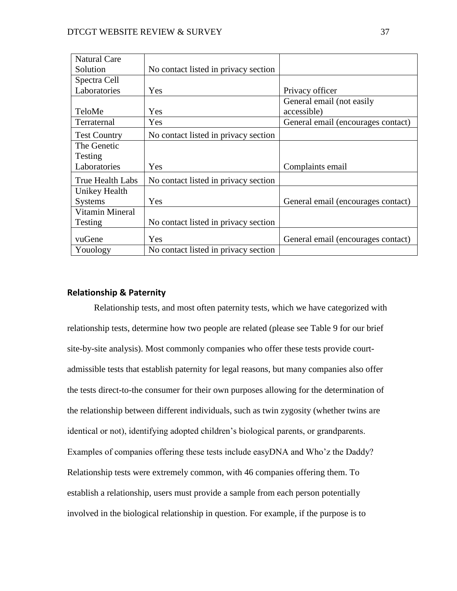| <b>Natural Care</b> |                                      |                                    |
|---------------------|--------------------------------------|------------------------------------|
| Solution            | No contact listed in privacy section |                                    |
| Spectra Cell        |                                      |                                    |
| Laboratories        | Yes                                  | Privacy officer                    |
|                     |                                      | General email (not easily          |
| TeloMe              | Yes                                  | accessible)                        |
| Terraternal         | Yes                                  | General email (encourages contact) |
| <b>Test Country</b> | No contact listed in privacy section |                                    |
| The Genetic         |                                      |                                    |
| Testing             |                                      |                                    |
| Laboratories        | Yes                                  | Complaints email                   |
| True Health Labs    | No contact listed in privacy section |                                    |
| Unikey Health       |                                      |                                    |
| <b>Systems</b>      | Yes                                  | General email (encourages contact) |
| Vitamin Mineral     |                                      |                                    |
| Testing             | No contact listed in privacy section |                                    |
| vuGene              | Yes                                  | General email (encourages contact) |
| Youology            | No contact listed in privacy section |                                    |

# **Relationship & Paternity**

Relationship tests, and most often paternity tests, which we have categorized with relationship tests, determine how two people are related (please see Table 9 for our brief site-by-site analysis). Most commonly companies who offer these tests provide courtadmissible tests that establish paternity for legal reasons, but many companies also offer the tests direct-to-the consumer for their own purposes allowing for the determination of the relationship between different individuals, such as twin zygosity (whether twins are identical or not), identifying adopted children's biological parents, or grandparents. Examples of companies offering these tests include easyDNA and Who'z the Daddy? Relationship tests were extremely common, with 46 companies offering them. To establish a relationship, users must provide a sample from each person potentially involved in the biological relationship in question. For example, if the purpose is to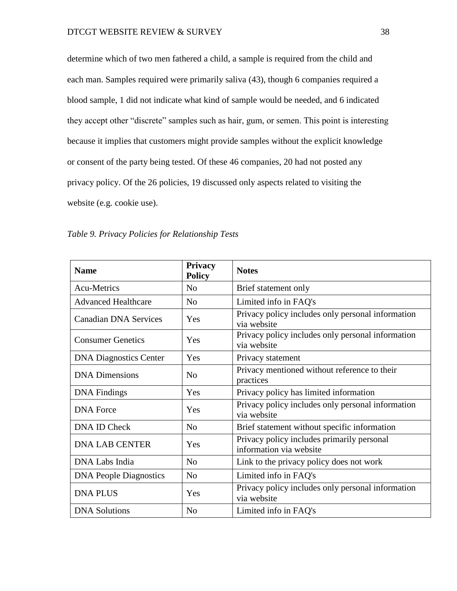determine which of two men fathered a child, a sample is required from the child and each man. Samples required were primarily saliva (43), though 6 companies required a blood sample, 1 did not indicate what kind of sample would be needed, and 6 indicated they accept other "discrete" samples such as hair, gum, or semen. This point is interesting because it implies that customers might provide samples without the explicit knowledge or consent of the party being tested. Of these 46 companies, 20 had not posted any privacy policy. Of the 26 policies, 19 discussed only aspects related to visiting the website (e.g. cookie use).

| <b>Name</b>                   | Privacy<br><b>Policy</b> | <b>Notes</b>                                                          |  |
|-------------------------------|--------------------------|-----------------------------------------------------------------------|--|
| <b>Acu-Metrics</b>            | N <sub>0</sub>           | Brief statement only                                                  |  |
| <b>Advanced Healthcare</b>    | N <sub>o</sub>           | Limited info in FAQ's                                                 |  |
| Canadian DNA Services         | Yes                      | Privacy policy includes only personal information<br>via website      |  |
| <b>Consumer Genetics</b>      | Yes                      | Privacy policy includes only personal information<br>via website      |  |
| <b>DNA Diagnostics Center</b> | Yes                      | Privacy statement                                                     |  |
| <b>DNA</b> Dimensions         | N <sub>0</sub>           | Privacy mentioned without reference to their<br>practices             |  |
| <b>DNA</b> Findings           | Yes                      | Privacy policy has limited information                                |  |
| <b>DNA</b> Force              | Yes                      | Privacy policy includes only personal information<br>via website      |  |
| DNA ID Check                  | N <sub>o</sub>           | Brief statement without specific information                          |  |
| <b>DNA LAB CENTER</b>         | Yes                      | Privacy policy includes primarily personal<br>information via website |  |
| DNA Labs India                | N <sub>0</sub>           | Link to the privacy policy does not work                              |  |
| <b>DNA People Diagnostics</b> | N <sub>o</sub>           | Limited info in FAQ's                                                 |  |
| <b>DNA PLUS</b>               | Yes                      | Privacy policy includes only personal information<br>via website      |  |
| <b>DNA</b> Solutions          | N <sub>0</sub>           | Limited info in FAQ's                                                 |  |

*Table 9. Privacy Policies for Relationship Tests*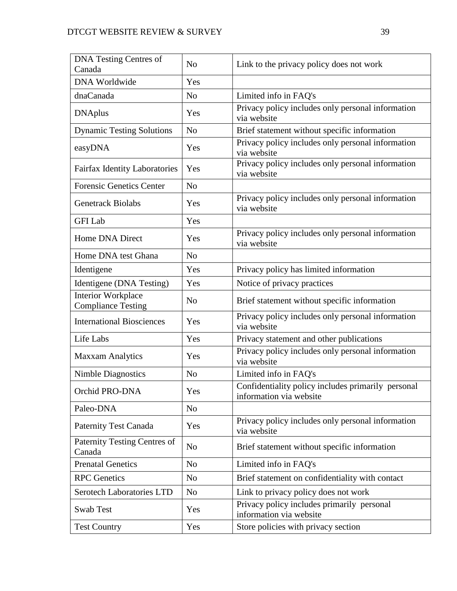| <b>DNA Testing Centres of</b><br>Canada                | N <sub>o</sub> | Link to the privacy policy does not work                                      |  |
|--------------------------------------------------------|----------------|-------------------------------------------------------------------------------|--|
| <b>DNA Worldwide</b>                                   | Yes            |                                                                               |  |
| dnaCanada                                              | N <sub>o</sub> | Limited info in FAQ's                                                         |  |
| <b>DNAplus</b>                                         | Yes            | Privacy policy includes only personal information<br>via website              |  |
| <b>Dynamic Testing Solutions</b>                       | N <sub>o</sub> | Brief statement without specific information                                  |  |
| easyDNA                                                | Yes            | Privacy policy includes only personal information<br>via website              |  |
| <b>Fairfax Identity Laboratories</b>                   | Yes            | Privacy policy includes only personal information<br>via website              |  |
| <b>Forensic Genetics Center</b>                        | N <sub>o</sub> |                                                                               |  |
| <b>Genetrack Biolabs</b>                               | Yes            | Privacy policy includes only personal information<br>via website              |  |
| <b>GFI</b> Lab                                         | Yes            |                                                                               |  |
| Home DNA Direct                                        | Yes            | Privacy policy includes only personal information<br>via website              |  |
| Home DNA test Ghana                                    | N <sub>o</sub> |                                                                               |  |
| Identigene                                             | Yes            | Privacy policy has limited information                                        |  |
| Identigene (DNA Testing)                               | Yes            | Notice of privacy practices                                                   |  |
| <b>Interior Workplace</b><br><b>Compliance Testing</b> | N <sub>o</sub> | Brief statement without specific information                                  |  |
| <b>International Biosciences</b>                       | Yes            | Privacy policy includes only personal information<br>via website              |  |
| Life Labs                                              | Yes            | Privacy statement and other publications                                      |  |
| <b>Maxxam Analytics</b>                                | Yes            | Privacy policy includes only personal information<br>via website              |  |
| <b>Nimble Diagnostics</b>                              | N <sub>o</sub> | Limited info in FAQ's                                                         |  |
| Orchid PRO-DNA                                         | Yes            | Confidentiality policy includes primarily personal<br>information via website |  |
| Paleo-DNA                                              | N <sub>o</sub> |                                                                               |  |
| <b>Paternity Test Canada</b>                           | Yes            | Privacy policy includes only personal information<br>via website              |  |
| Paternity Testing Centres of<br>Canada                 | N <sub>o</sub> | Brief statement without specific information                                  |  |
| <b>Prenatal Genetics</b>                               | N <sub>o</sub> | Limited info in FAQ's                                                         |  |
| <b>RPC</b> Genetics                                    | N <sub>o</sub> | Brief statement on confidentiality with contact                               |  |
| <b>Serotech Laboratories LTD</b>                       | N <sub>o</sub> | Link to privacy policy does not work                                          |  |
| Swab Test                                              | Yes            | Privacy policy includes primarily personal<br>information via website         |  |
| <b>Test Country</b>                                    | Yes            | Store policies with privacy section                                           |  |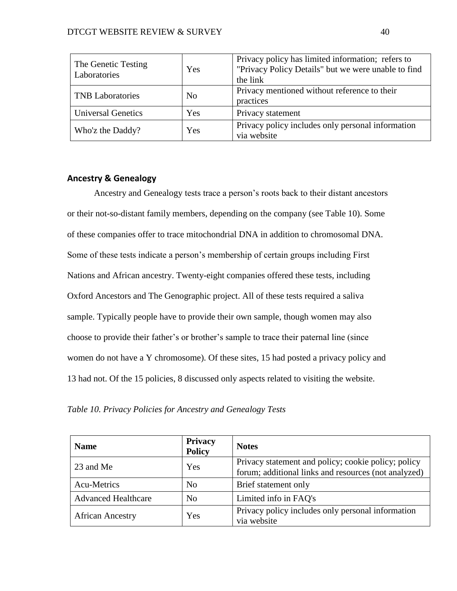| The Genetic Testing<br>Laboratories | Yes            | Privacy policy has limited information; refers to<br>"Privacy Policy Details" but we were unable to find<br>the link |
|-------------------------------------|----------------|----------------------------------------------------------------------------------------------------------------------|
| <b>TNB</b> Laboratories             | N <sub>0</sub> | Privacy mentioned without reference to their<br>practices                                                            |
| <b>Universal Genetics</b>           | Yes            | Privacy statement                                                                                                    |
| Who'z the Daddy?                    | Yes            | Privacy policy includes only personal information<br>via website                                                     |

# **Ancestry & Genealogy**

Ancestry and Genealogy tests trace a person's roots back to their distant ancestors or their not-so-distant family members, depending on the company (see Table 10). Some of these companies offer to trace mitochondrial DNA in addition to chromosomal DNA. Some of these tests indicate a person's membership of certain groups including First Nations and African ancestry. Twenty-eight companies offered these tests, including Oxford Ancestors and The Genographic project. All of these tests required a saliva sample. Typically people have to provide their own sample, though women may also choose to provide their father's or brother's sample to trace their paternal line (since women do not have a Y chromosome). Of these sites, 15 had posted a privacy policy and 13 had not. Of the 15 policies, 8 discussed only aspects related to visiting the website.

*Table 10. Privacy Policies for Ancestry and Genealogy Tests*

| <b>Name</b>                | <b>Privacy</b><br><b>Policy</b> | <b>Notes</b>                                                                                                |
|----------------------------|---------------------------------|-------------------------------------------------------------------------------------------------------------|
| 23 and Me                  | Yes                             | Privacy statement and policy; cookie policy; policy<br>forum; additional links and resources (not analyzed) |
| Acu-Metrics                | N <sub>0</sub>                  | Brief statement only                                                                                        |
| <b>Advanced Healthcare</b> | N <sub>0</sub>                  | Limited info in FAQ's                                                                                       |
| <b>African Ancestry</b>    | Yes                             | Privacy policy includes only personal information<br>via website                                            |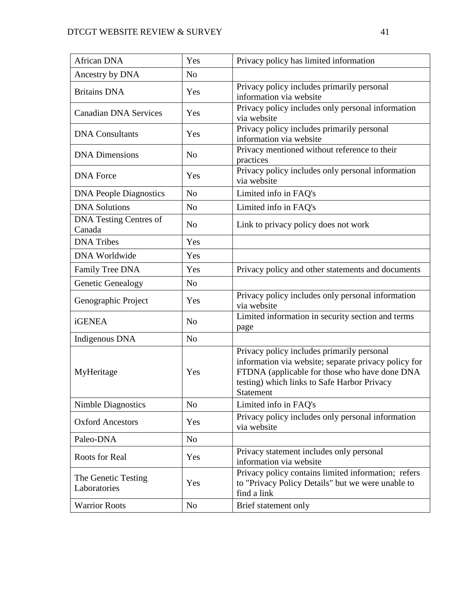| African DNA                             | Yes            | Privacy policy has limited information                                                                                                                                                                          |  |
|-----------------------------------------|----------------|-----------------------------------------------------------------------------------------------------------------------------------------------------------------------------------------------------------------|--|
| Ancestry by DNA                         | N <sub>o</sub> |                                                                                                                                                                                                                 |  |
| <b>Britains DNA</b>                     | Yes            | Privacy policy includes primarily personal<br>information via website                                                                                                                                           |  |
| <b>Canadian DNA Services</b>            | Yes            | Privacy policy includes only personal information<br>via website                                                                                                                                                |  |
| <b>DNA</b> Consultants                  | Yes            | Privacy policy includes primarily personal<br>information via website                                                                                                                                           |  |
| <b>DNA</b> Dimensions                   | N <sub>o</sub> | Privacy mentioned without reference to their<br>practices                                                                                                                                                       |  |
| <b>DNA</b> Force                        | Yes            | Privacy policy includes only personal information<br>via website                                                                                                                                                |  |
| <b>DNA People Diagnostics</b>           | N <sub>o</sub> | Limited info in FAQ's                                                                                                                                                                                           |  |
| <b>DNA Solutions</b>                    | N <sub>o</sub> | Limited info in FAQ's                                                                                                                                                                                           |  |
| <b>DNA Testing Centres of</b><br>Canada | N <sub>o</sub> | Link to privacy policy does not work                                                                                                                                                                            |  |
| <b>DNA</b> Tribes                       | Yes            |                                                                                                                                                                                                                 |  |
| <b>DNA Worldwide</b>                    | Yes            |                                                                                                                                                                                                                 |  |
| Family Tree DNA                         | Yes            | Privacy policy and other statements and documents                                                                                                                                                               |  |
| Genetic Genealogy                       | N <sub>o</sub> |                                                                                                                                                                                                                 |  |
| Genographic Project                     | Yes            | Privacy policy includes only personal information<br>via website                                                                                                                                                |  |
| <b>iGENEA</b>                           | N <sub>o</sub> | Limited information in security section and terms<br>page                                                                                                                                                       |  |
| Indigenous DNA                          | N <sub>o</sub> |                                                                                                                                                                                                                 |  |
| MyHeritage                              | Yes            | Privacy policy includes primarily personal<br>information via website; separate privacy policy for<br>FTDNA (applicable for those who have done DNA<br>testing) which links to Safe Harbor Privacy<br>Statement |  |
| <b>Nimble Diagnostics</b>               | N <sub>o</sub> | Limited info in FAQ's                                                                                                                                                                                           |  |
| <b>Oxford Ancestors</b>                 | Yes            | Privacy policy includes only personal information<br>via website                                                                                                                                                |  |
| Paleo-DNA                               | No             |                                                                                                                                                                                                                 |  |
| <b>Roots for Real</b>                   | Yes            | Privacy statement includes only personal<br>information via website                                                                                                                                             |  |
| The Genetic Testing<br>Laboratories     | Yes            | Privacy policy contains limited information; refers<br>to "Privacy Policy Details" but we were unable to<br>find a link                                                                                         |  |
| <b>Warrior Roots</b>                    | N <sub>0</sub> | Brief statement only                                                                                                                                                                                            |  |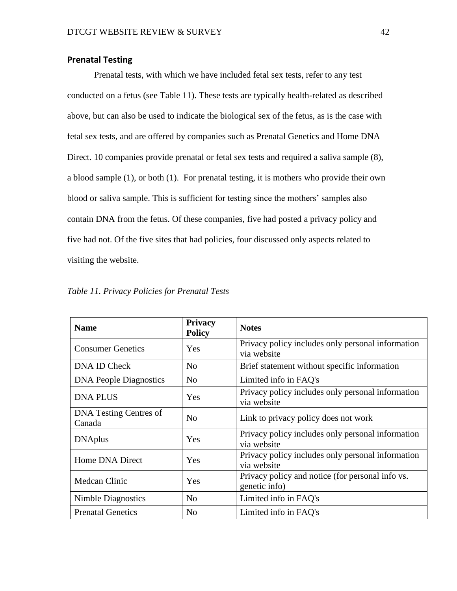## **Prenatal Testing**

Prenatal tests, with which we have included fetal sex tests, refer to any test conducted on a fetus (see Table 11). These tests are typically health-related as described above, but can also be used to indicate the biological sex of the fetus, as is the case with fetal sex tests, and are offered by companies such as Prenatal Genetics and Home DNA Direct. 10 companies provide prenatal or fetal sex tests and required a saliva sample (8), a blood sample (1), or both (1). For prenatal testing, it is mothers who provide their own blood or saliva sample. This is sufficient for testing since the mothers' samples also contain DNA from the fetus. Of these companies, five had posted a privacy policy and five had not. Of the five sites that had policies, four discussed only aspects related to visiting the website.

| <b>Name</b>                             | <b>Privacy</b><br><b>Policy</b> | <b>Notes</b>                                                      |  |
|-----------------------------------------|---------------------------------|-------------------------------------------------------------------|--|
| <b>Consumer Genetics</b>                | Yes                             | Privacy policy includes only personal information<br>via website  |  |
| DNA ID Check                            | N <sub>0</sub>                  | Brief statement without specific information                      |  |
| <b>DNA People Diagnostics</b>           | N <sub>0</sub>                  | Limited info in FAQ's                                             |  |
| <b>DNA PLUS</b>                         | Yes                             | Privacy policy includes only personal information<br>via website  |  |
| <b>DNA Testing Centres of</b><br>Canada | N <sub>0</sub>                  | Link to privacy policy does not work                              |  |
| <b>DNAplus</b>                          | Yes                             | Privacy policy includes only personal information<br>via website  |  |
| Home DNA Direct                         | Yes                             | Privacy policy includes only personal information<br>via website  |  |
| Medcan Clinic                           | Yes                             | Privacy policy and notice (for personal info vs.<br>genetic info) |  |
| Nimble Diagnostics                      | N <sub>o</sub>                  | Limited info in FAQ's                                             |  |
| <b>Prenatal Genetics</b>                | N <sub>o</sub>                  | Limited info in FAQ's                                             |  |

*Table 11. Privacy Policies for Prenatal Tests*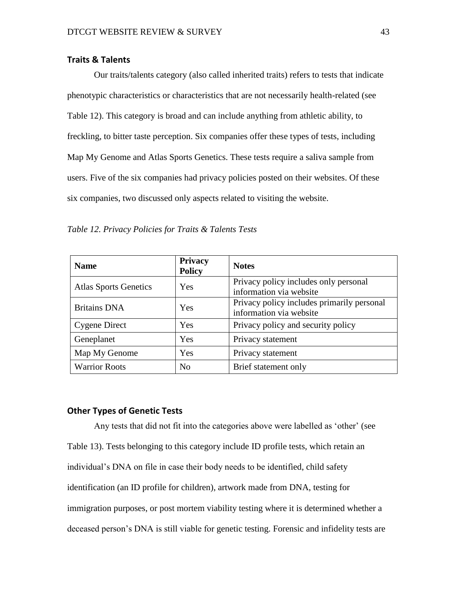## **Traits & Talents**

Our traits/talents category (also called inherited traits) refers to tests that indicate phenotypic characteristics or characteristics that are not necessarily health-related (see Table 12). This category is broad and can include anything from athletic ability, to freckling, to bitter taste perception. Six companies offer these types of tests, including Map My Genome and Atlas Sports Genetics. These tests require a saliva sample from users. Five of the six companies had privacy policies posted on their websites. Of these six companies, two discussed only aspects related to visiting the website.

*Table 12. Privacy Policies for Traits & Talents Tests*

| <b>Name</b>                  | <b>Privacy</b><br><b>Policy</b> | <b>Notes</b>                                                          |
|------------------------------|---------------------------------|-----------------------------------------------------------------------|
| <b>Atlas Sports Genetics</b> | Yes                             | Privacy policy includes only personal<br>information via website      |
| <b>Britains DNA</b>          | Yes                             | Privacy policy includes primarily personal<br>information via website |
| <b>Cygene Direct</b>         | Yes                             | Privacy policy and security policy                                    |
| Geneplanet                   | Yes                             | Privacy statement                                                     |
| Map My Genome                | Yes                             | Privacy statement                                                     |
| <b>Warrior Roots</b>         | N <sub>0</sub>                  | Brief statement only                                                  |

#### **Other Types of Genetic Tests**

Any tests that did not fit into the categories above were labelled as 'other' (see Table 13). Tests belonging to this category include ID profile tests, which retain an individual's DNA on file in case their body needs to be identified, child safety identification (an ID profile for children), artwork made from DNA, testing for immigration purposes, or post mortem viability testing where it is determined whether a deceased person's DNA is still viable for genetic testing. Forensic and infidelity tests are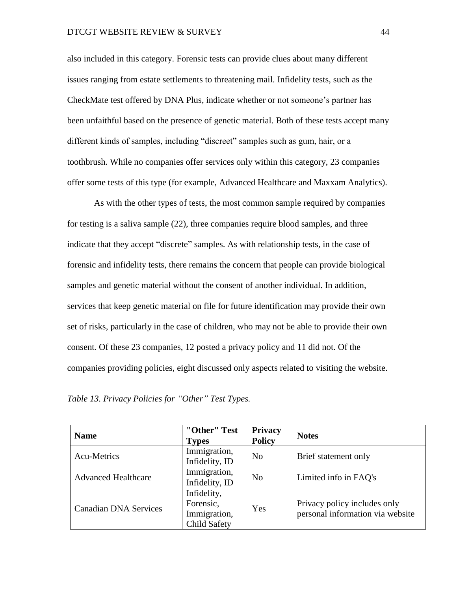also included in this category. Forensic tests can provide clues about many different issues ranging from estate settlements to threatening mail. Infidelity tests, such as the CheckMate test offered by DNA Plus, indicate whether or not someone's partner has been unfaithful based on the presence of genetic material. Both of these tests accept many different kinds of samples, including "discreet" samples such as gum, hair, or a toothbrush. While no companies offer services only within this category, 23 companies offer some tests of this type (for example, Advanced Healthcare and Maxxam Analytics).

As with the other types of tests, the most common sample required by companies for testing is a saliva sample (22), three companies require blood samples, and three indicate that they accept "discrete" samples. As with relationship tests, in the case of forensic and infidelity tests, there remains the concern that people can provide biological samples and genetic material without the consent of another individual. In addition, services that keep genetic material on file for future identification may provide their own set of risks, particularly in the case of children, who may not be able to provide their own consent. Of these 23 companies, 12 posted a privacy policy and 11 did not. Of the companies providing policies, eight discussed only aspects related to visiting the website.

| Table 13. Privacy Policies for "Other" Test Types. |  |
|----------------------------------------------------|--|
|----------------------------------------------------|--|

| <b>Name</b>                  | "Other" Test<br><b>Types</b>                             | <b>Privacy</b><br><b>Policy</b> | <b>Notes</b>                                                     |
|------------------------------|----------------------------------------------------------|---------------------------------|------------------------------------------------------------------|
| Acu-Metrics                  | Immigration,<br>Infidelity, ID                           | N <sub>o</sub>                  | Brief statement only                                             |
| <b>Advanced Healthcare</b>   | Immigration,<br>Infidelity, ID                           | N <sub>0</sub>                  | Limited info in FAQ's                                            |
| <b>Canadian DNA Services</b> | Infidelity,<br>Forensic,<br>Immigration,<br>Child Safety | Yes                             | Privacy policy includes only<br>personal information via website |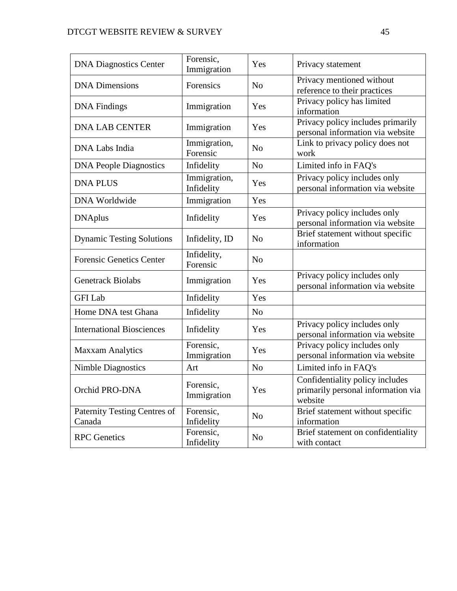| <b>DNA Diagnostics Center</b>          | Forensic,<br>Immigration   | Yes            | Privacy statement                                                                |
|----------------------------------------|----------------------------|----------------|----------------------------------------------------------------------------------|
| <b>DNA</b> Dimensions                  | Forensics                  | N <sub>o</sub> | Privacy mentioned without<br>reference to their practices                        |
| <b>DNA</b> Findings                    | Immigration                | Yes            | Privacy policy has limited<br>information                                        |
| <b>DNA LAB CENTER</b>                  | Immigration                | Yes            | Privacy policy includes primarily<br>personal information via website            |
| DNA Labs India                         | Immigration,<br>Forensic   | N <sub>o</sub> | Link to privacy policy does not<br>work                                          |
| <b>DNA People Diagnostics</b>          | Infidelity                 | N <sub>o</sub> | Limited info in FAQ's                                                            |
| <b>DNA PLUS</b>                        | Immigration,<br>Infidelity | Yes            | Privacy policy includes only<br>personal information via website                 |
| <b>DNA Worldwide</b>                   | Immigration                | Yes            |                                                                                  |
| <b>DNAplus</b>                         | Infidelity                 | Yes            | Privacy policy includes only<br>personal information via website                 |
| <b>Dynamic Testing Solutions</b>       | Infidelity, ID             | N <sub>o</sub> | Brief statement without specific<br>information                                  |
| <b>Forensic Genetics Center</b>        | Infidelity,<br>Forensic    | N <sub>o</sub> |                                                                                  |
| <b>Genetrack Biolabs</b>               | Immigration                | Yes            | Privacy policy includes only<br>personal information via website                 |
| <b>GFI</b> Lab                         | Infidelity                 | Yes            |                                                                                  |
| Home DNA test Ghana                    | Infidelity                 | $\rm No$       |                                                                                  |
| <b>International Biosciences</b>       | Infidelity                 | Yes            | Privacy policy includes only<br>personal information via website                 |
| <b>Maxxam Analytics</b>                | Forensic,<br>Immigration   | Yes            | Privacy policy includes only<br>personal information via website                 |
| <b>Nimble Diagnostics</b>              | Art                        | N <sub>o</sub> | Limited info in FAQ's                                                            |
| Orchid PRO-DNA                         | Forensic,<br>Immigration   | Yes            | Confidentiality policy includes<br>primarily personal information via<br>website |
| Paternity Testing Centres of<br>Canada | Forensic,<br>Infidelity    | N <sub>o</sub> | Brief statement without specific<br>information                                  |
| <b>RPC</b> Genetics                    | Forensic,<br>Infidelity    | N <sub>0</sub> | Brief statement on confidentiality<br>with contact                               |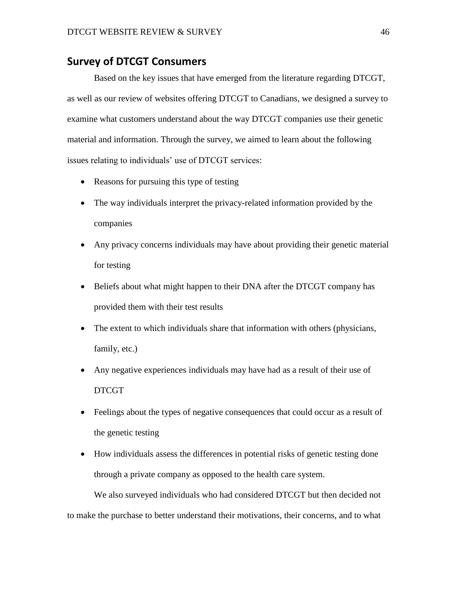# **Survey of DTCGT Consumers**

Based on the key issues that have emerged from the literature regarding DTCGT, as well as our review of websites offering DTCGT to Canadians, we designed a survey to examine what customers understand about the way DTCGT companies use their genetic material and information. Through the survey, we aimed to learn about the following issues relating to individuals' use of DTCGT services:

- Reasons for pursuing this type of testing
- The way individuals interpret the privacy-related information provided by the companies
- Any privacy concerns individuals may have about providing their genetic material for testing
- Beliefs about what might happen to their DNA after the DTCGT company has provided them with their test results
- The extent to which individuals share that information with others (physicians, family, etc.)
- Any negative experiences individuals may have had as a result of their use of DTCGT
- Feelings about the types of negative consequences that could occur as a result of the genetic testing
- How individuals assess the differences in potential risks of genetic testing done through a private company as opposed to the health care system.

We also surveyed individuals who had considered DTCGT but then decided not to make the purchase to better understand their motivations, their concerns, and to what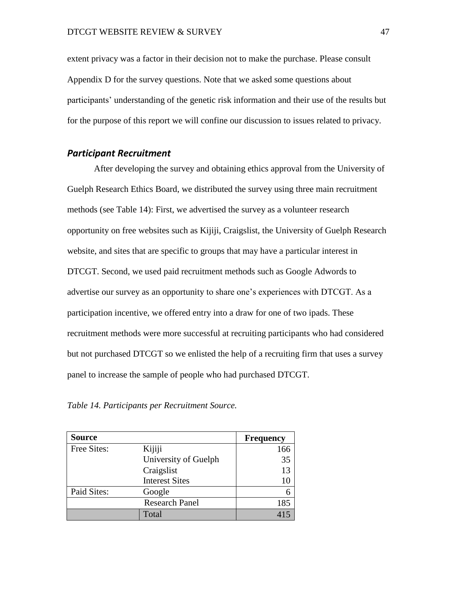extent privacy was a factor in their decision not to make the purchase. Please consult Appendix D for the survey questions. Note that we asked some questions about participants' understanding of the genetic risk information and their use of the results but for the purpose of this report we will confine our discussion to issues related to privacy.

#### *Participant Recruitment*

After developing the survey and obtaining ethics approval from the University of Guelph Research Ethics Board, we distributed the survey using three main recruitment methods (see Table 14): First, we advertised the survey as a volunteer research opportunity on free websites such as Kijiji, Craigslist, the University of Guelph Research website, and sites that are specific to groups that may have a particular interest in DTCGT. Second, we used paid recruitment methods such as Google Adwords to advertise our survey as an opportunity to share one's experiences with DTCGT. As a participation incentive, we offered entry into a draw for one of two ipads. These recruitment methods were more successful at recruiting participants who had considered but not purchased DTCGT so we enlisted the help of a recruiting firm that uses a survey panel to increase the sample of people who had purchased DTCGT.

*Table 14. Participants per Recruitment Source.*

| <b>Source</b> |                       | <b>Frequency</b> |
|---------------|-----------------------|------------------|
| Free Sites:   | Kijiji                | 166              |
|               | University of Guelph  | 35               |
|               | Craigslist            | 13               |
|               | <b>Interest Sites</b> | 10               |
| Paid Sites:   | Google                |                  |
|               | <b>Research Panel</b> | 185              |
|               | Total                 |                  |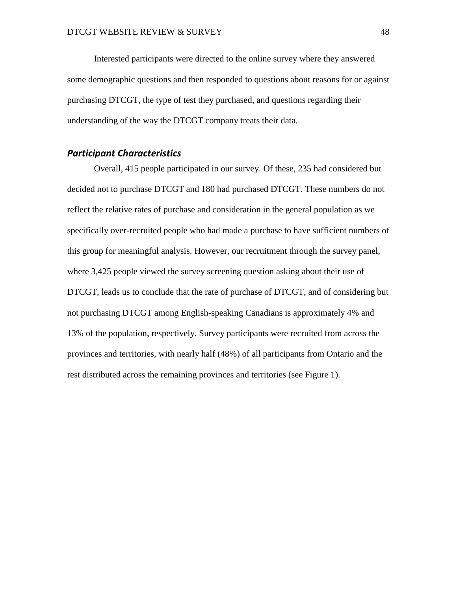Interested participants were directed to the online survey where they answered some demographic questions and then responded to questions about reasons for or against purchasing DTCGT, the type of test they purchased, and questions regarding their understanding of the way the DTCGT company treats their data.

# *Participant Characteristics*

Overall, 415 people participated in our survey. Of these, 235 had considered but decided not to purchase DTCGT and 180 had purchased DTCGT. These numbers do not reflect the relative rates of purchase and consideration in the general population as we specifically over-recruited people who had made a purchase to have sufficient numbers of this group for meaningful analysis. However, our recruitment through the survey panel, where 3,425 people viewed the survey screening question asking about their use of DTCGT, leads us to conclude that the rate of purchase of DTCGT, and of considering but not purchasing DTCGT among English-speaking Canadians is approximately 4% and 13% of the population, respectively. Survey participants were recruited from across the provinces and territories, with nearly half (48%) of all participants from Ontario and the rest distributed across the remaining provinces and territories (see Figure 1).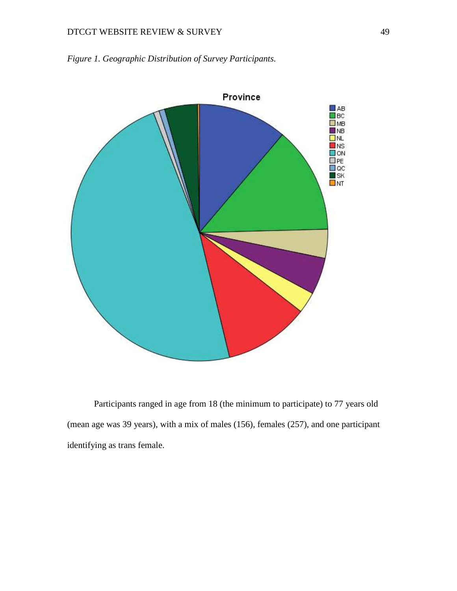

*Figure 1. Geographic Distribution of Survey Participants.*

Participants ranged in age from 18 (the minimum to participate) to 77 years old (mean age was 39 years), with a mix of males (156), females (257), and one participant identifying as trans female.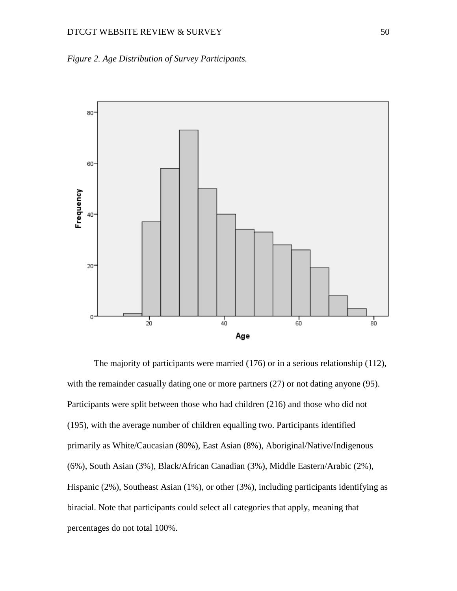



The majority of participants were married (176) or in a serious relationship (112), with the remainder casually dating one or more partners (27) or not dating anyone (95). Participants were split between those who had children (216) and those who did not (195), with the average number of children equalling two. Participants identified primarily as White/Caucasian (80%), East Asian (8%), Aboriginal/Native/Indigenous (6%), South Asian (3%), Black/African Canadian (3%), Middle Eastern/Arabic (2%), Hispanic (2%), Southeast Asian (1%), or other (3%), including participants identifying as biracial. Note that participants could select all categories that apply, meaning that percentages do not total 100%.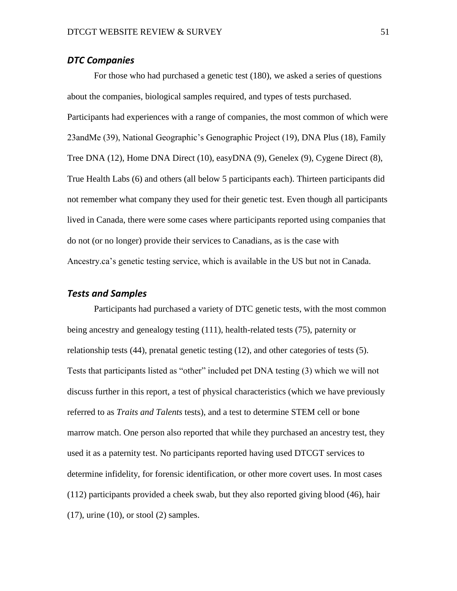### *DTC Companies*

For those who had purchased a genetic test (180), we asked a series of questions about the companies, biological samples required, and types of tests purchased. Participants had experiences with a range of companies, the most common of which were 23andMe (39), National Geographic's Genographic Project (19), DNA Plus (18), Family Tree DNA (12), Home DNA Direct (10), easyDNA (9), Genelex (9), Cygene Direct (8), True Health Labs (6) and others (all below 5 participants each). Thirteen participants did not remember what company they used for their genetic test. Even though all participants lived in Canada, there were some cases where participants reported using companies that do not (or no longer) provide their services to Canadians, as is the case with Ancestry.ca's genetic testing service, which is available in the US but not in Canada.

## *Tests and Samples*

Participants had purchased a variety of DTC genetic tests, with the most common being ancestry and genealogy testing (111), health-related tests (75), paternity or relationship tests (44), prenatal genetic testing (12), and other categories of tests (5). Tests that participants listed as "other" included pet DNA testing (3) which we will not discuss further in this report, a test of physical characteristics (which we have previously referred to as *Traits and Talents* tests), and a test to determine STEM cell or bone marrow match. One person also reported that while they purchased an ancestry test, they used it as a paternity test. No participants reported having used DTCGT services to determine infidelity, for forensic identification, or other more covert uses. In most cases (112) participants provided a cheek swab, but they also reported giving blood (46), hair  $(17)$ , urine  $(10)$ , or stool  $(2)$  samples.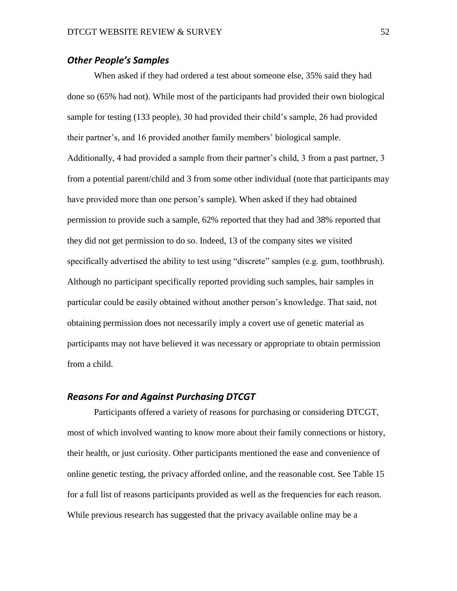## *Other People's Samples*

When asked if they had ordered a test about someone else, 35% said they had done so (65% had not). While most of the participants had provided their own biological sample for testing (133 people), 30 had provided their child's sample, 26 had provided their partner's, and 16 provided another family members' biological sample. Additionally, 4 had provided a sample from their partner's child, 3 from a past partner, 3 from a potential parent/child and 3 from some other individual (note that participants may have provided more than one person's sample). When asked if they had obtained permission to provide such a sample, 62% reported that they had and 38% reported that they did not get permission to do so. Indeed, 13 of the company sites we visited specifically advertised the ability to test using "discrete" samples (e.g. gum, toothbrush). Although no participant specifically reported providing such samples, hair samples in particular could be easily obtained without another person's knowledge. That said, not obtaining permission does not necessarily imply a covert use of genetic material as participants may not have believed it was necessary or appropriate to obtain permission from a child.

## *Reasons For and Against Purchasing DTCGT*

Participants offered a variety of reasons for purchasing or considering DTCGT, most of which involved wanting to know more about their family connections or history, their health, or just curiosity. Other participants mentioned the ease and convenience of online genetic testing, the privacy afforded online, and the reasonable cost. See Table 15 for a full list of reasons participants provided as well as the frequencies for each reason. While previous research has suggested that the privacy available online may be a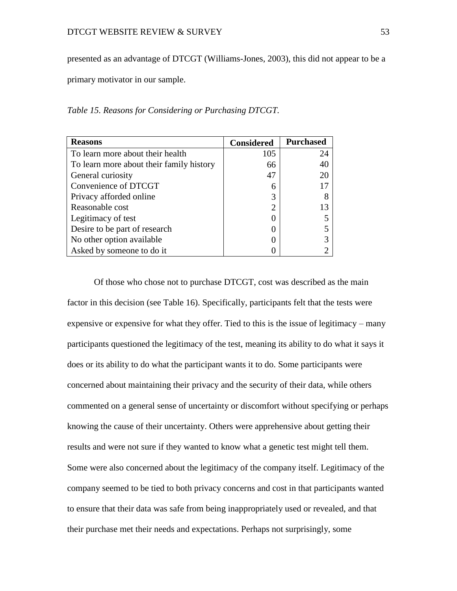presented as an advantage of DTCGT (Williams-Jones, 2003), this did not appear to be a

primary motivator in our sample.

*Table 15. Reasons for Considering or Purchasing DTCGT.*

| <b>Reasons</b>                           | <b>Considered</b>           | <b>Purchased</b> |
|------------------------------------------|-----------------------------|------------------|
| To learn more about their health         | 105                         | 24               |
| To learn more about their family history | 66                          | 40               |
| General curiosity                        | 47                          | 20               |
| Convenience of DTCGT                     | 6                           |                  |
| Privacy afforded online                  | 3                           |                  |
| Reasonable cost                          | $\mathcal{D}_{\mathcal{L}}$ | 13               |
| Legitimacy of test                       |                             |                  |
| Desire to be part of research            |                             |                  |
| No other option available                |                             |                  |
| Asked by someone to do it                |                             |                  |

Of those who chose not to purchase DTCGT, cost was described as the main factor in this decision (see Table 16). Specifically, participants felt that the tests were expensive or expensive for what they offer. Tied to this is the issue of legitimacy – many participants questioned the legitimacy of the test, meaning its ability to do what it says it does or its ability to do what the participant wants it to do. Some participants were concerned about maintaining their privacy and the security of their data, while others commented on a general sense of uncertainty or discomfort without specifying or perhaps knowing the cause of their uncertainty. Others were apprehensive about getting their results and were not sure if they wanted to know what a genetic test might tell them. Some were also concerned about the legitimacy of the company itself. Legitimacy of the company seemed to be tied to both privacy concerns and cost in that participants wanted to ensure that their data was safe from being inappropriately used or revealed, and that their purchase met their needs and expectations. Perhaps not surprisingly, some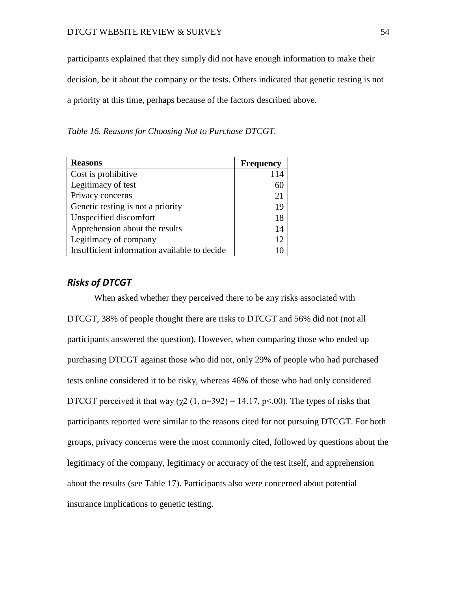participants explained that they simply did not have enough information to make their decision, be it about the company or the tests. Others indicated that genetic testing is not a priority at this time, perhaps because of the factors described above.

*Table 16. Reasons for Choosing Not to Purchase DTCGT.*

| <b>Reasons</b>                               | <b>Frequency</b> |
|----------------------------------------------|------------------|
| Cost is prohibitive                          |                  |
| Legitimacy of test                           |                  |
| Privacy concerns                             | 21               |
| Genetic testing is not a priority            | 19               |
| Unspecified discomfort                       | 18               |
| Apprehension about the results               | 14               |
| Legitimacy of company                        | 12               |
| Insufficient information available to decide |                  |

# *Risks of DTCGT*

When asked whether they perceived there to be any risks associated with DTCGT, 38% of people thought there are risks to DTCGT and 56% did not (not all participants answered the question). However, when comparing those who ended up purchasing DTCGT against those who did not, only 29% of people who had purchased tests online considered it to be risky, whereas 46% of those who had only considered DTCGT perceived it that way ( $\gamma$ 2 (1, n=392) = 14.17, p<.00). The types of risks that participants reported were similar to the reasons cited for not pursuing DTCGT. For both groups, privacy concerns were the most commonly cited, followed by questions about the legitimacy of the company, legitimacy or accuracy of the test itself, and apprehension about the results (see Table 17). Participants also were concerned about potential insurance implications to genetic testing.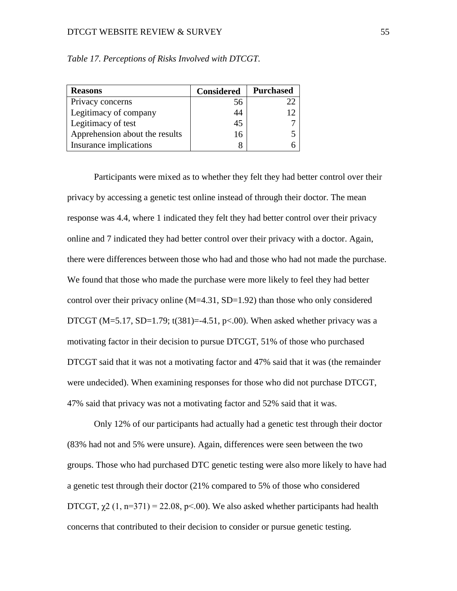#### DTCGT WEBSITE REVIEW & SURVEY 55

| <b>Reasons</b>                 | <b>Considered</b> | <b>Purchased</b> |
|--------------------------------|-------------------|------------------|
| Privacy concerns               | 56                |                  |
| Legitimacy of company          | 44                |                  |
| Legitimacy of test             | 45                |                  |
| Apprehension about the results | 16                |                  |
| Insurance implications         |                   |                  |

*Table 17. Perceptions of Risks Involved with DTCGT.*

Participants were mixed as to whether they felt they had better control over their privacy by accessing a genetic test online instead of through their doctor. The mean response was 4.4, where 1 indicated they felt they had better control over their privacy online and 7 indicated they had better control over their privacy with a doctor. Again, there were differences between those who had and those who had not made the purchase. We found that those who made the purchase were more likely to feel they had better control over their privacy online  $(M=4.31, SD=1.92)$  than those who only considered DTCGT (M=5.17, SD=1.79; t(381)=-4.51, p<.00). When asked whether privacy was a motivating factor in their decision to pursue DTCGT, 51% of those who purchased DTCGT said that it was not a motivating factor and 47% said that it was (the remainder were undecided). When examining responses for those who did not purchase DTCGT, 47% said that privacy was not a motivating factor and 52% said that it was.

Only 12% of our participants had actually had a genetic test through their doctor (83% had not and 5% were unsure). Again, differences were seen between the two groups. Those who had purchased DTC genetic testing were also more likely to have had a genetic test through their doctor (21% compared to 5% of those who considered DTCGT,  $\chi$ 2 (1, n=371) = 22.08, p<.00). We also asked whether participants had health concerns that contributed to their decision to consider or pursue genetic testing.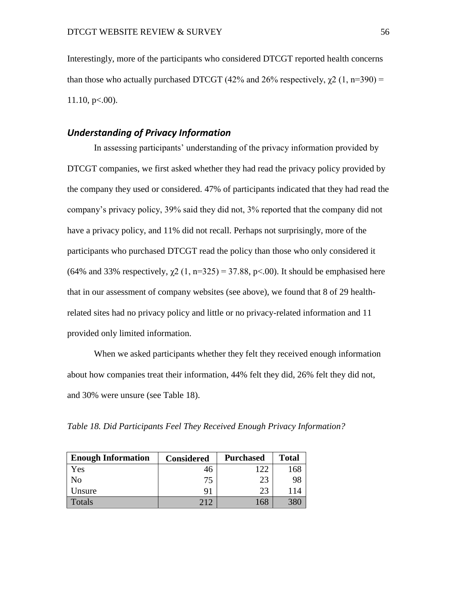Interestingly, more of the participants who considered DTCGT reported health concerns than those who actually purchased DTCGT (42% and 26% respectively,  $\chi$ 2 (1, n=390) =  $11.10$ , p $<00$ ).

# *Understanding of Privacy Information*

In assessing participants' understanding of the privacy information provided by DTCGT companies, we first asked whether they had read the privacy policy provided by the company they used or considered. 47% of participants indicated that they had read the company's privacy policy, 39% said they did not, 3% reported that the company did not have a privacy policy, and 11% did not recall. Perhaps not surprisingly, more of the participants who purchased DTCGT read the policy than those who only considered it (64% and 33% respectively,  $\chi$ 2 (1, n=325) = 37.88, p<.00). It should be emphasised here that in our assessment of company websites (see above), we found that 8 of 29 healthrelated sites had no privacy policy and little or no privacy-related information and 11 provided only limited information.

When we asked participants whether they felt they received enough information about how companies treat their information, 44% felt they did, 26% felt they did not, and 30% were unsure (see Table 18).

*Table 18. Did Participants Feel They Received Enough Privacy Information?*

| <b>Enough Information</b> | <b>Considered</b> | <b>Purchased</b> | <b>Total</b> |
|---------------------------|-------------------|------------------|--------------|
| Yes                       | 46                | 122              |              |
| No                        | 75                | 23               | 98           |
| Unsure                    | 91                | 23               | -14          |
| Totals                    | 212               | 168              |              |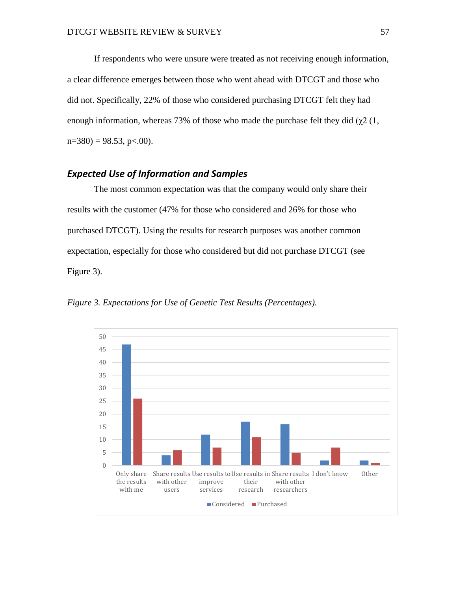If respondents who were unsure were treated as not receiving enough information, a clear difference emerges between those who went ahead with DTCGT and those who did not. Specifically, 22% of those who considered purchasing DTCGT felt they had enough information, whereas 73% of those who made the purchase felt they did ( $\chi$ 2 (1,  $n=380$ ) = 98.53, p<.00).

# *Expected Use of Information and Samples*

The most common expectation was that the company would only share their results with the customer (47% for those who considered and 26% for those who purchased DTCGT). Using the results for research purposes was another common expectation, especially for those who considered but did not purchase DTCGT (see Figure 3).

*Figure 3. Expectations for Use of Genetic Test Results (Percentages).*

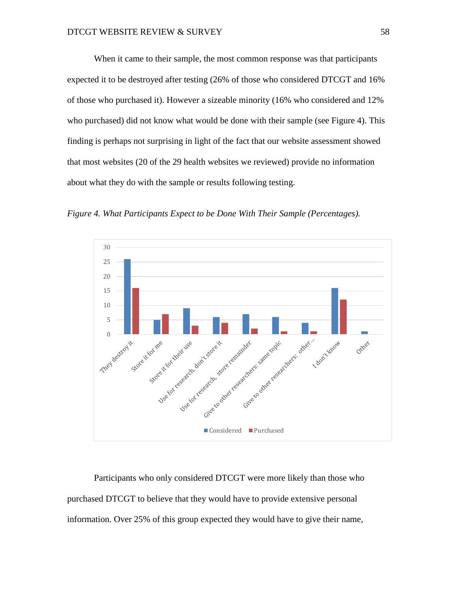When it came to their sample, the most common response was that participants expected it to be destroyed after testing (26% of those who considered DTCGT and 16% of those who purchased it). However a sizeable minority (16% who considered and 12% who purchased) did not know what would be done with their sample (see Figure 4). This finding is perhaps not surprising in light of the fact that our website assessment showed that most websites (20 of the 29 health websites we reviewed) provide no information about what they do with the sample or results following testing.

*Figure 4. What Participants Expect to be Done With Their Sample (Percentages).*



Participants who only considered DTCGT were more likely than those who purchased DTCGT to believe that they would have to provide extensive personal information. Over 25% of this group expected they would have to give their name,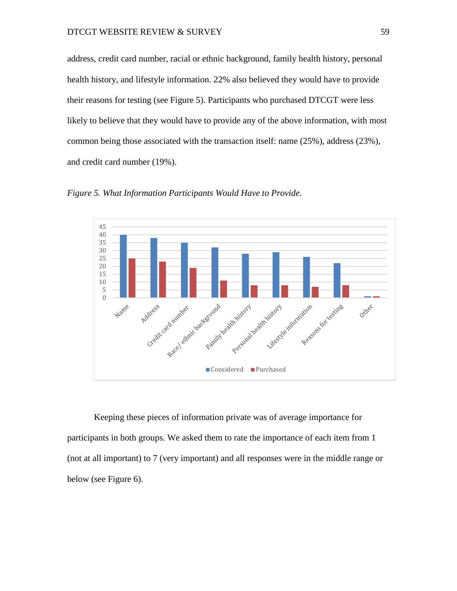address, credit card number, racial or ethnic background, family health history, personal health history, and lifestyle information. 22% also believed they would have to provide their reasons for testing (see Figure 5). Participants who purchased DTCGT were less likely to believe that they would have to provide any of the above information, with most common being those associated with the transaction itself: name (25%), address (23%), and credit card number (19%).





Keeping these pieces of information private was of average importance for participants in both groups. We asked them to rate the importance of each item from 1 (not at all important) to 7 (very important) and all responses were in the middle range or below (see Figure 6).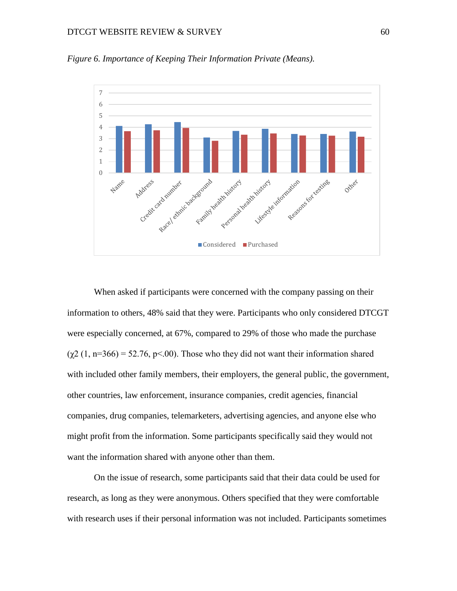#### DTCGT WEBSITE REVIEW & SURVEY 60



*Figure 6. Importance of Keeping Their Information Private (Means).*

When asked if participants were concerned with the company passing on their information to others, 48% said that they were. Participants who only considered DTCGT were especially concerned, at 67%, compared to 29% of those who made the purchase  $(\gamma 2 (1, n=366) = 52.76, p<0.00)$ . Those who they did not want their information shared with included other family members, their employers, the general public, the government, other countries, law enforcement, insurance companies, credit agencies, financial companies, drug companies, telemarketers, advertising agencies, and anyone else who might profit from the information. Some participants specifically said they would not want the information shared with anyone other than them.

On the issue of research, some participants said that their data could be used for research, as long as they were anonymous. Others specified that they were comfortable with research uses if their personal information was not included. Participants sometimes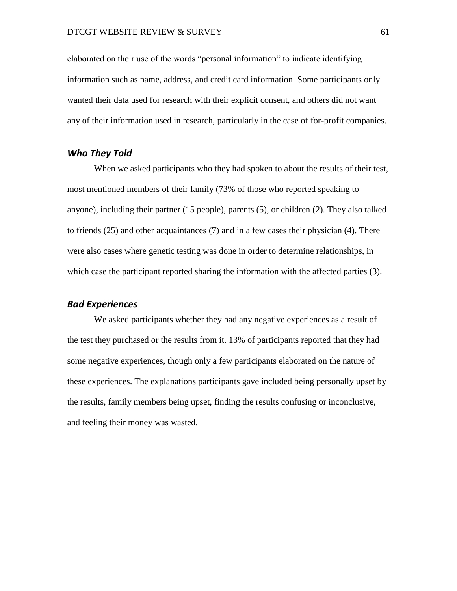elaborated on their use of the words "personal information" to indicate identifying information such as name, address, and credit card information. Some participants only wanted their data used for research with their explicit consent, and others did not want any of their information used in research, particularly in the case of for-profit companies.

# *Who They Told*

When we asked participants who they had spoken to about the results of their test, most mentioned members of their family (73% of those who reported speaking to anyone), including their partner (15 people), parents (5), or children (2). They also talked to friends (25) and other acquaintances (7) and in a few cases their physician (4). There were also cases where genetic testing was done in order to determine relationships, in which case the participant reported sharing the information with the affected parties (3).

# *Bad Experiences*

We asked participants whether they had any negative experiences as a result of the test they purchased or the results from it. 13% of participants reported that they had some negative experiences, though only a few participants elaborated on the nature of these experiences. The explanations participants gave included being personally upset by the results, family members being upset, finding the results confusing or inconclusive, and feeling their money was wasted.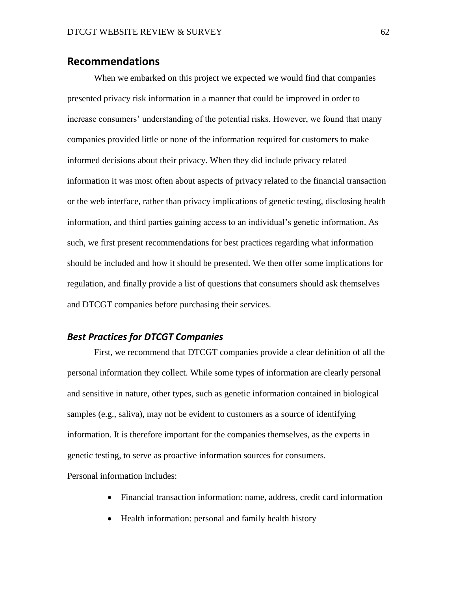# **Recommendations**

When we embarked on this project we expected we would find that companies presented privacy risk information in a manner that could be improved in order to increase consumers' understanding of the potential risks. However, we found that many companies provided little or none of the information required for customers to make informed decisions about their privacy. When they did include privacy related information it was most often about aspects of privacy related to the financial transaction or the web interface, rather than privacy implications of genetic testing, disclosing health information, and third parties gaining access to an individual's genetic information. As such, we first present recommendations for best practices regarding what information should be included and how it should be presented. We then offer some implications for regulation, and finally provide a list of questions that consumers should ask themselves and DTCGT companies before purchasing their services.

# *Best Practices for DTCGT Companies*

First, we recommend that DTCGT companies provide a clear definition of all the personal information they collect. While some types of information are clearly personal and sensitive in nature, other types, such as genetic information contained in biological samples (e.g., saliva), may not be evident to customers as a source of identifying information. It is therefore important for the companies themselves, as the experts in genetic testing, to serve as proactive information sources for consumers.

Personal information includes:

- Financial transaction information: name, address, credit card information
- Health information: personal and family health history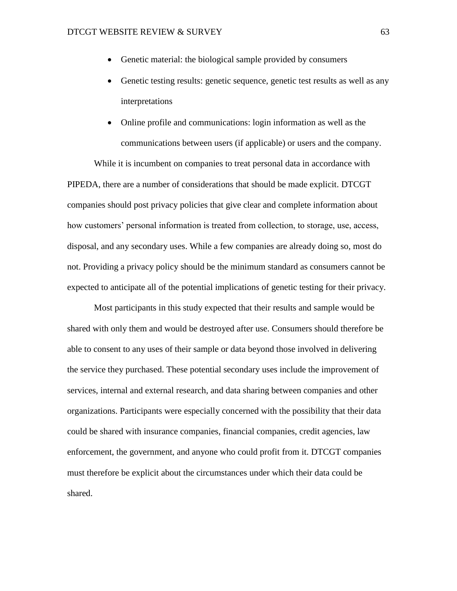- Genetic material: the biological sample provided by consumers
- Genetic testing results: genetic sequence, genetic test results as well as any interpretations
- Online profile and communications: login information as well as the communications between users (if applicable) or users and the company.

While it is incumbent on companies to treat personal data in accordance with PIPEDA, there are a number of considerations that should be made explicit. DTCGT companies should post privacy policies that give clear and complete information about how customers' personal information is treated from collection, to storage, use, access, disposal, and any secondary uses. While a few companies are already doing so, most do not. Providing a privacy policy should be the minimum standard as consumers cannot be expected to anticipate all of the potential implications of genetic testing for their privacy.

Most participants in this study expected that their results and sample would be shared with only them and would be destroyed after use. Consumers should therefore be able to consent to any uses of their sample or data beyond those involved in delivering the service they purchased. These potential secondary uses include the improvement of services, internal and external research, and data sharing between companies and other organizations. Participants were especially concerned with the possibility that their data could be shared with insurance companies, financial companies, credit agencies, law enforcement, the government, and anyone who could profit from it. DTCGT companies must therefore be explicit about the circumstances under which their data could be shared.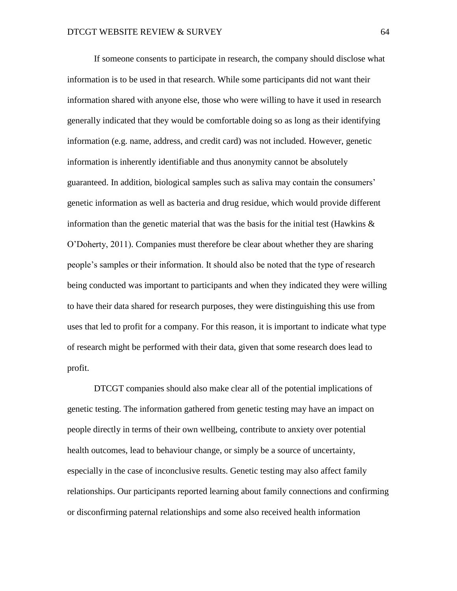If someone consents to participate in research, the company should disclose what information is to be used in that research. While some participants did not want their information shared with anyone else, those who were willing to have it used in research generally indicated that they would be comfortable doing so as long as their identifying information (e.g. name, address, and credit card) was not included. However, genetic information is inherently identifiable and thus anonymity cannot be absolutely guaranteed. In addition, biological samples such as saliva may contain the consumers' genetic information as well as bacteria and drug residue, which would provide different information than the genetic material that was the basis for the initial test (Hawkins  $\&$ O'Doherty, 2011). Companies must therefore be clear about whether they are sharing people's samples or their information. It should also be noted that the type of research being conducted was important to participants and when they indicated they were willing to have their data shared for research purposes, they were distinguishing this use from uses that led to profit for a company. For this reason, it is important to indicate what type of research might be performed with their data, given that some research does lead to profit.

DTCGT companies should also make clear all of the potential implications of genetic testing. The information gathered from genetic testing may have an impact on people directly in terms of their own wellbeing, contribute to anxiety over potential health outcomes, lead to behaviour change, or simply be a source of uncertainty, especially in the case of inconclusive results. Genetic testing may also affect family relationships. Our participants reported learning about family connections and confirming or disconfirming paternal relationships and some also received health information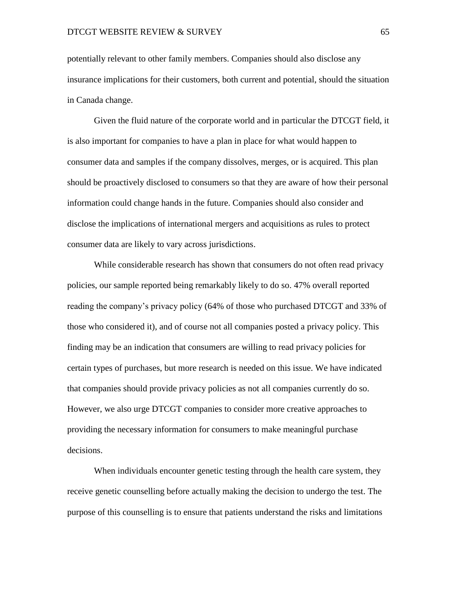potentially relevant to other family members. Companies should also disclose any insurance implications for their customers, both current and potential, should the situation in Canada change.

Given the fluid nature of the corporate world and in particular the DTCGT field, it is also important for companies to have a plan in place for what would happen to consumer data and samples if the company dissolves, merges, or is acquired. This plan should be proactively disclosed to consumers so that they are aware of how their personal information could change hands in the future. Companies should also consider and disclose the implications of international mergers and acquisitions as rules to protect consumer data are likely to vary across jurisdictions.

While considerable research has shown that consumers do not often read privacy policies, our sample reported being remarkably likely to do so. 47% overall reported reading the company's privacy policy (64% of those who purchased DTCGT and 33% of those who considered it), and of course not all companies posted a privacy policy. This finding may be an indication that consumers are willing to read privacy policies for certain types of purchases, but more research is needed on this issue. We have indicated that companies should provide privacy policies as not all companies currently do so. However, we also urge DTCGT companies to consider more creative approaches to providing the necessary information for consumers to make meaningful purchase decisions.

When individuals encounter genetic testing through the health care system, they receive genetic counselling before actually making the decision to undergo the test. The purpose of this counselling is to ensure that patients understand the risks and limitations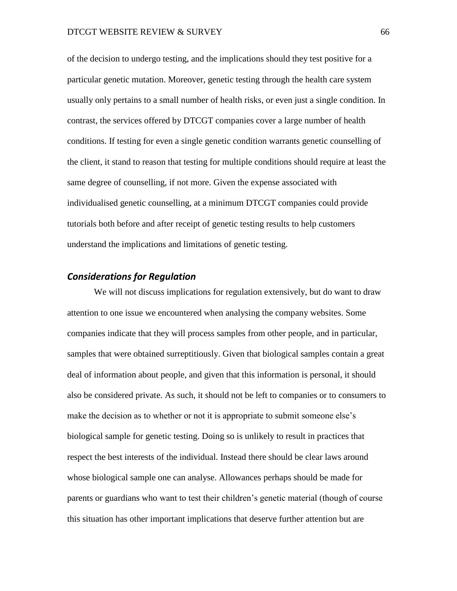of the decision to undergo testing, and the implications should they test positive for a particular genetic mutation. Moreover, genetic testing through the health care system usually only pertains to a small number of health risks, or even just a single condition. In contrast, the services offered by DTCGT companies cover a large number of health conditions. If testing for even a single genetic condition warrants genetic counselling of the client, it stand to reason that testing for multiple conditions should require at least the same degree of counselling, if not more. Given the expense associated with individualised genetic counselling, at a minimum DTCGT companies could provide tutorials both before and after receipt of genetic testing results to help customers understand the implications and limitations of genetic testing.

# *Considerations for Regulation*

We will not discuss implications for regulation extensively, but do want to draw attention to one issue we encountered when analysing the company websites. Some companies indicate that they will process samples from other people, and in particular, samples that were obtained surreptitiously. Given that biological samples contain a great deal of information about people, and given that this information is personal, it should also be considered private. As such, it should not be left to companies or to consumers to make the decision as to whether or not it is appropriate to submit someone else's biological sample for genetic testing. Doing so is unlikely to result in practices that respect the best interests of the individual. Instead there should be clear laws around whose biological sample one can analyse. Allowances perhaps should be made for parents or guardians who want to test their children's genetic material (though of course this situation has other important implications that deserve further attention but are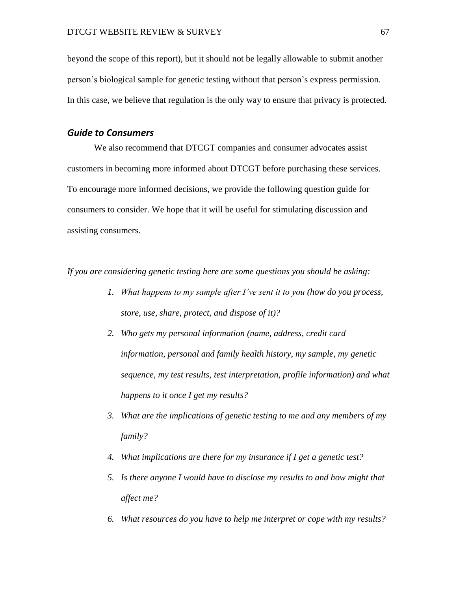beyond the scope of this report), but it should not be legally allowable to submit another person's biological sample for genetic testing without that person's express permission. In this case, we believe that regulation is the only way to ensure that privacy is protected.

### *Guide to Consumers*

We also recommend that DTCGT companies and consumer advocates assist customers in becoming more informed about DTCGT before purchasing these services. To encourage more informed decisions, we provide the following question guide for consumers to consider. We hope that it will be useful for stimulating discussion and assisting consumers.

*If you are considering genetic testing here are some questions you should be asking:*

- *1. What happens to my sample after I've sent it to you (how do you process, store, use, share, protect, and dispose of it)?*
- *2. Who gets my personal information (name, address, credit card information, personal and family health history, my sample, my genetic sequence, my test results, test interpretation, profile information) and what happens to it once I get my results?*
- *3. What are the implications of genetic testing to me and any members of my family?*
- *4. What implications are there for my insurance if I get a genetic test?*
- *5. Is there anyone I would have to disclose my results to and how might that affect me?*
- *6. What resources do you have to help me interpret or cope with my results?*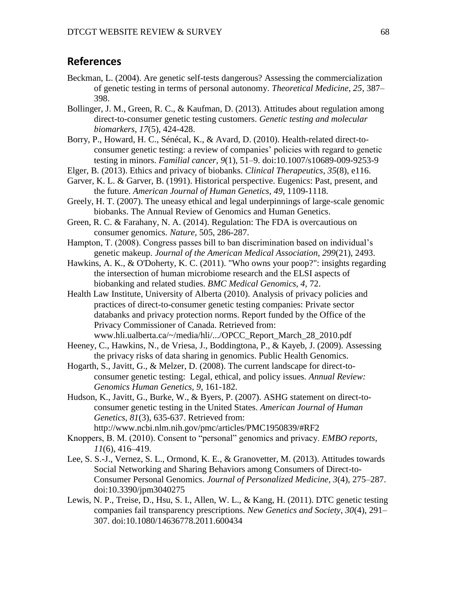# **References**

- Beckman, L. (2004). Are genetic self-tests dangerous? Assessing the commercialization of genetic testing in terms of personal autonomy. *Theoretical Medicine, 25*, 387– 398.
- Bollinger, J. M., Green, R. C., & Kaufman, D. (2013). Attitudes about regulation among direct-to-consumer genetic testing customers. *Genetic testing and molecular biomarkers*, *17*(5), 424-428.
- Borry, P., Howard, H. C., Sénécal, K., & Avard, D. (2010). Health-related direct-toconsumer genetic testing: a review of companies' policies with regard to genetic testing in minors. *Familial cancer*, *9*(1), 51–9. doi:10.1007/s10689-009-9253-9
- Elger, B. (2013). Ethics and privacy of biobanks. *Clinical Therapeutics*, *35*(8), e116.
- Garver, K. L. & Garver, B. (1991). Historical perspective. Eugenics: Past, present, and the future. *American Journal of Human Genetics, 49*, 1109-1118.
- Greely, H. T. (2007). The uneasy ethical and legal underpinnings of large-scale genomic biobanks. The Annual Review of Genomics and Human Genetics.
- Green, R. C. & Farahany, N. A. (2014). Regulation: The FDA is overcautious on consumer genomics. *Nature,* 505, 286-287.
- Hampton, T. (2008). Congress passes bill to ban discrimination based on individual's genetic makeup. *Journal of the American Medical Association, 299*(21), 2493.
- Hawkins, A. K., & O'Doherty, K. C. (2011). "Who owns your poop?": insights regarding the intersection of human microbiome research and the ELSI aspects of biobanking and related studies. *BMC Medical Genomics, 4*, 72.
- Health Law Institute, University of Alberta (2010). Analysis of privacy policies and practices of direct-to-consumer genetic testing companies: Private sector databanks and privacy protection norms. Report funded by the Office of the Privacy Commissioner of Canada. Retrieved from: www.hli.ualberta.ca/~/media/hli/.../OPCC\_Report\_March\_28\_2010.pdf
- Heeney, C., Hawkins, N., de Vriesa, J., Boddingtona, P., & Kayeb, J. (2009). Assessing the privacy risks of data sharing in genomics. Public Health Genomics.
- Hogarth, S., Javitt, G., & Melzer, D. (2008). The current landscape for direct-toconsumer genetic testing: Legal, ethical, and policy issues*. Annual Review: Genomics Human Genetics, 9*, 161-182.
- Hudson, K., Javitt, G., Burke, W., & Byers, P. (2007). ASHG statement on direct-toconsumer genetic testing in the United States. *American Journal of Human Genetics, 81*(3), 635-637. Retrieved from: http://www.ncbi.nlm.nih.gov/pmc/articles/PMC1950839/#RF2
- Knoppers, B. M. (2010). Consent to "personal" genomics and privacy. *EMBO reports*, *11*(6), 416–419.
- Lee, S. S.-J., Vernez, S. L., Ormond, K. E., & Granovetter, M. (2013). Attitudes towards Social Networking and Sharing Behaviors among Consumers of Direct-to-Consumer Personal Genomics. *Journal of Personalized Medicine*, *3*(4), 275–287. doi:10.3390/jpm3040275
- Lewis, N. P., Treise, D., Hsu, S. I., Allen, W. L., & Kang, H. (2011). DTC genetic testing companies fail transparency prescriptions. *New Genetics and Society*, *30*(4), 291– 307. doi:10.1080/14636778.2011.600434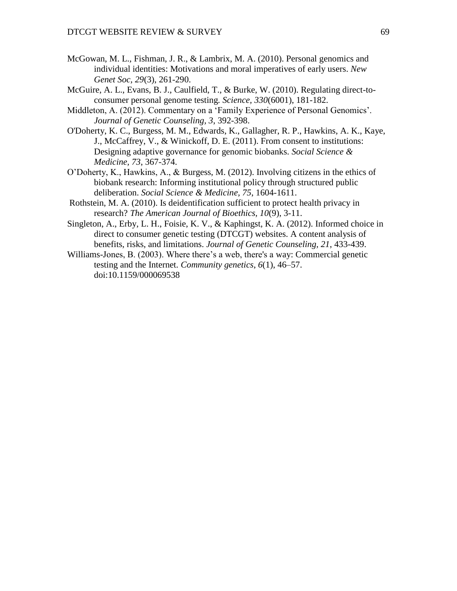- McGowan, M. L., Fishman, J. R., & Lambrix, M. A. (2010). Personal genomics and individual identities: Motivations and moral imperatives of early users. *New Genet Soc, 29*(3), 261-290.
- McGuire, A. L., Evans, B. J., Caulfield, T., & Burke, W. (2010). Regulating direct-toconsumer personal genome testing*. Science, 330*(6001), 181-182.
- Middleton, A. (2012). Commentary on a 'Family Experience of Personal Genomics'. *Journal of Genetic Counseling, 3*, 392-398.
- O'Doherty, K. C., Burgess, M. M., Edwards, K., Gallagher, R. P., Hawkins, A. K., Kaye, J., McCaffrey, V., & Winickoff, D. E. (2011). From consent to institutions: Designing adaptive governance for genomic biobanks. *Social Science & Medicine, 73*, 367-374.
- O'Doherty, K., Hawkins, A., & Burgess, M. (2012). Involving citizens in the ethics of biobank research: Informing institutional policy through structured public deliberation. *Social Science & Medicine, 75*, 1604-1611.
- Rothstein, M. A. (2010). Is deidentification sufficient to protect health privacy in research? *The American Journal of Bioethics, 10*(9), 3-11.
- Singleton, A., Erby, L. H., Foisie, K. V., & Kaphingst, K. A. (2012). Informed choice in direct to consumer genetic testing (DTCGT) websites. A content analysis of benefits, risks, and limitations. *Journal of Genetic Counseling, 21*, 433-439.
- Williams-Jones, B. (2003). Where there's a web, there's a way: Commercial genetic testing and the Internet. *Community genetics*, *6*(1), 46–57. doi:10.1159/000069538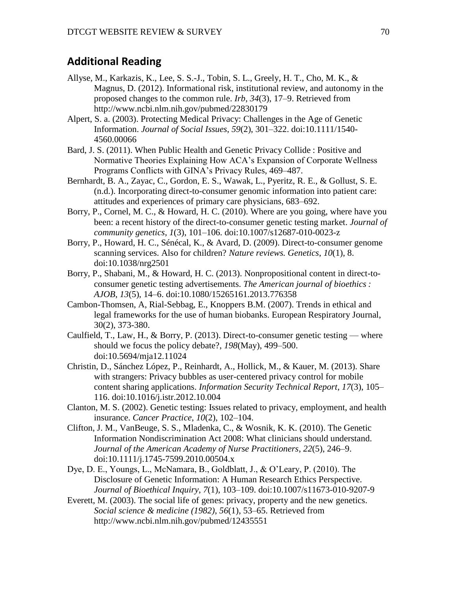# **Additional Reading**

- Allyse, M., Karkazis, K., Lee, S. S.-J., Tobin, S. L., Greely, H. T., Cho, M. K., & Magnus, D. (2012). Informational risk, institutional review, and autonomy in the proposed changes to the common rule. *Irb*, *34*(3), 17–9. Retrieved from http://www.ncbi.nlm.nih.gov/pubmed/22830179
- Alpert, S. a. (2003). Protecting Medical Privacy: Challenges in the Age of Genetic Information. *Journal of Social Issues*, *59*(2), 301–322. doi:10.1111/1540- 4560.00066
- Bard, J. S. (2011). When Public Health and Genetic Privacy Collide : Positive and Normative Theories Explaining How ACA's Expansion of Corporate Wellness Programs Conflicts with GINA's Privacy Rules, 469–487.
- Bernhardt, B. A., Zayac, C., Gordon, E. S., Wawak, L., Pyeritz, R. E., & Gollust, S. E. (n.d.). Incorporating direct-to-consumer genomic information into patient care: attitudes and experiences of primary care physicians, 683–692.
- Borry, P., Cornel, M. C., & Howard, H. C. (2010). Where are you going, where have you been: a recent history of the direct-to-consumer genetic testing market. *Journal of community genetics*, *1*(3), 101–106. doi:10.1007/s12687-010-0023-z
- Borry, P., Howard, H. C., Sénécal, K., & Avard, D. (2009). Direct-to-consumer genome scanning services. Also for children? *Nature reviews. Genetics*, *10*(1), 8. doi:10.1038/nrg2501
- Borry, P., Shabani, M., & Howard, H. C. (2013). Nonpropositional content in direct-toconsumer genetic testing advertisements. *The American journal of bioethics : AJOB*, *13*(5), 14–6. doi:10.1080/15265161.2013.776358
- Cambon-Thomsen, A, Rial-Sebbag, E., Knoppers B.M. (2007). Trends in ethical and legal frameworks for the use of human biobanks. European Respiratory Journal, 30(2), 373-380.
- Caulfield, T., Law, H., & Borry, P. (2013). Direct-to-consumer genetic testing where should we focus the policy debate?, *198*(May), 499–500. doi:10.5694/mja12.11024
- Christin, D., Sánchez López, P., Reinhardt, A., Hollick, M., & Kauer, M. (2013). Share with strangers: Privacy bubbles as user-centered privacy control for mobile content sharing applications. *Information Security Technical Report*, *17*(3), 105– 116. doi:10.1016/j.istr.2012.10.004
- Clanton, M. S. (2002). Genetic testing: Issues related to privacy, employment, and health insurance. *Cancer Practice*, *10*(2), 102–104.
- Clifton, J. M., VanBeuge, S. S., Mladenka, C., & Wosnik, K. K. (2010). The Genetic Information Nondiscrimination Act 2008: What clinicians should understand. *Journal of the American Academy of Nurse Practitioners*, *22*(5), 246–9. doi:10.1111/j.1745-7599.2010.00504.x
- Dye, D. E., Youngs, L., McNamara, B., Goldblatt, J., & O'Leary, P. (2010). The Disclosure of Genetic Information: A Human Research Ethics Perspective. *Journal of Bioethical Inquiry*, *7*(1), 103–109. doi:10.1007/s11673-010-9207-9
- Everett, M. (2003). The social life of genes: privacy, property and the new genetics. *Social science & medicine (1982)*, *56*(1), 53–65. Retrieved from http://www.ncbi.nlm.nih.gov/pubmed/12435551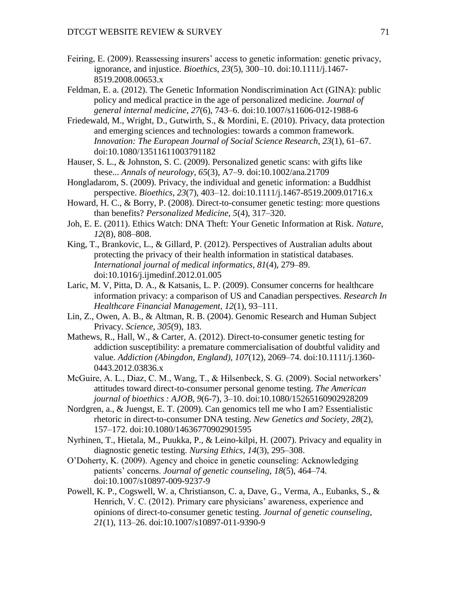- Feiring, E. (2009). Reassessing insurers' access to genetic information: genetic privacy, ignorance, and injustice. *Bioethics*, *23*(5), 300–10. doi:10.1111/j.1467- 8519.2008.00653.x
- Feldman, E. a. (2012). The Genetic Information Nondiscrimination Act (GINA): public policy and medical practice in the age of personalized medicine. *Journal of general internal medicine*, *27*(6), 743–6. doi:10.1007/s11606-012-1988-6
- Friedewald, M., Wright, D., Gutwirth, S., & Mordini, E. (2010). Privacy, data protection and emerging sciences and technologies: towards a common framework. *Innovation: The European Journal of Social Science Research*, *23*(1), 61–67. doi:10.1080/13511611003791182
- Hauser, S. L., & Johnston, S. C. (2009). Personalized genetic scans: with gifts like these... *Annals of neurology*, *65*(3), A7–9. doi:10.1002/ana.21709
- Hongladarom, S. (2009). Privacy, the individual and genetic information: a Buddhist perspective. *Bioethics*, *23*(7), 403–12. doi:10.1111/j.1467-8519.2009.01716.x
- Howard, H. C., & Borry, P. (2008). Direct-to-consumer genetic testing: more questions than benefits? *Personalized Medicine*, *5*(4), 317–320.
- Joh, E. E. (2011). Ethics Watch: DNA Theft: Your Genetic Information at Risk. *Nature*, *12*(8), 808–808.
- King, T., Brankovic, L., & Gillard, P. (2012). Perspectives of Australian adults about protecting the privacy of their health information in statistical databases. *International journal of medical informatics*, *81*(4), 279–89. doi:10.1016/j.ijmedinf.2012.01.005
- Laric, M. V, Pitta, D. A., & Katsanis, L. P. (2009). Consumer concerns for healthcare information privacy: a comparison of US and Canadian perspectives. *Research In Healthcare Financial Management*, *12*(1), 93–111.
- Lin, Z., Owen, A. B., & Altman, R. B. (2004). Genomic Research and Human Subject Privacy. *Science*, *305*(9), 183.
- Mathews, R., Hall, W., & Carter, A. (2012). Direct-to-consumer genetic testing for addiction susceptibility: a premature commercialisation of doubtful validity and value. *Addiction (Abingdon, England)*, *107*(12), 2069–74. doi:10.1111/j.1360- 0443.2012.03836.x
- McGuire, A. L., Diaz, C. M., Wang, T., & Hilsenbeck, S. G. (2009). Social networkers' attitudes toward direct-to-consumer personal genome testing. *The American journal of bioethics : AJOB*, *9*(6-7), 3–10. doi:10.1080/15265160902928209
- Nordgren, a., & Juengst, E. T. (2009). Can genomics tell me who I am? Essentialistic rhetoric in direct-to-consumer DNA testing. *New Genetics and Society*, *28*(2), 157–172. doi:10.1080/14636770902901595
- Nyrhinen, T., Hietala, M., Puukka, P., & Leino-kilpi, H. (2007). Privacy and equality in diagnostic genetic testing. *Nursing Ethics*, *14*(3), 295–308.
- O'Doherty, K. (2009). Agency and choice in genetic counseling: Acknowledging patients' concerns. *Journal of genetic counseling*, *18*(5), 464–74. doi:10.1007/s10897-009-9237-9
- Powell, K. P., Cogswell, W. a, Christianson, C. a, Dave, G., Verma, A., Eubanks, S., & Henrich, V. C. (2012). Primary care physicians' awareness, experience and opinions of direct-to-consumer genetic testing. *Journal of genetic counseling*, *21*(1), 113–26. doi:10.1007/s10897-011-9390-9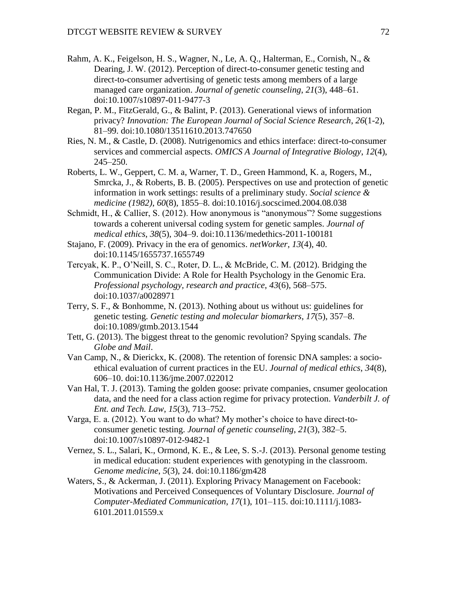- Rahm, A. K., Feigelson, H. S., Wagner, N., Le, A. Q., Halterman, E., Cornish, N., & Dearing, J. W. (2012). Perception of direct-to-consumer genetic testing and direct-to-consumer advertising of genetic tests among members of a large managed care organization. *Journal of genetic counseling*, *21*(3), 448–61. doi:10.1007/s10897-011-9477-3
- Regan, P. M., FitzGerald, G., & Balint, P. (2013). Generational views of information privacy? *Innovation: The European Journal of Social Science Research*, *26*(1-2), 81–99. doi:10.1080/13511610.2013.747650
- Ries, N. M., & Castle, D. (2008). Nutrigenomics and ethics interface: direct-to-consumer services and commercial aspects. *OMICS A Journal of Integrative Biology*, *12*(4), 245–250.
- Roberts, L. W., Geppert, C. M. a, Warner, T. D., Green Hammond, K. a, Rogers, M., Smrcka, J., & Roberts, B. B. (2005). Perspectives on use and protection of genetic information in work settings: results of a preliminary study. *Social science & medicine (1982)*, *60*(8), 1855–8. doi:10.1016/j.socscimed.2004.08.038
- Schmidt, H., & Callier, S. (2012). How anonymous is "anonymous"? Some suggestions towards a coherent universal coding system for genetic samples. *Journal of medical ethics*, *38*(5), 304–9. doi:10.1136/medethics-2011-100181
- Stajano, F. (2009). Privacy in the era of genomics. *netWorker*, *13*(4), 40. doi:10.1145/1655737.1655749
- Tercyak, K. P., O'Neill, S. C., Roter, D. L., & McBride, C. M. (2012). Bridging the Communication Divide: A Role for Health Psychology in the Genomic Era. *Professional psychology, research and practice*, *43*(6), 568–575. doi:10.1037/a0028971
- Terry, S. F., & Bonhomme, N. (2013). Nothing about us without us: guidelines for genetic testing. *Genetic testing and molecular biomarkers*, *17*(5), 357–8. doi:10.1089/gtmb.2013.1544
- Tett, G. (2013). The biggest threat to the genomic revolution? Spying scandals. *The Globe and Mail*.
- Van Camp, N., & Dierickx, K. (2008). The retention of forensic DNA samples: a socioethical evaluation of current practices in the EU. *Journal of medical ethics*, *34*(8), 606–10. doi:10.1136/jme.2007.022012
- Van Hal, T. J. (2013). Taming the golden goose: private companies, cnsumer geolocation data, and the need for a class action regime for privacy protection. *Vanderbilt J. of Ent. and Tech. Law*, *15*(3), 713–752.
- Varga, E. a. (2012). You want to do what? My mother's choice to have direct-toconsumer genetic testing. *Journal of genetic counseling*, *21*(3), 382–5. doi:10.1007/s10897-012-9482-1
- Vernez, S. L., Salari, K., Ormond, K. E., & Lee, S. S.-J. (2013). Personal genome testing in medical education: student experiences with genotyping in the classroom. *Genome medicine*, *5*(3), 24. doi:10.1186/gm428
- Waters, S., & Ackerman, J. (2011). Exploring Privacy Management on Facebook: Motivations and Perceived Consequences of Voluntary Disclosure. *Journal of Computer-Mediated Communication*, *17*(1), 101–115. doi:10.1111/j.1083- 6101.2011.01559.x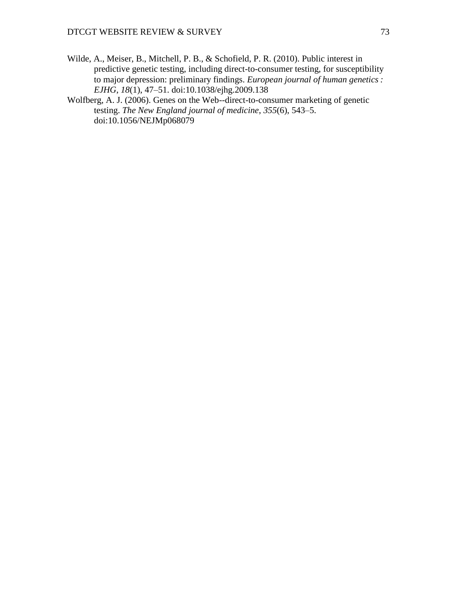- Wilde, A., Meiser, B., Mitchell, P. B., & Schofield, P. R. (2010). Public interest in predictive genetic testing, including direct-to-consumer testing, for susceptibility to major depression: preliminary findings. *European journal of human genetics : EJHG*, *18*(1), 47–51. doi:10.1038/ejhg.2009.138
- Wolfberg, A. J. (2006). Genes on the Web--direct-to-consumer marketing of genetic testing. *The New England journal of medicine*, *355*(6), 543–5. doi:10.1056/NEJMp068079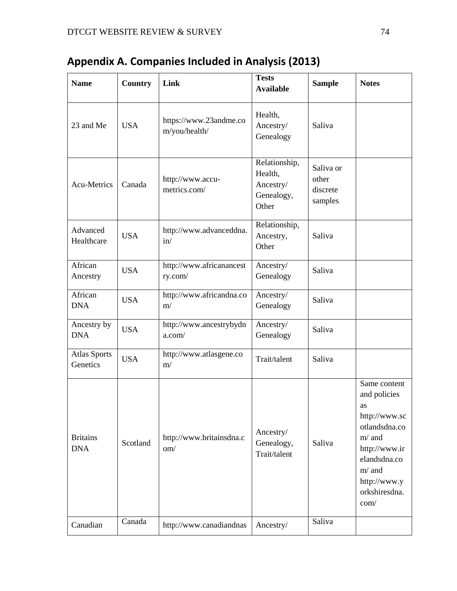| <b>Name</b>                     | Country    | Link                                    | <b>Tests</b><br><b>Available</b>                             | <b>Sample</b>                             | <b>Notes</b>                                                                                                                                                           |
|---------------------------------|------------|-----------------------------------------|--------------------------------------------------------------|-------------------------------------------|------------------------------------------------------------------------------------------------------------------------------------------------------------------------|
| 23 and Me                       | <b>USA</b> | https://www.23andme.co<br>m/you/health/ | Health,<br>Ancestry/<br>Genealogy                            | Saliva                                    |                                                                                                                                                                        |
| Acu-Metrics                     | Canada     | http://www.accu-<br>metrics.com/        | Relationship,<br>Health,<br>Ancestry/<br>Genealogy,<br>Other | Saliva or<br>other<br>discrete<br>samples |                                                                                                                                                                        |
| Advanced<br>Healthcare          | <b>USA</b> | http://www.advanceddna.<br>in/          | Relationship,<br>Ancestry,<br>Other                          | Saliva                                    |                                                                                                                                                                        |
| African<br>Ancestry             | <b>USA</b> | http://www.africanancest<br>ry.com/     | Ancestry/<br>Genealogy                                       | Saliva                                    |                                                                                                                                                                        |
| African<br><b>DNA</b>           | <b>USA</b> | http://www.africandna.co<br>m/          | Ancestry/<br>Genealogy                                       | Saliva                                    |                                                                                                                                                                        |
| Ancestry by<br><b>DNA</b>       | <b>USA</b> | http://www.ancestrybydn<br>a.com/       | Ancestry/<br>Genealogy                                       | Saliva                                    |                                                                                                                                                                        |
| <b>Atlas Sports</b><br>Genetics | <b>USA</b> | http://www.atlasgene.co<br>m/           | Trait/talent                                                 | Saliva                                    |                                                                                                                                                                        |
| <b>Britains</b><br><b>DNA</b>   | Scotland   | http://www.britainsdna.c<br>om/         | Ancestry/<br>Genealogy,<br>Trait/talent                      | Saliva                                    | Same content<br>and policies<br>as<br>http://www.sc<br>otlandsdna.co<br>$m/$ and<br>http://www.ir<br>elandsdna.co<br>$m/$ and<br>http://www.y<br>orkshiresdna.<br>com/ |
| Canadian                        | Canada     | http://www.canadiandnas                 | Ancestry/                                                    | Saliva                                    |                                                                                                                                                                        |

**Appendix A. Companies Included in Analysis (2013)**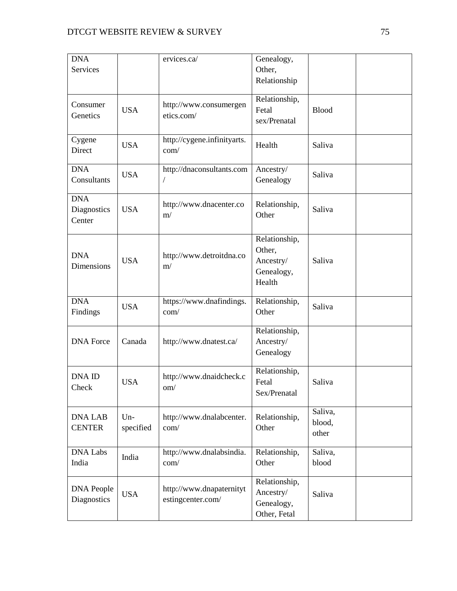| <b>DNA</b>        |            | ervices.ca/                 | Genealogy,    |              |  |
|-------------------|------------|-----------------------------|---------------|--------------|--|
| Services          |            |                             | Other,        |              |  |
|                   |            |                             | Relationship  |              |  |
|                   |            |                             |               |              |  |
| Consumer          |            | http://www.consumergen      | Relationship, |              |  |
| Genetics          | <b>USA</b> | etics.com/                  | Fetal         | <b>Blood</b> |  |
|                   |            |                             | sex/Prenatal  |              |  |
|                   |            |                             |               |              |  |
| Cygene            | <b>USA</b> | http://cygene.infinityarts. | Health        | Saliva       |  |
| Direct            |            | com/                        |               |              |  |
| <b>DNA</b>        |            |                             |               |              |  |
|                   | <b>USA</b> | http://dnaconsultants.com   | Ancestry/     | Saliva       |  |
| Consultants       |            | T                           | Genealogy     |              |  |
| <b>DNA</b>        |            |                             |               |              |  |
| Diagnostics       | <b>USA</b> | http://www.dnacenter.co     | Relationship, | Saliva       |  |
| Center            |            | m/                          | Other         |              |  |
|                   |            |                             |               |              |  |
|                   |            |                             | Relationship, |              |  |
|                   |            |                             | Other,        |              |  |
| <b>DNA</b>        | <b>USA</b> | http://www.detroitdna.co    | Ancestry/     | Saliva       |  |
| Dimensions        |            | m/                          | Genealogy,    |              |  |
|                   |            |                             | Health        |              |  |
|                   |            |                             |               |              |  |
| <b>DNA</b>        | <b>USA</b> | https://www.dnafindings.    | Relationship, | Saliva       |  |
| Findings          |            | com/                        | Other         |              |  |
|                   |            |                             |               |              |  |
|                   |            |                             | Relationship, |              |  |
| <b>DNA</b> Force  | Canada     | http://www.dnatest.ca/      | Ancestry/     |              |  |
|                   |            |                             | Genealogy     |              |  |
|                   |            |                             |               |              |  |
| <b>DNA ID</b>     |            | http://www.dnaidcheck.c     | Relationship, |              |  |
| Check             | <b>USA</b> | om/                         | Fetal         | Saliva       |  |
|                   |            |                             | Sex/Prenatal  |              |  |
|                   |            |                             |               | Saliva,      |  |
| <b>DNA LAB</b>    | $Un-$      | http://www.dnalabcenter.    | Relationship, | blood,       |  |
| <b>CENTER</b>     | specified  | com/                        | Other         | other        |  |
|                   |            |                             |               |              |  |
| <b>DNA Labs</b>   |            | http://www.dnalabsindia.    | Relationship, | Saliva,      |  |
| India             | India      | com/                        | Other         | blood        |  |
|                   |            |                             |               |              |  |
|                   |            |                             | Relationship, |              |  |
| <b>DNA People</b> | <b>USA</b> | http://www.dnapaternityt    | Ancestry/     | Saliva       |  |
| Diagnostics       |            | estingcenter.com/           | Genealogy,    |              |  |
|                   |            |                             | Other, Fetal  |              |  |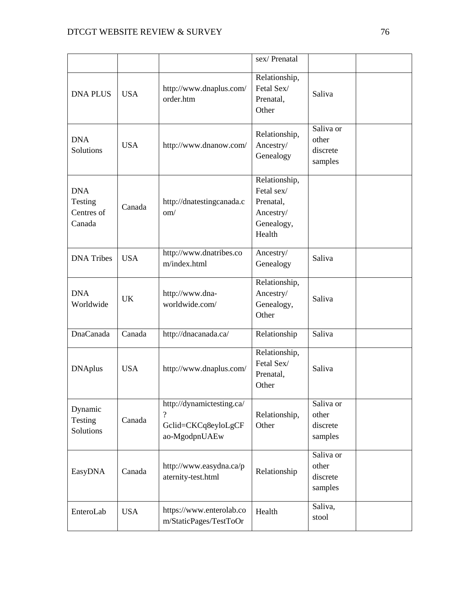|                                               |            |                                                                               | sex/Prenatal                                                                  |                                           |  |
|-----------------------------------------------|------------|-------------------------------------------------------------------------------|-------------------------------------------------------------------------------|-------------------------------------------|--|
| <b>DNA PLUS</b>                               | <b>USA</b> | http://www.dnaplus.com/<br>order.htm                                          | Relationship,<br>Fetal Sex/<br>Prenatal,<br>Other                             | Saliva                                    |  |
| <b>DNA</b><br>Solutions                       | <b>USA</b> | http://www.dnanow.com/                                                        | Relationship,<br>Ancestry/<br>Genealogy                                       | Saliva or<br>other<br>discrete<br>samples |  |
| <b>DNA</b><br>Testing<br>Centres of<br>Canada | Canada     | http://dnatestingcanada.c<br>om/                                              | Relationship,<br>Fetal sex/<br>Prenatal,<br>Ancestry/<br>Genealogy,<br>Health |                                           |  |
| <b>DNA</b> Tribes                             | <b>USA</b> | http://www.dnatribes.co<br>m/index.html                                       | Ancestry/<br>Genealogy                                                        | Saliva                                    |  |
| <b>DNA</b><br>Worldwide                       | <b>UK</b>  | http://www.dna-<br>worldwide.com/                                             | Relationship,<br>Ancestry/<br>Genealogy,<br>Other                             | Saliva                                    |  |
| DnaCanada                                     | Canada     | http://dnacanada.ca/                                                          | Relationship                                                                  | Saliva                                    |  |
| <b>DNAplus</b>                                | <b>USA</b> | http://www.dnaplus.com/                                                       | Relationship,<br>Fetal Sex/<br>Prenatal,<br>Other                             | Saliva                                    |  |
| Dynamic<br>Testing<br>Solutions               | Canada     | http://dynamictesting.ca/<br>$\gamma$<br>Gclid=CKCq8eyloLgCF<br>ao-MgodpnUAEw | Relationship,<br>Other                                                        | Saliva or<br>other<br>discrete<br>samples |  |
| EasyDNA                                       | Canada     | http://www.easydna.ca/p<br>aternity-test.html                                 | Relationship                                                                  | Saliva or<br>other<br>discrete<br>samples |  |
| EnteroLab                                     | <b>USA</b> | https://www.enterolab.co<br>m/StaticPages/TestToOr                            | Health                                                                        | Saliva,<br>stool                          |  |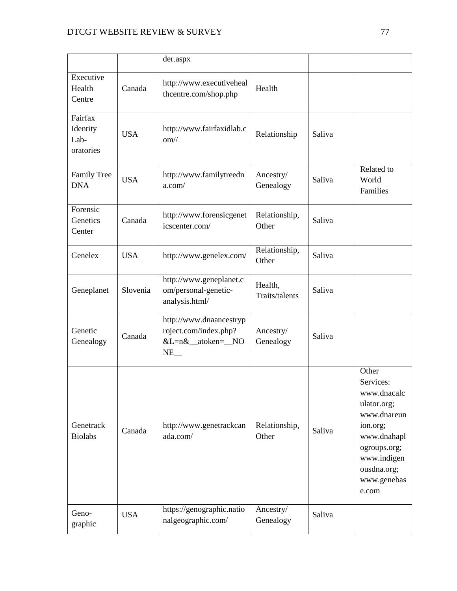|                                          |            | der.aspx                                                                                   |                           |        |                                                                                                                                                                  |
|------------------------------------------|------------|--------------------------------------------------------------------------------------------|---------------------------|--------|------------------------------------------------------------------------------------------------------------------------------------------------------------------|
| Executive<br>Health<br>Centre            | Canada     | http://www.executiveheal<br>thcentre.com/shop.php                                          | Health                    |        |                                                                                                                                                                  |
| Fairfax<br>Identity<br>Lab-<br>oratories | <b>USA</b> | http://www.fairfaxidlab.c<br>om/                                                           | Relationship              | Saliva |                                                                                                                                                                  |
| <b>Family Tree</b><br><b>DNA</b>         | <b>USA</b> | http://www.familytreedn<br>a.com/                                                          | Ancestry/<br>Genealogy    | Saliva | Related to<br>World<br>Families                                                                                                                                  |
| Forensic<br>Genetics<br>Center           | Canada     | http://www.forensicgenet<br>icscenter.com/                                                 | Relationship,<br>Other    | Saliva |                                                                                                                                                                  |
| Genelex                                  | <b>USA</b> | http://www.genelex.com/                                                                    | Relationship,<br>Other    | Saliva |                                                                                                                                                                  |
| Geneplanet                               | Slovenia   | http://www.geneplanet.c<br>om/personal-genetic-<br>analysis.html/                          | Health,<br>Traits/talents | Saliva |                                                                                                                                                                  |
| Genetic<br>Genealogy                     | Canada     | http://www.dnaancestryp<br>roject.com/index.php?<br>&L=n&_atoken=_NO<br>$NE$ <sub>--</sub> | Ancestry/<br>Genealogy    | Saliva |                                                                                                                                                                  |
| Genetrack<br><b>Biolabs</b>              | Canada     | http://www.genetrackcan<br>ada.com/                                                        | Relationship,<br>Other    | Saliva | Other<br>Services:<br>www.dnacalc<br>ulator.org;<br>www.dnareun<br>ion.org;<br>www.dnahapl<br>ogroups.org;<br>www.indigen<br>ousdna.org;<br>www.genebas<br>e.com |
| Geno-<br>graphic                         | <b>USA</b> | https://genographic.natio<br>nalgeographic.com/                                            | Ancestry/<br>Genealogy    | Saliva |                                                                                                                                                                  |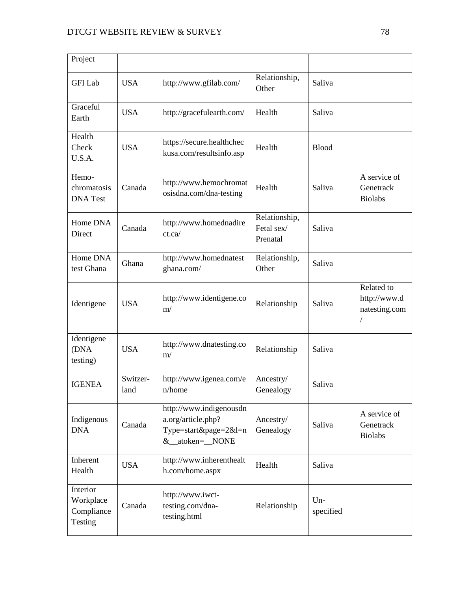| Project                                        |                  |                                                                                              |                                         |                  |                                                  |
|------------------------------------------------|------------------|----------------------------------------------------------------------------------------------|-----------------------------------------|------------------|--------------------------------------------------|
| <b>GFI</b> Lab                                 | <b>USA</b>       | http://www.gfilab.com/                                                                       | Relationship,<br>Other                  | Saliva           |                                                  |
| Graceful<br>Earth                              | <b>USA</b>       | http://gracefulearth.com/                                                                    | Health                                  | Saliva           |                                                  |
| Health<br>Check<br>U.S.A.                      | <b>USA</b>       | https://secure.healthchec<br>kusa.com/resultsinfo.asp                                        | Health                                  | <b>Blood</b>     |                                                  |
| Hemo-<br>chromatosis<br><b>DNA</b> Test        | Canada           | http://www.hemochromat<br>osisdna.com/dna-testing                                            | Health                                  | Saliva           | A service of<br>Genetrack<br><b>Biolabs</b>      |
| Home DNA<br>Direct                             | Canada           | http://www.homednadire<br>ct.ca/                                                             | Relationship,<br>Fetal sex/<br>Prenatal | Saliva           |                                                  |
| Home DNA<br>test Ghana                         | Ghana            | http://www.homednatest<br>ghana.com/                                                         | Relationship,<br>Other                  | Saliva           |                                                  |
| Identigene                                     | <b>USA</b>       | http://www.identigene.co<br>m/                                                               | Relationship                            | Saliva           | Related to<br>http://www.d<br>natesting.com<br>/ |
| Identigene<br>(DNA<br>testing)                 | <b>USA</b>       | http://www.dnatesting.co<br>m/                                                               | Relationship                            | Saliva           |                                                  |
| <b>IGENEA</b>                                  | Switzer-<br>land | http://www.igenea.com/e<br>$n/h$ ome                                                         | Ancestry/<br>Genealogy                  | Saliva           |                                                  |
| Indigenous<br><b>DNA</b>                       | Canada           | http://www.indigenousdn<br>a.org/article.php?<br>Type=start&page= $2&$ l=n<br>&_atoken=_NONE | Ancestry/<br>Genealogy                  | Saliva           | A service of<br>Genetrack<br><b>Biolabs</b>      |
| Inherent<br>Health                             | <b>USA</b>       | http://www.inherenthealt<br>h.com/home.aspx                                                  | Health                                  | Saliva           |                                                  |
| Interior<br>Workplace<br>Compliance<br>Testing | Canada           | http://www.iwct-<br>testing.com/dna-<br>testing.html                                         | Relationship                            | Un-<br>specified |                                                  |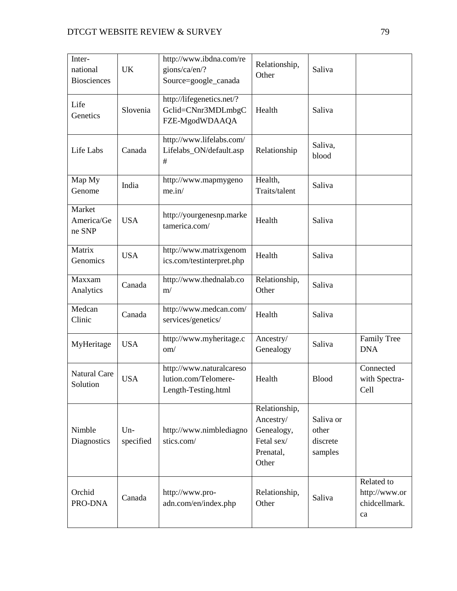| Inter-<br>national<br><b>Biosciences</b> | <b>UK</b>          | http://www.ibdna.com/re<br>gions/ca/en/?<br>Source=google_canada        | Relationship,<br>Other                                                       | Saliva                                    |                                                    |
|------------------------------------------|--------------------|-------------------------------------------------------------------------|------------------------------------------------------------------------------|-------------------------------------------|----------------------------------------------------|
| Life<br>Genetics                         | Slovenia           | http://lifegenetics.net/?<br>Gclid=CNnr3MDLmbgC<br>FZE-MgodWDAAQA       | Health                                                                       | Saliva                                    |                                                    |
| Life Labs                                | Canada             | http://www.lifelabs.com/<br>Lifelabs_ON/default.asp<br>$\#$             | Relationship                                                                 | Saliva,<br>blood                          |                                                    |
| Map My<br>Genome                         | India              | http://www.mapmygeno<br>me.in/                                          | Health,<br>Traits/talent                                                     | Saliva                                    |                                                    |
| Market<br>America/Ge<br>ne SNP           | <b>USA</b>         | http://yourgenesnp.marke<br>tamerica.com/                               | Health                                                                       | Saliva                                    |                                                    |
| Matrix<br>Genomics                       | <b>USA</b>         | http://www.matrixgenom<br>ics.com/testinterpret.php                     | Health                                                                       | Saliva                                    |                                                    |
| Maxxam<br>Analytics                      | Canada             | http://www.thednalab.co<br>m/                                           | Relationship,<br>Other                                                       | Saliva                                    |                                                    |
| Medcan<br>Clinic                         | Canada             | http://www.medcan.com/<br>services/genetics/                            | Health                                                                       | Saliva                                    |                                                    |
| MyHeritage                               | <b>USA</b>         | http://www.myheritage.c<br>om/                                          | Ancestry/<br>Genealogy                                                       | Saliva                                    | <b>Family Tree</b><br><b>DNA</b>                   |
| <b>Natural Care</b><br>Solution          | <b>USA</b>         | http://www.naturalcareso<br>lution.com/Telomere-<br>Length-Testing.html | Health                                                                       | <b>Blood</b>                              | Connected<br>with Spectra-<br>Cell                 |
| Nimble<br>Diagnostics                    | $Un-$<br>specified | http://www.nimblediagno<br>stics.com/                                   | Relationship,<br>Ancestry/<br>Genealogy,<br>Fetal sex/<br>Prenatal,<br>Other | Saliva or<br>other<br>discrete<br>samples |                                                    |
| Orchid<br>PRO-DNA                        | Canada             | http://www.pro-<br>adn.com/en/index.php                                 | Relationship,<br>Other                                                       | Saliva                                    | Related to<br>http://www.or<br>chidcellmark.<br>ca |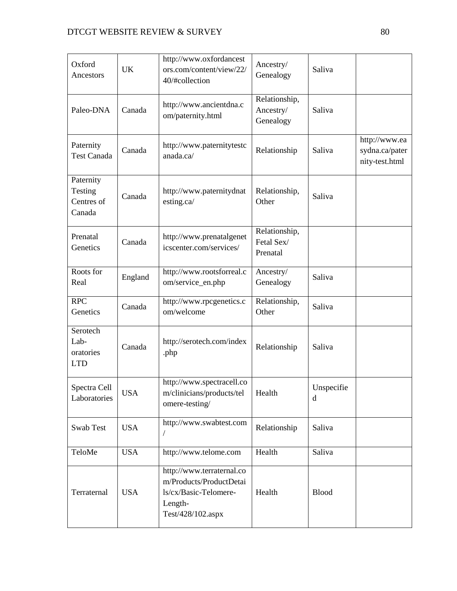| Oxford<br>Ancestors                          | <b>UK</b>  | http://www.oxfordancest<br>ors.com/content/view/22/<br>40/#collection                                         | Ancestry/<br>Genealogy                  | Saliva          |                                                   |
|----------------------------------------------|------------|---------------------------------------------------------------------------------------------------------------|-----------------------------------------|-----------------|---------------------------------------------------|
| Paleo-DNA                                    | Canada     | http://www.ancientdna.c<br>om/paternity.html                                                                  | Relationship,<br>Ancestry/<br>Genealogy | Saliva          |                                                   |
| Paternity<br><b>Test Canada</b>              | Canada     | http://www.paternitytestc<br>anada.ca/                                                                        | Relationship                            | Saliva          | http://www.ea<br>sydna.ca/pater<br>nity-test.html |
| Paternity<br>Testing<br>Centres of<br>Canada | Canada     | http://www.paternitydnat<br>esting.ca/                                                                        | Relationship,<br>Other                  | Saliva          |                                                   |
| Prenatal<br>Genetics                         | Canada     | http://www.prenatalgenet<br>icscenter.com/services/                                                           | Relationship,<br>Fetal Sex/<br>Prenatal |                 |                                                   |
| Roots for<br>Real                            | England    | http://www.rootsforreal.c<br>om/service_en.php                                                                | Ancestry/<br>Genealogy                  | Saliva          |                                                   |
| <b>RPC</b><br>Genetics                       | Canada     | http://www.rpcgenetics.c<br>om/welcome                                                                        | Relationship,<br>Other                  | Saliva          |                                                   |
| Serotech<br>Lab-<br>oratories<br><b>LTD</b>  | Canada     | http://serotech.com/index<br>.php                                                                             | Relationship                            | Saliva          |                                                   |
| Spectra Cell<br>Laboratories                 | <b>USA</b> | http://www.spectracell.co<br>m/clinicians/products/tel<br>omere-testing/                                      | Health                                  | Unspecifie<br>d |                                                   |
| Swab Test                                    | <b>USA</b> | http://www.swabtest.com                                                                                       | Relationship                            | Saliva          |                                                   |
| TeloMe                                       | <b>USA</b> | http://www.telome.com                                                                                         | Health                                  | Saliva          |                                                   |
| Terraternal                                  | <b>USA</b> | http://www.terraternal.co<br>m/Products/ProductDetai<br>ls/cx/Basic-Telomere-<br>Length-<br>Test/428/102.aspx | Health                                  | <b>Blood</b>    |                                                   |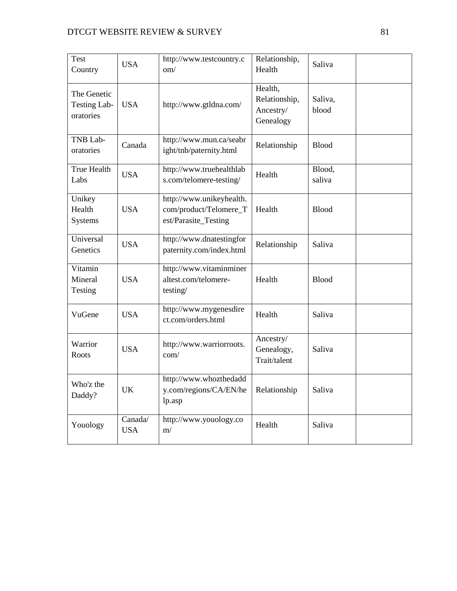| <b>Test</b><br>Country                          | <b>USA</b>            | http://www.testcountry.c<br>om/                                            | Relationship,<br>Health                            | Saliva           |  |
|-------------------------------------------------|-----------------------|----------------------------------------------------------------------------|----------------------------------------------------|------------------|--|
| The Genetic<br><b>Testing Lab-</b><br>oratories | <b>USA</b>            | http://www.gtldna.com/                                                     | Health,<br>Relationship,<br>Ancestry/<br>Genealogy | Saliva,<br>blood |  |
| TNB Lab-<br>oratories                           | Canada                | http://www.mun.ca/seabr<br>ight/tnb/paternity.html                         | Relationship                                       | <b>Blood</b>     |  |
| <b>True Health</b><br>Labs                      | <b>USA</b>            | http://www.truehealthlab<br>s.com/telomere-testing/                        | Health                                             | Blood,<br>saliva |  |
| Unikey<br>Health<br>Systems                     | <b>USA</b>            | http://www.unikeyhealth.<br>com/product/Telomere_T<br>est/Parasite_Testing | Health                                             | <b>Blood</b>     |  |
| Universal<br>Genetics                           | <b>USA</b>            | http://www.dnatestingfor<br>paternity.com/index.html                       | Relationship                                       | Saliva           |  |
| Vitamin<br>Mineral<br>Testing                   | <b>USA</b>            | http://www.vitaminminer<br>altest.com/telomere-<br>testing/                | Health                                             | <b>Blood</b>     |  |
| VuGene                                          | <b>USA</b>            | http://www.mygenesdire<br>ct.com/orders.html                               | Health                                             | Saliva           |  |
| Warrior<br>Roots                                | <b>USA</b>            | http://www.warriorroots.<br>com/                                           | Ancestry/<br>Genealogy,<br>Trait/talent            | Saliva           |  |
| Who'z the<br>Daddy?                             | <b>UK</b>             | http://www.whozthedadd<br>y.com/regions/CA/EN/he<br>lp.asp                 | Relationship                                       | Saliva           |  |
| Youology                                        | Canada/<br><b>USA</b> | http://www.youology.co<br>m/                                               | Health                                             | Saliva           |  |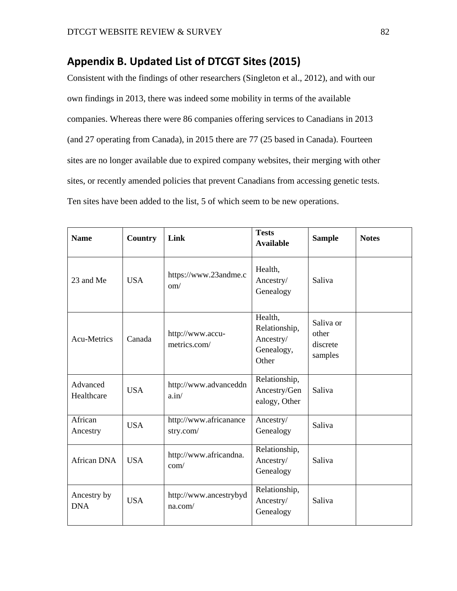# **Appendix B. Updated List of DTCGT Sites (2015)**

Consistent with the findings of other researchers (Singleton et al., 2012), and with our own findings in 2013, there was indeed some mobility in terms of the available companies. Whereas there were 86 companies offering services to Canadians in 2013 (and 27 operating from Canada), in 2015 there are 77 (25 based in Canada). Fourteen sites are no longer available due to expired company websites, their merging with other sites, or recently amended policies that prevent Canadians from accessing genetic tests. Ten sites have been added to the list, 5 of which seem to be new operations.

| <b>Name</b>               | <b>Country</b> | Link                                  | <b>Tests</b><br><b>Available</b>                             | <b>Sample</b>                             | <b>Notes</b> |
|---------------------------|----------------|---------------------------------------|--------------------------------------------------------------|-------------------------------------------|--------------|
| 23 and Me                 | <b>USA</b>     | https://www.23andme.c<br>$\text{om}/$ | Health,<br>Ancestry/<br>Genealogy                            | Saliva                                    |              |
| <b>Acu-Metrics</b>        | Canada         | http://www.accu-<br>metrics.com/      | Health,<br>Relationship,<br>Ancestry/<br>Genealogy,<br>Other | Saliva or<br>other<br>discrete<br>samples |              |
| Advanced<br>Healthcare    | <b>USA</b>     | http://www.advanceddn<br>a.in/        | Relationship,<br>Ancestry/Gen<br>ealogy, Other               | Saliva                                    |              |
| African<br>Ancestry       | <b>USA</b>     | http://www.africanance<br>stry.com/   | Ancestry/<br>Genealogy                                       | Saliva                                    |              |
| African DNA               | <b>USA</b>     | http://www.africandna.<br>com/        | Relationship,<br>Ancestry/<br>Genealogy                      | Saliva                                    |              |
| Ancestry by<br><b>DNA</b> | <b>USA</b>     | http://www.ancestrybyd<br>na.com/     | Relationship,<br>Ancestry/<br>Genealogy                      | Saliva                                    |              |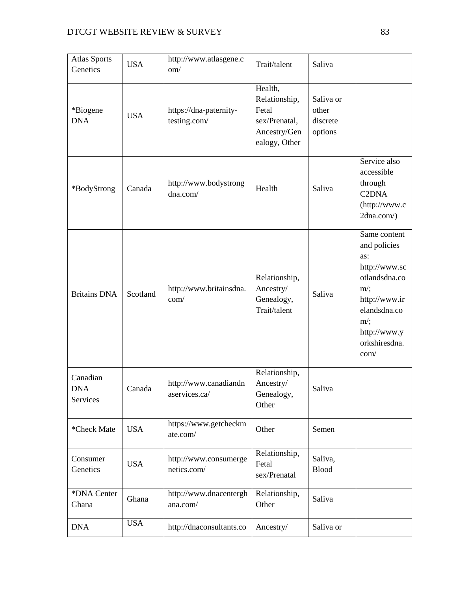| <b>Atlas Sports</b><br>Genetics    | <b>USA</b> | http://www.atlasgene.c<br>om/          | Trait/talent                                                                        | Saliva                                    |                                                                                                                                                                    |
|------------------------------------|------------|----------------------------------------|-------------------------------------------------------------------------------------|-------------------------------------------|--------------------------------------------------------------------------------------------------------------------------------------------------------------------|
| *Biogene<br><b>DNA</b>             | <b>USA</b> | https://dna-paternity-<br>testing.com/ | Health,<br>Relationship,<br>Fetal<br>sex/Prenatal,<br>Ancestry/Gen<br>ealogy, Other | Saliva or<br>other<br>discrete<br>options |                                                                                                                                                                    |
| *BodyStrong                        | Canada     | http://www.bodystrong<br>dna.com/      | Health                                                                              | Saliva                                    | Service also<br>accessible<br>through<br>C <sub>2</sub> DNA<br>(http://www.c<br>2dna.com/)                                                                         |
| <b>Britains DNA</b>                | Scotland   | http://www.britainsdna.<br>com/        | Relationship,<br>Ancestry/<br>Genealogy,<br>Trait/talent                            | Saliva                                    | Same content<br>and policies<br>as:<br>http://www.sc<br>otlandsdna.co<br>$m$ ;<br>http://www.ir<br>elandsdna.co<br>$m$ /;<br>http://www.y<br>orkshiresdna.<br>com/ |
| Canadian<br><b>DNA</b><br>Services | Canada     | http://www.canadiandn<br>aservices.ca/ | Relationship,<br>Ancestry/<br>Genealogy,<br>Other                                   | Saliva                                    |                                                                                                                                                                    |
| *Check Mate                        | <b>USA</b> | https://www.getcheckm<br>ate.com/      | Other                                                                               | Semen                                     |                                                                                                                                                                    |
| Consumer<br>Genetics               | <b>USA</b> | http://www.consumerge<br>netics.com/   | Relationship,<br>Fetal<br>sex/Prenatal                                              | Saliva,<br><b>Blood</b>                   |                                                                                                                                                                    |
| *DNA Center<br>Ghana               | Ghana      | http://www.dnacentergh<br>ana.com/     | Relationship,<br>Other                                                              | Saliva                                    |                                                                                                                                                                    |
| <b>DNA</b>                         | <b>USA</b> | http://dnaconsultants.co               | Ancestry/                                                                           | Saliva or                                 |                                                                                                                                                                    |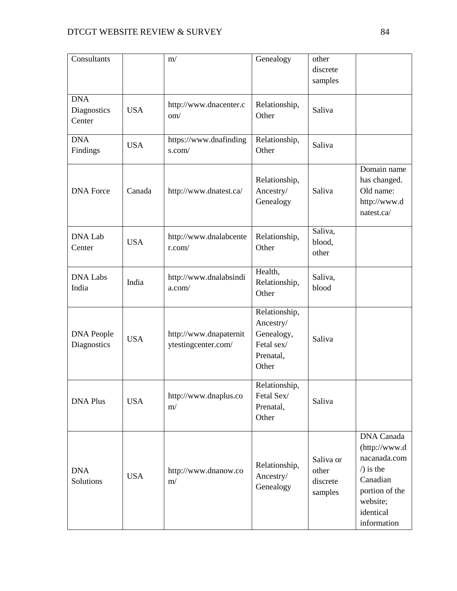| Consultants                         |            | m/                                            | Genealogy                                                                    | other<br>discrete<br>samples              |                                                                                                                                               |
|-------------------------------------|------------|-----------------------------------------------|------------------------------------------------------------------------------|-------------------------------------------|-----------------------------------------------------------------------------------------------------------------------------------------------|
| <b>DNA</b><br>Diagnostics<br>Center | <b>USA</b> | http://www.dnacenter.c<br>om/                 | Relationship,<br>Other                                                       | Saliva                                    |                                                                                                                                               |
| <b>DNA</b><br>Findings              | <b>USA</b> | https://www.dnafinding<br>s.com/              | Relationship,<br>Other                                                       | Saliva                                    |                                                                                                                                               |
| <b>DNA</b> Force                    | Canada     | http://www.dnatest.ca/                        | Relationship,<br>Ancestry/<br>Genealogy                                      | Saliva                                    | Domain name<br>has changed.<br>Old name:<br>http://www.d<br>natest.ca/                                                                        |
| <b>DNA Lab</b><br>Center            | <b>USA</b> | http://www.dnalabcente<br>r.com/              | Relationship,<br>Other                                                       | Saliva,<br>blood,<br>other                |                                                                                                                                               |
| <b>DNA Labs</b><br>India            | India      | http://www.dnalabsindi<br>a.com/              | Health,<br>Relationship,<br>Other                                            | Saliva,<br>blood                          |                                                                                                                                               |
| <b>DNA People</b><br>Diagnostics    | <b>USA</b> | http://www.dnapaternit<br>ytestingcenter.com/ | Relationship,<br>Ancestry/<br>Genealogy,<br>Fetal sex/<br>Prenatal,<br>Other | Saliva                                    |                                                                                                                                               |
| <b>DNA Plus</b>                     | <b>USA</b> | http://www.dnaplus.co<br>m/                   | Relationship,<br>Fetal Sex/<br>Prenatal,<br>Other                            | Saliva                                    |                                                                                                                                               |
| <b>DNA</b><br>Solutions             | <b>USA</b> | http://www.dnanow.co<br>m/                    | Relationship,<br>Ancestry/<br>Genealogy                                      | Saliva or<br>other<br>discrete<br>samples | <b>DNA</b> Canada<br>(http://www.d<br>nacanada.com<br>$\sqrt{ }$ is the<br>Canadian<br>portion of the<br>website;<br>identical<br>information |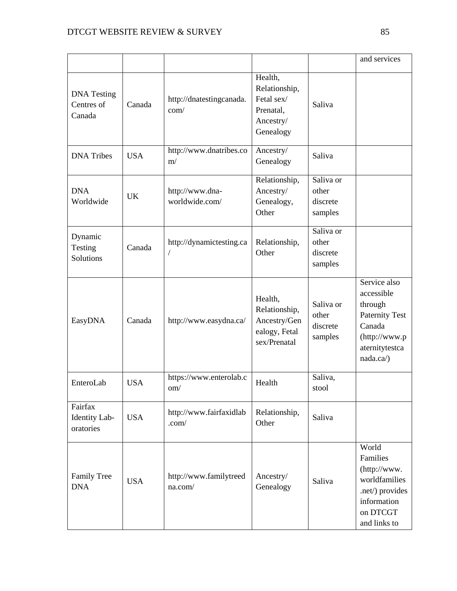|                                            |            |                                   |                                                                               |                                           | and services                                                                                                             |
|--------------------------------------------|------------|-----------------------------------|-------------------------------------------------------------------------------|-------------------------------------------|--------------------------------------------------------------------------------------------------------------------------|
| <b>DNA</b> Testing<br>Centres of<br>Canada | Canada     | http://dnatestingcanada.<br>com/  | Health,<br>Relationship,<br>Fetal sex/<br>Prenatal,<br>Ancestry/<br>Genealogy | Saliva                                    |                                                                                                                          |
| <b>DNA</b> Tribes                          | <b>USA</b> | http://www.dnatribes.co<br>m/     | Ancestry/<br>Genealogy                                                        | Saliva                                    |                                                                                                                          |
| <b>DNA</b><br>Worldwide                    | <b>UK</b>  | http://www.dna-<br>worldwide.com/ | Relationship,<br>Ancestry/<br>Genealogy,<br>Other                             | Saliva or<br>other<br>discrete<br>samples |                                                                                                                          |
| Dynamic<br>Testing<br>Solutions            | Canada     | http://dynamictesting.ca          | Relationship,<br>Other                                                        | Saliva or<br>other<br>discrete<br>samples |                                                                                                                          |
| EasyDNA                                    | Canada     | http://www.easydna.ca/            | Health,<br>Relationship,<br>Ancestry/Gen<br>ealogy, Fetal<br>sex/Prenatal     | Saliva or<br>other<br>discrete<br>samples | Service also<br>accessible<br>through<br><b>Paternity Test</b><br>Canada<br>(http://www.p<br>aternitytestca<br>nada.ca/) |
| EnteroLab                                  | <b>USA</b> | https://www.enterolab.c<br>om/    | Health                                                                        | Saliva,<br>stool                          |                                                                                                                          |
| Fairfax<br>Identity Lab-<br>oratories      | <b>USA</b> | http://www.fairfaxidlab<br>.com/  | Relationship,<br>Other                                                        | Saliva                                    |                                                                                                                          |
| <b>Family Tree</b><br><b>DNA</b>           | <b>USA</b> | http://www.familytreed<br>na.com/ | Ancestry/<br>Genealogy                                                        | Saliva                                    | World<br>Families<br>(http://www.<br>worldfamilies<br>.net/) provides<br>information<br>on DTCGT<br>and links to         |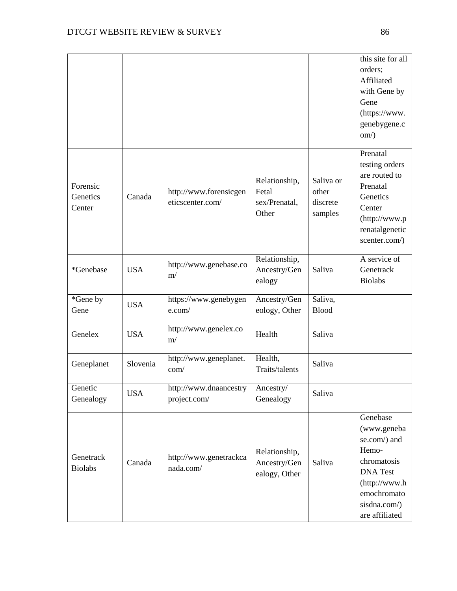|                                |            |                                            |                                                  |                                           | this site for all<br>orders;<br>Affiliated<br>with Gene by<br>Gene<br>(https://www.<br>genebygene.c<br>$\text{om}$ )                                 |
|--------------------------------|------------|--------------------------------------------|--------------------------------------------------|-------------------------------------------|------------------------------------------------------------------------------------------------------------------------------------------------------|
| Forensic<br>Genetics<br>Center | Canada     | http://www.forensicgen<br>eticscenter.com/ | Relationship,<br>Fetal<br>sex/Prenatal,<br>Other | Saliva or<br>other<br>discrete<br>samples | Prenatal<br>testing orders<br>are routed to<br>Prenatal<br>Genetics<br>Center<br>(http://www.p<br>renatalgenetic<br>scenter.com/)                    |
| *Genebase                      | <b>USA</b> | http://www.genebase.co<br>m/               | Relationship,<br>Ancestry/Gen<br>ealogy          | Saliva                                    | A service of<br>Genetrack<br><b>Biolabs</b>                                                                                                          |
| *Gene by<br>Gene               | <b>USA</b> | https://www.genebygen<br>e.com/            | Ancestry/Gen<br>eology, Other                    | Saliva,<br><b>Blood</b>                   |                                                                                                                                                      |
| Genelex                        | <b>USA</b> | http://www.genelex.co<br>m/                | Health                                           | Saliva                                    |                                                                                                                                                      |
| Geneplanet                     | Slovenia   | http://www.geneplanet.<br>com/             | Health,<br>Traits/talents                        | Saliva                                    |                                                                                                                                                      |
| Genetic<br>Genealogy           | <b>USA</b> | http://www.dnaancestry<br>project.com/     | Ancestry/<br>Genealogy                           | Saliva                                    |                                                                                                                                                      |
| Genetrack<br><b>Biolabs</b>    | Canada     | http://www.genetrackca<br>nada.com/        | Relationship,<br>Ancestry/Gen<br>ealogy, Other   | Saliva                                    | Genebase<br>(www.geneba<br>se.com/) and<br>Hemo-<br>chromatosis<br><b>DNA</b> Test<br>(http://www.h<br>emochromato<br>sisdna.com/)<br>are affiliated |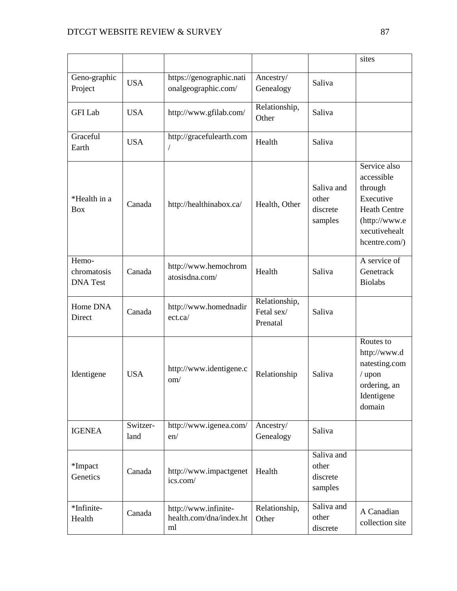|                                         |                  |                                                       |                                         |                                            | sites                                                                                                                        |
|-----------------------------------------|------------------|-------------------------------------------------------|-----------------------------------------|--------------------------------------------|------------------------------------------------------------------------------------------------------------------------------|
| Geno-graphic<br>Project                 | <b>USA</b>       | https://genographic.nati<br>onalgeographic.com/       | Ancestry/<br>Genealogy                  | Saliva                                     |                                                                                                                              |
| <b>GFI</b> Lab                          | <b>USA</b>       | http://www.gfilab.com/                                | Relationship,<br>Other                  | Saliva                                     |                                                                                                                              |
| Graceful<br>Earth                       | <b>USA</b>       | http://gracefulearth.com                              | Health                                  | Saliva                                     |                                                                                                                              |
| *Health in a<br><b>Box</b>              | Canada           | http://healthinabox.ca/                               | Health, Other                           | Saliva and<br>other<br>discrete<br>samples | Service also<br>accessible<br>through<br>Executive<br><b>Heath Centre</b><br>(http://www.e<br>xecutivehealt<br>hcentre.com/) |
| Hemo-<br>chromatosis<br><b>DNA</b> Test | Canada           | http://www.hemochrom<br>atosisdna.com/                | Health                                  | Saliva                                     | A service of<br>Genetrack<br><b>Biolabs</b>                                                                                  |
| Home DNA<br>Direct                      | Canada           | http://www.homednadir<br>ect.ca/                      | Relationship,<br>Fetal sex/<br>Prenatal | Saliva                                     |                                                                                                                              |
| Identigene                              | <b>USA</b>       | http://www.identigene.c<br>om/                        | Relationship                            | Saliva                                     | Routes to<br>http://www.d<br>natesting.com<br>/ upon<br>ordering, an<br>Identigene<br>domain                                 |
| <b>IGENEA</b>                           | Switzer-<br>land | http://www.igenea.com/<br>en/                         | Ancestry/<br>Genealogy                  | Saliva                                     |                                                                                                                              |
| *Impact<br>Genetics                     | Canada           | http://www.impactgenet<br>ics.com/                    | Health                                  | Saliva and<br>other<br>discrete<br>samples |                                                                                                                              |
| *Infinite-<br>Health                    | Canada           | http://www.infinite-<br>health.com/dna/index.ht<br>ml | Relationship,<br>Other                  | Saliva and<br>other<br>discrete            | A Canadian<br>collection site                                                                                                |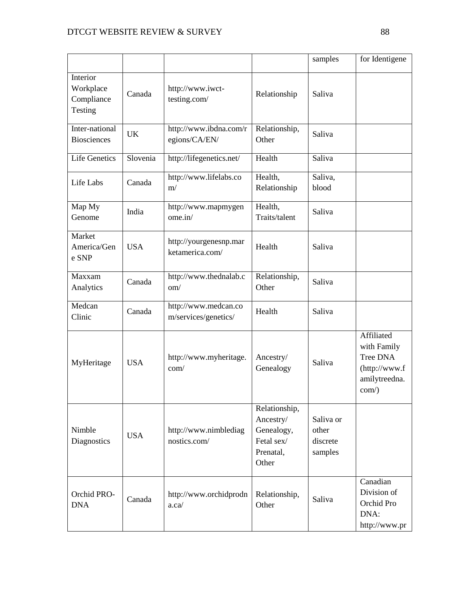|                                                |            |                                              |                                                                              | samples                                   | for Identigene                                                                     |
|------------------------------------------------|------------|----------------------------------------------|------------------------------------------------------------------------------|-------------------------------------------|------------------------------------------------------------------------------------|
| Interior<br>Workplace<br>Compliance<br>Testing | Canada     | http://www.iwct-<br>testing.com/             | Relationship                                                                 | Saliva                                    |                                                                                    |
| Inter-national<br><b>Biosciences</b>           | <b>UK</b>  | http://www.ibdna.com/r<br>egions/CA/EN/      | Relationship,<br>Other                                                       | Saliva                                    |                                                                                    |
| <b>Life Genetics</b>                           | Slovenia   | http://lifegenetics.net/                     | Health                                                                       | Saliva                                    |                                                                                    |
| Life Labs                                      | Canada     | http://www.lifelabs.co<br>m/                 | Health,<br>Relationship                                                      | Saliva,<br>blood                          |                                                                                    |
| Map My<br>Genome                               | India      | http://www.mapmygen<br>ome.in/               | Health,<br>Traits/talent                                                     | Saliva                                    |                                                                                    |
| Market<br>America/Gen<br>e SNP                 | <b>USA</b> | http://yourgenesnp.mar<br>ketamerica.com/    | Health                                                                       | Saliva                                    |                                                                                    |
| Maxxam<br>Analytics                            | Canada     | http://www.thednalab.c<br>$\text{om}/$       | Relationship,<br>Other                                                       | Saliva                                    |                                                                                    |
| Medcan<br>Clinic                               | Canada     | http://www.medcan.co<br>m/services/genetics/ | Health                                                                       | Saliva                                    |                                                                                    |
| MyHeritage                                     | <b>USA</b> | http://www.myheritage.<br>com/               | Ancestry/<br>Genealogy                                                       | Saliva                                    | Affiliated<br>with Family<br>Tree DNA<br>(http://www.f<br>amilytreedna.<br>$com$ ) |
| Nimble<br>Diagnostics                          | <b>USA</b> | http://www.nimblediag<br>nostics.com/        | Relationship,<br>Ancestry/<br>Genealogy,<br>Fetal sex/<br>Prenatal,<br>Other | Saliva or<br>other<br>discrete<br>samples |                                                                                    |
| Orchid PRO-<br><b>DNA</b>                      | Canada     | http://www.orchidprodn<br>a.ca/              | Relationship,<br>Other                                                       | Saliva                                    | Canadian<br>Division of<br>Orchid Pro<br>DNA:<br>http://www.pr                     |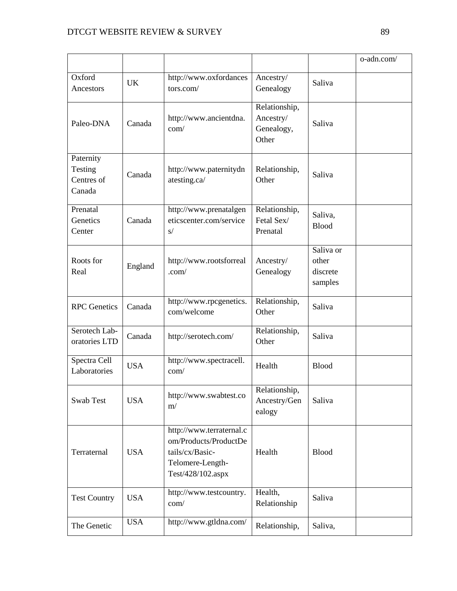|                                              |            |                                                                                                               |                                                   |                                           | o-adn.com/ |
|----------------------------------------------|------------|---------------------------------------------------------------------------------------------------------------|---------------------------------------------------|-------------------------------------------|------------|
| Oxford<br>Ancestors                          | <b>UK</b>  | http://www.oxfordances<br>tors.com/                                                                           | Ancestry/<br>Genealogy                            | Saliva                                    |            |
| Paleo-DNA                                    | Canada     | http://www.ancientdna.<br>com/                                                                                | Relationship,<br>Ancestry/<br>Genealogy,<br>Other | Saliva                                    |            |
| Paternity<br>Testing<br>Centres of<br>Canada | Canada     | http://www.paternitydn<br>atesting.ca/                                                                        | Relationship,<br>Other                            | Saliva                                    |            |
| Prenatal<br>Genetics<br>Center               | Canada     | http://www.prenatalgen<br>eticscenter.com/service<br>S/                                                       | Relationship,<br>Fetal Sex/<br>Prenatal           | Saliva,<br><b>Blood</b>                   |            |
| Roots for<br>Real                            | England    | http://www.rootsforreal<br>.com/                                                                              | Ancestry/<br>Genealogy                            | Saliva or<br>other<br>discrete<br>samples |            |
| <b>RPC</b> Genetics                          | Canada     | http://www.rpcgenetics.<br>com/welcome                                                                        | Relationship,<br>Other                            | Saliva                                    |            |
| Serotech Lab-<br>oratories LTD               | Canada     | http://serotech.com/                                                                                          | Relationship,<br>Other                            | Saliva                                    |            |
| Spectra Cell<br>Laboratories                 | <b>USA</b> | http://www.spectracell.<br>com/                                                                               | Health                                            | <b>Blood</b>                              |            |
| Swab Test                                    | <b>USA</b> | http://www.swabtest.co<br>m/                                                                                  | Relationship,<br>Ancestry/Gen<br>ealogy           | Saliva                                    |            |
| Terraternal                                  | <b>USA</b> | http://www.terraternal.c<br>om/Products/ProductDe<br>tails/cx/Basic-<br>Telomere-Length-<br>Test/428/102.aspx | Health                                            | <b>Blood</b>                              |            |
| <b>Test Country</b>                          | <b>USA</b> | http://www.testcountry.<br>com/                                                                               | Health,<br>Relationship                           | Saliva                                    |            |
| The Genetic                                  | <b>USA</b> | http://www.gtldna.com/                                                                                        | Relationship,                                     | Saliva,                                   |            |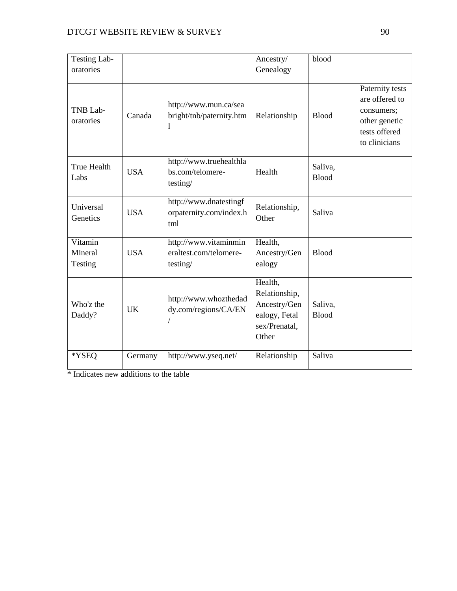| Testing Lab-                  |            |                                                                   | Ancestry/                                                                           | blood                   |                                                                                                    |
|-------------------------------|------------|-------------------------------------------------------------------|-------------------------------------------------------------------------------------|-------------------------|----------------------------------------------------------------------------------------------------|
| oratories                     |            |                                                                   | Genealogy                                                                           |                         |                                                                                                    |
| TNB Lab-<br>oratories         | Canada     | http://www.mun.ca/sea<br>bright/tnb/paternity.htm<br>$\mathbf{I}$ | Relationship                                                                        | <b>Blood</b>            | Paternity tests<br>are offered to<br>consumers;<br>other genetic<br>tests offered<br>to clinicians |
| <b>True Health</b><br>Labs    | <b>USA</b> | http://www.truehealthla<br>bs.com/telomere-<br>testing/           | Health                                                                              | Saliva,<br><b>Blood</b> |                                                                                                    |
| Universal<br>Genetics         | <b>USA</b> | http://www.dnatestingf<br>orpaternity.com/index.h<br>tml          | Relationship,<br>Other                                                              | Saliva                  |                                                                                                    |
| Vitamin<br>Mineral<br>Testing | <b>USA</b> | http://www.vitaminmin<br>eraltest.com/telomere-<br>testing/       | Health,<br>Ancestry/Gen<br>ealogy                                                   | <b>Blood</b>            |                                                                                                    |
| Who'z the<br>Daddy?           | <b>UK</b>  | http://www.whozthedad<br>dy.com/regions/CA/EN                     | Health,<br>Relationship,<br>Ancestry/Gen<br>ealogy, Fetal<br>sex/Prenatal,<br>Other | Saliva,<br><b>Blood</b> |                                                                                                    |
| *YSEQ                         | Germany    | http://www.yseq.net/                                              | Relationship                                                                        | Saliva                  |                                                                                                    |

\* Indicates new additions to the table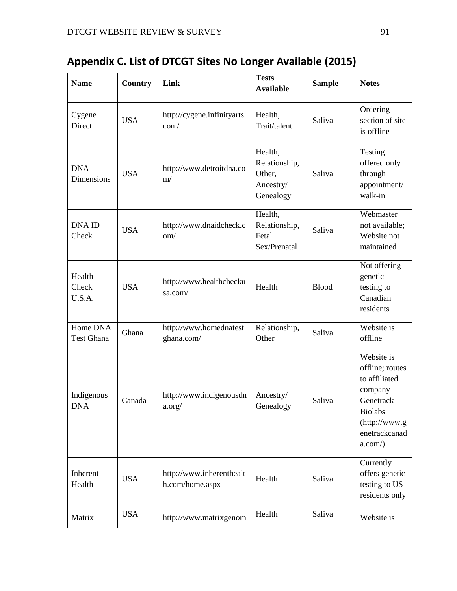| <b>Name</b>               | <b>Country</b> | Link                                        | <b>Tests</b><br><b>Available</b>                             | <b>Sample</b> | <b>Notes</b>                                                                                                                            |
|---------------------------|----------------|---------------------------------------------|--------------------------------------------------------------|---------------|-----------------------------------------------------------------------------------------------------------------------------------------|
| Cygene<br>Direct          | <b>USA</b>     | http://cygene.infinityarts.<br>com/         | Health,<br>Trait/talent                                      | Saliva        | Ordering<br>section of site<br>is offline                                                                                               |
| <b>DNA</b><br>Dimensions  | <b>USA</b>     | http://www.detroitdna.co<br>m/              | Health,<br>Relationship,<br>Other,<br>Ancestry/<br>Genealogy | Saliva        | Testing<br>offered only<br>through<br>appointment/<br>walk-in                                                                           |
| <b>DNA ID</b><br>Check    | <b>USA</b>     | http://www.dnaidcheck.c<br>om/              | Health,<br>Relationship,<br>Fetal<br>Sex/Prenatal            | Saliva        | Webmaster<br>not available;<br>Website not<br>maintained                                                                                |
| Health<br>Check<br>U.S.A. | <b>USA</b>     | http://www.healthchecku<br>sa.com/          | Health                                                       | <b>Blood</b>  | Not offering<br>genetic<br>testing to<br>Canadian<br>residents                                                                          |
| Home DNA<br>Test Ghana    | Ghana          | http://www.homednatest<br>ghana.com/        | Relationship,<br>Other                                       | Saliva        | Website is<br>offline                                                                                                                   |
| Indigenous<br><b>DNA</b>  | Canada         | http://www.indigenousdn<br>a.org/           | Ancestry/<br>Genealogy                                       | Saliva        | Website is<br>offline; routes<br>to affiliated<br>company<br>Genetrack<br><b>Biolabs</b><br>(http://www.g<br>enetrackcanad<br>$a.com$ ) |
| Inherent<br>Health        | <b>USA</b>     | http://www.inherenthealt<br>h.com/home.aspx | Health                                                       | Saliva        | Currently<br>offers genetic<br>testing to US<br>residents only                                                                          |
| Matrix                    | <b>USA</b>     | http://www.matrixgenom                      | Health                                                       | Saliva        | Website is                                                                                                                              |

# **Appendix C. List of DTCGT Sites No Longer Available (2015)**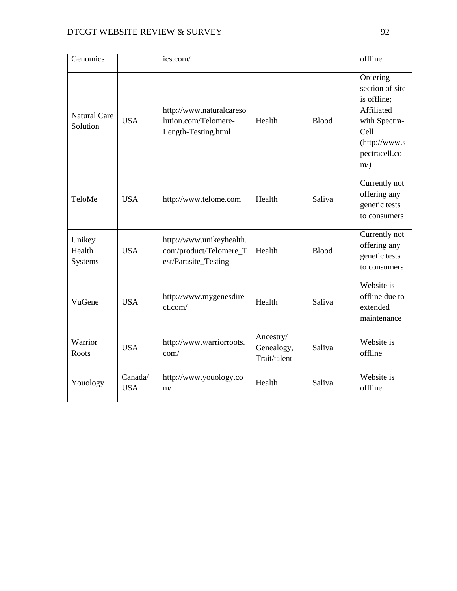| Genomics                           |                       | ics.com/                                                                   |                                         |              | offline                                                                                                                      |
|------------------------------------|-----------------------|----------------------------------------------------------------------------|-----------------------------------------|--------------|------------------------------------------------------------------------------------------------------------------------------|
| <b>Natural Care</b><br>Solution    | <b>USA</b>            | http://www.naturalcareso<br>lution.com/Telomere-<br>Length-Testing.html    | Health                                  | <b>Blood</b> | Ordering<br>section of site<br>is offline;<br>Affiliated<br>with Spectra-<br>Cell<br>(http://www.s<br>pectracell.co<br>$m$ ) |
| TeloMe                             | <b>USA</b>            | http://www.telome.com                                                      | Health                                  | Saliva       | Currently not<br>offering any<br>genetic tests<br>to consumers                                                               |
| Unikey<br>Health<br><b>Systems</b> | <b>USA</b>            | http://www.unikeyhealth.<br>com/product/Telomere_T<br>est/Parasite_Testing | Health                                  | <b>Blood</b> | Currently not<br>offering any<br>genetic tests<br>to consumers                                                               |
| VuGene                             | <b>USA</b>            | http://www.mygenesdire<br>ct.com/                                          | Health                                  | Saliva       | Website is<br>offline due to<br>extended<br>maintenance                                                                      |
| Warrior<br>Roots                   | <b>USA</b>            | http://www.warriorroots.<br>com/                                           | Ancestry/<br>Genealogy,<br>Trait/talent | Saliva       | Website is<br>offline                                                                                                        |
| Youology                           | Canada/<br><b>USA</b> | http://www.youology.co<br>m/                                               | Health                                  | Saliva       | Website is<br>offline                                                                                                        |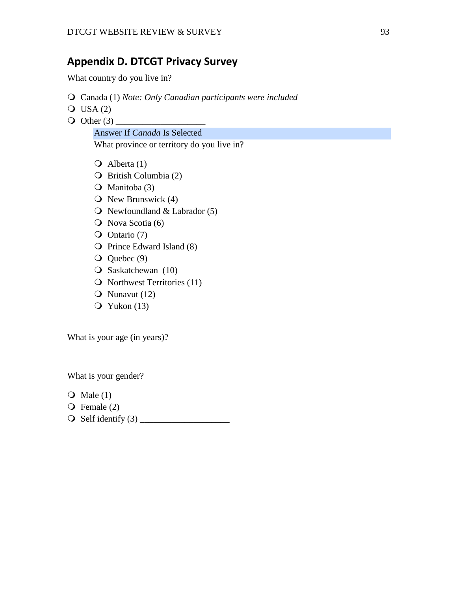### **Appendix D. DTCGT Privacy Survey**

What country do you live in?

- Canada (1) *Note: Only Canadian participants were included*
- $O$  USA (2)
- $\bigcirc$  Other (3)

Answer If *Canada* Is Selected

What province or territory do you live in?

- $\overline{Q}$  Alberta (1)
- British Columbia (2)
- Manitoba (3)
- $\overline{O}$  New Brunswick (4)
- $\bigcirc$  Newfoundland & Labrador (5)
- $\overline{Q}$  Nova Scotia (6)
- Ontario (7)
- $\overline{Q}$  Prince Edward Island (8)
- Q Quebec (9)
- O Saskatchewan (10)
- $\Omega$  Northwest Territories (11)
- $\bullet$  Nunavut (12)
- $Q$  Yukon (13)

What is your age (in years)?

What is your gender?

- $\overline{Q}$  Male (1)
- $\overline{Q}$  Female (2)
- Self identify (3) \_\_\_\_\_\_\_\_\_\_\_\_\_\_\_\_\_\_\_\_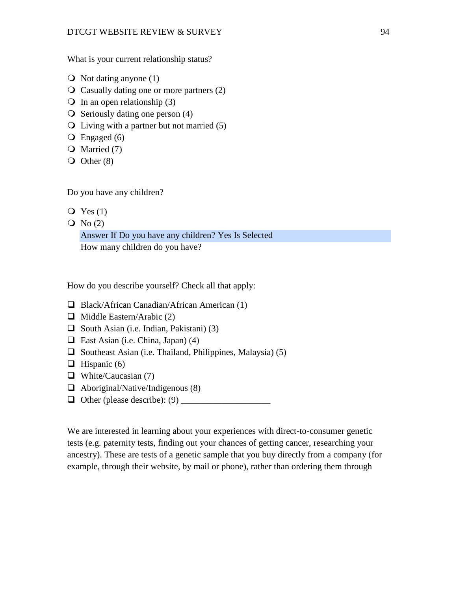What is your current relationship status?

- $\bigcirc$  Not dating anyone (1)
- Casually dating one or more partners (2)
- $\overline{Q}$  In an open relationship (3)
- $\overline{O}$  Seriously dating one person (4)
- $\overline{Q}$  Living with a partner but not married (5)
- $\overline{Q}$  Engaged (6)
- O Married (7)
- $\overline{O}$  Other (8)

Do you have any children?

- $Q$  Yes (1)
- $\overline{O}$  No (2)

Answer If Do you have any children? Yes Is Selected How many children do you have?

How do you describe yourself? Check all that apply:

- $\Box$  Black/African Canadian/African American (1)
- $\Box$  Middle Eastern/Arabic (2)
- $\Box$  South Asian (i.e. Indian, Pakistani) (3)
- $\Box$  East Asian (i.e. China, Japan) (4)
- $\Box$  Southeast Asian (i.e. Thailand, Philippines, Malaysia) (5)
- $\Box$  Hispanic (6)
- $\Box$  White/Caucasian (7)
- $\Box$  Aboriginal/Native/Indigenous (8)
- Other (please describe): (9) \_\_\_\_\_\_\_\_\_\_\_\_\_\_\_\_\_\_\_\_

We are interested in learning about your experiences with direct-to-consumer genetic tests (e.g. paternity tests, finding out your chances of getting cancer, researching your ancestry). These are tests of a genetic sample that you buy directly from a company (for example, through their website, by mail or phone), rather than ordering them through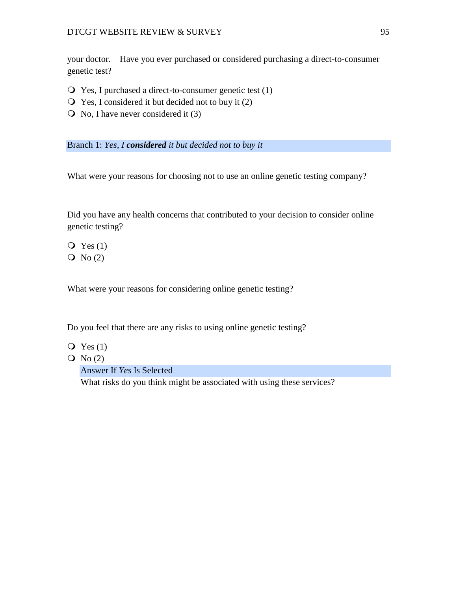your doctor. Have you ever purchased or considered purchasing a direct-to-consumer genetic test?

- $\overline{Q}$  Yes, I purchased a direct-to-consumer genetic test (1)
- $\overline{Q}$  Yes, I considered it but decided not to buy it (2)
- $\overline{O}$  No, I have never considered it (3)

Branch 1: *Yes, I considered it but decided not to buy it*

What were your reasons for choosing not to use an online genetic testing company?

Did you have any health concerns that contributed to your decision to consider online genetic testing?

 $\overline{Q}$  Yes (1)

 $\overline{O}$  No (2)

What were your reasons for considering online genetic testing?

Do you feel that there are any risks to using online genetic testing?

- $\overline{Q}$  Yes (1)
- $\overline{Q}$  No (2)

Answer If *Yes* Is Selected

What risks do you think might be associated with using these services?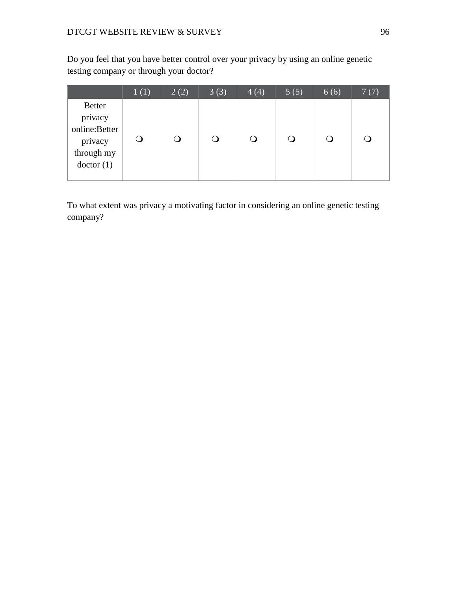Do you feel that you have better control over your privacy by using an online genetic testing company or through your doctor?

|                                                                                 | 1(1) | 2(2) | 3(3)   | 4(4) | 5(5) | 6(6) | 7(7) |
|---------------------------------------------------------------------------------|------|------|--------|------|------|------|------|
| <b>Better</b><br>privacy<br>online:Better<br>privacy<br>through my<br>doctor(1) |      |      | $\cup$ |      |      |      |      |

To what extent was privacy a motivating factor in considering an online genetic testing company?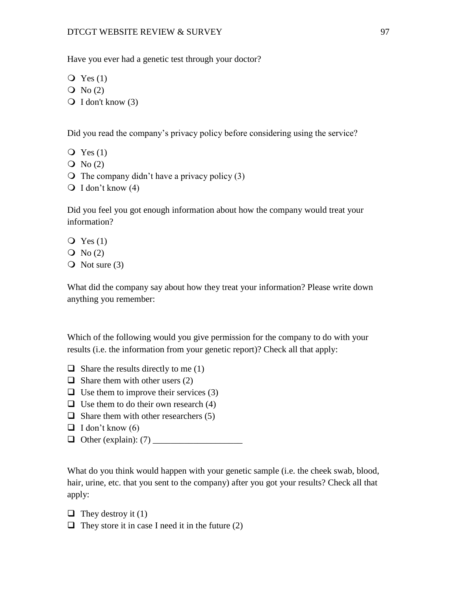Have you ever had a genetic test through your doctor?

- $Q$  Yes  $(1)$
- $\overline{Q}$  No (2)
- $\bigcirc$  I don't know (3)

Did you read the company's privacy policy before considering using the service?

- $Q$  Yes  $(1)$
- $\overline{O}$  No (2)
- $\overline{O}$  The company didn't have a privacy policy (3)
- $\bigcirc$  I don't know (4)

Did you feel you got enough information about how the company would treat your information?

- $Q$  Yes  $(1)$  $\overline{Q}$  No (2)
- $\overline{O}$  Not sure (3)

What did the company say about how they treat your information? Please write down anything you remember:

Which of the following would you give permission for the company to do with your results (i.e. the information from your genetic report)? Check all that apply:

- $\Box$  Share the results directly to me (1)
- $\Box$  Share them with other users (2)
- $\Box$  Use them to improve their services (3)
- $\Box$  Use them to do their own research (4)
- $\Box$  Share them with other researchers (5)
- $\Box$  I don't know (6)
- Other (explain): (7) \_\_\_\_\_\_\_\_\_\_\_\_\_\_\_\_\_\_\_\_

What do you think would happen with your genetic sample (i.e. the cheek swab, blood, hair, urine, etc. that you sent to the company) after you got your results? Check all that apply:

```
\Box They destroy it (1)
```
 $\Box$  They store it in case I need it in the future (2)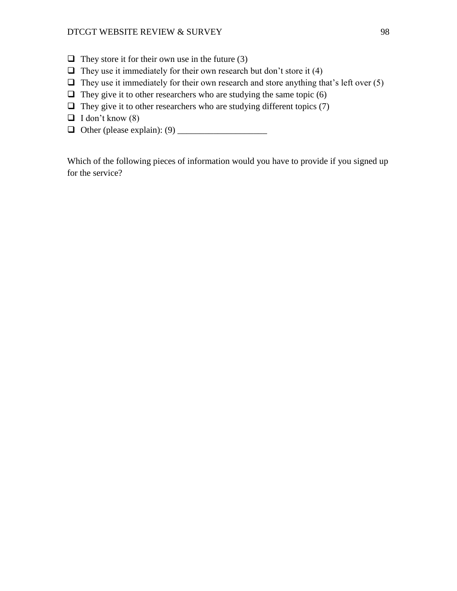- $\Box$  They store it for their own use in the future (3)
- $\Box$  They use it immediately for their own research but don't store it (4)
- $\Box$  They use it immediately for their own research and store anything that's left over (5)
- $\Box$  They give it to other researchers who are studying the same topic (6)
- $\Box$  They give it to other researchers who are studying different topics (7)
- $\Box$  I don't know (8)
- Other (please explain): (9) \_\_\_\_\_\_\_\_\_\_\_\_\_\_\_\_\_\_\_\_

Which of the following pieces of information would you have to provide if you signed up for the service?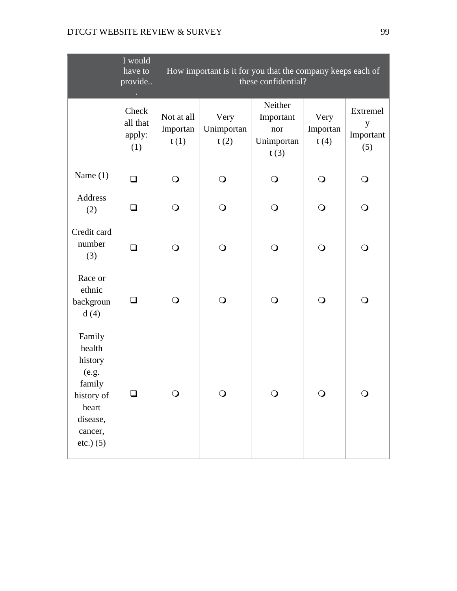|                                                                                                                | I would<br>have to<br>provide      |                                | How important is it for you that the company keeps each of<br>these confidential? |                                                   |                          |                                   |  |
|----------------------------------------------------------------------------------------------------------------|------------------------------------|--------------------------------|-----------------------------------------------------------------------------------|---------------------------------------------------|--------------------------|-----------------------------------|--|
|                                                                                                                | Check<br>all that<br>apply:<br>(1) | Not at all<br>Importan<br>t(1) | Very<br>Unimportan<br>t(2)                                                        | Neither<br>Important<br>nor<br>Unimportan<br>t(3) | Very<br>Importan<br>t(4) | Extremel<br>y<br>Important<br>(5) |  |
| Name $(1)$                                                                                                     | ❏                                  | $\bigcirc$                     | $\bigcirc$                                                                        | $\bigcirc$                                        | $\bigcirc$               | $\bigcirc$                        |  |
| Address<br>(2)                                                                                                 | $\Box$                             | $\bigcirc$                     | $\bigcirc$                                                                        | $\bigcirc$                                        | $\bigcirc$               | $\bigcirc$                        |  |
| Credit card<br>number<br>(3)                                                                                   | $\Box$                             | $\bigcirc$                     | $\bigcirc$                                                                        | $\bigcirc$                                        | $\bigcirc$               | $\bigcirc$                        |  |
| Race or<br>ethnic<br>backgroun<br>d(4)                                                                         | ◻                                  | $\bigcirc$                     | $\bigcirc$                                                                        | $\bigcirc$                                        | $\bigcirc$               | $\bigcirc$                        |  |
| Family<br>health<br>history<br>(e.g.<br>family<br>history of<br>heart<br>disease,<br>cancer,<br>$etc.$ ) $(5)$ | ப                                  | $\bigcirc$                     | $\mathsf{O}$                                                                      | $\bigcirc$                                        | $\bigcirc$               | $\bigcirc$                        |  |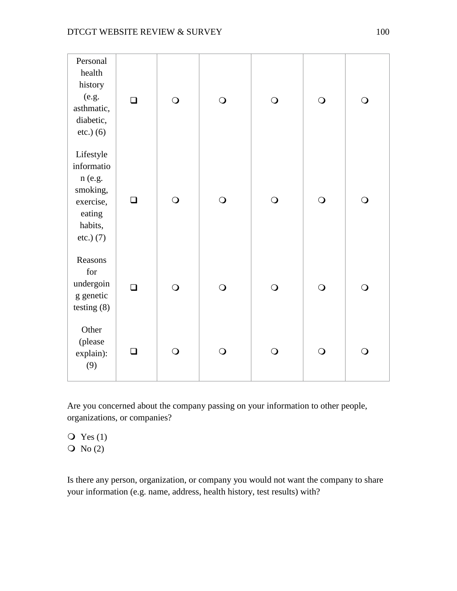| Personal<br>health<br>history<br>(e.g.<br>asthmatic,<br>diabetic,<br>$etc.)$ (6)                   | $\Box$ | $\bigcirc$ | $\bigcirc$ | $\bigcirc$ | $\bigcirc$ | $\bigcirc$ |
|----------------------------------------------------------------------------------------------------|--------|------------|------------|------------|------------|------------|
| Lifestyle<br>informatio<br>n (e.g.<br>smoking,<br>exercise,<br>eating<br>habits,<br>$etc.$ ) $(7)$ | ❏      | $\bigcirc$ | $\bigcirc$ | $\bigcirc$ | $\bigcirc$ | $\bigcirc$ |
| Reasons<br>for<br>undergoin<br>g genetic<br>testing $(8)$                                          | $\Box$ | $\bigcirc$ | $\bigcirc$ | $\bigcirc$ | $\bigcirc$ | $\bigcirc$ |
| Other<br>(please<br>explain):<br>(9)                                                               | П      | $\bigcirc$ | $\bigcirc$ | $\bigcirc$ | $\bigcirc$ | $\bigcirc$ |

Are you concerned about the company passing on your information to other people, organizations, or companies?

 $\overline{Q}$  Yes (1)  $\overline{Q}$  No (2)

Is there any person, organization, or company you would not want the company to share your information (e.g. name, address, health history, test results) with?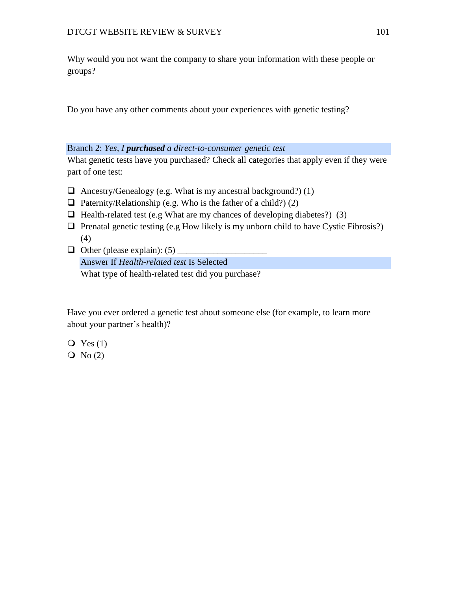Why would you not want the company to share your information with these people or groups?

Do you have any other comments about your experiences with genetic testing?

### Branch 2: *Yes, I purchased a direct-to-consumer genetic test*

What genetic tests have you purchased? Check all categories that apply even if they were part of one test:

- $\Box$  Ancestry/Genealogy (e.g. What is my ancestral background?) (1)
- $\Box$  Paternity/Relationship (e.g. Who is the father of a child?) (2)
- $\Box$  Health-related test (e.g What are my chances of developing diabetes?) (3)
- $\Box$  Prenatal genetic testing (e.g How likely is my unborn child to have Cystic Fibrosis?) (4)
- $\Box$  Other (please explain): (5) Answer If *Health-related test* Is Selected What type of health-related test did you purchase?

Have you ever ordered a genetic test about someone else (for example, to learn more about your partner's health)?

- $Q$  Yes  $(1)$
- $\overline{O}$  No (2)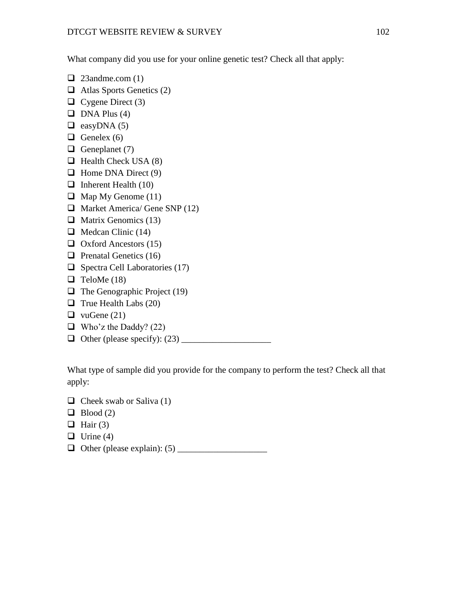What company did you use for your online genetic test? Check all that apply:

- $\Box$  23andme.com (1)
- $\Box$  Atlas Sports Genetics (2)
- $\Box$  Cygene Direct (3)
- $\Box$  DNA Plus (4)
- $\Box$  easyDNA (5)
- $\Box$  Genelex (6)
- Geneplanet  $(7)$
- $\Box$  Health Check USA (8)
- $\Box$  Home DNA Direct (9)
- $\Box$  Inherent Health (10)
- $\Box$  Map My Genome (11)
- $\Box$  Market America/ Gene SNP (12)
- $\Box$  Matrix Genomics (13)
- $\Box$  Medcan Clinic (14)
- $\Box$  Oxford Ancestors (15)
- $\Box$  Prenatal Genetics (16)
- $\Box$  Spectra Cell Laboratories (17)
- $\Box$  TeloMe (18)
- $\Box$  The Genographic Project (19)
- $\Box$  True Health Labs (20)
- $\Box$  vuGene (21)
- $\Box$  Who'z the Daddy? (22)
- Other (please specify): (23) \_\_\_\_\_\_\_\_\_\_\_\_\_\_\_\_\_\_\_\_

What type of sample did you provide for the company to perform the test? Check all that apply:

- $\Box$  Cheek swab or Saliva (1)
- $\Box$  Blood (2)
- $\Box$  Hair (3)
- $\Box$  Urine (4)
- Other (please explain): (5) \_\_\_\_\_\_\_\_\_\_\_\_\_\_\_\_\_\_\_\_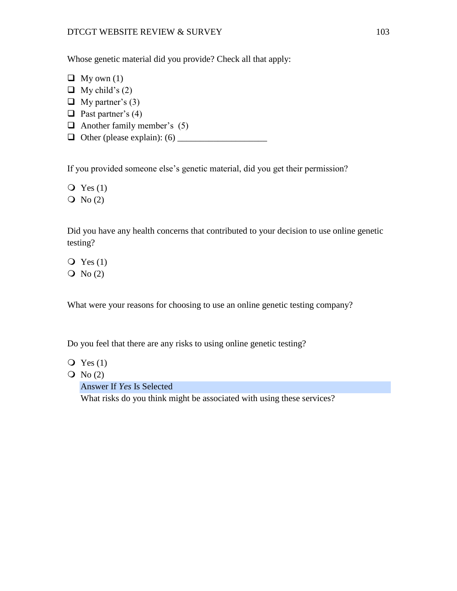Whose genetic material did you provide? Check all that apply:

- $\Box$  My own (1)
- $\Box$  My child's (2)
- $\Box$  My partner's (3)
- $\Box$  Past partner's (4)
- $\Box$  Another family member's (5)
- Other (please explain): (6) \_\_\_\_\_\_\_\_\_\_\_\_\_\_\_\_\_\_\_\_

If you provided someone else's genetic material, did you get their permission?

 $Q$  Yes  $(1)$ 

 $\overline{O}$  No (2)

Did you have any health concerns that contributed to your decision to use online genetic testing?

- $\overline{Q}$  Yes (1)
- $\overline{O}$  No (2)

What were your reasons for choosing to use an online genetic testing company?

Do you feel that there are any risks to using online genetic testing?

- $\overline{Q}$  Yes (1)
- $\overline{Q}$  No (2)

Answer If *Yes* Is Selected

What risks do you think might be associated with using these services?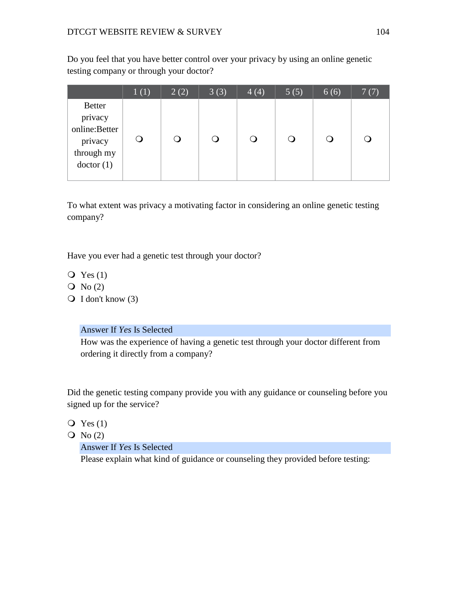Do you feel that you have better control over your privacy by using an online genetic testing company or through your doctor?

|                                                                                 | 1(1) | 2(2) | 3(3) | 4(4) | 5(5) | 6(6) | 7(7) |
|---------------------------------------------------------------------------------|------|------|------|------|------|------|------|
| <b>Better</b><br>privacy<br>online:Better<br>privacy<br>through my<br>doctor(1) |      |      |      |      |      |      | 0    |

To what extent was privacy a motivating factor in considering an online genetic testing company?

Have you ever had a genetic test through your doctor?

- $\overline{Q}$  Yes (1)
- $\overline{Q}$  No (2)
- $\bigcirc$  I don't know (3)

### Answer If *Yes* Is Selected

How was the experience of having a genetic test through your doctor different from ordering it directly from a company?

Did the genetic testing company provide you with any guidance or counseling before you signed up for the service?

- $Q$  Yes  $(1)$
- $\overline{O}$  No (2)

### Answer If *Yes* Is Selected

Please explain what kind of guidance or counseling they provided before testing: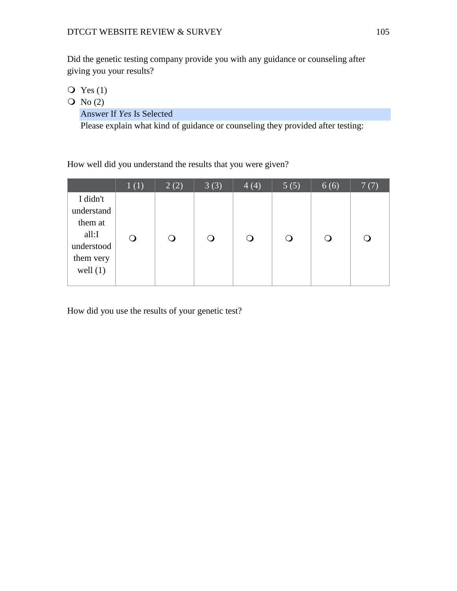Did the genetic testing company provide you with any guidance or counseling after giving you your results?

- $\overline{Q}$  Yes (1)
- $\overline{Q}$  No (2)

Answer If *Yes* Is Selected

Please explain what kind of guidance or counseling they provided after testing:

How well did you understand the results that you were given?

|                                                                                     | 1(1) | 2(2) | 3(3) | 4(4)   | 5(5) | 6(6) | 7(7) |
|-------------------------------------------------------------------------------------|------|------|------|--------|------|------|------|
| I didn't<br>understand<br>them at<br>all:I<br>understood<br>them very<br>well $(1)$ | O    |      |      | $\cup$ | Ő    |      |      |

How did you use the results of your genetic test?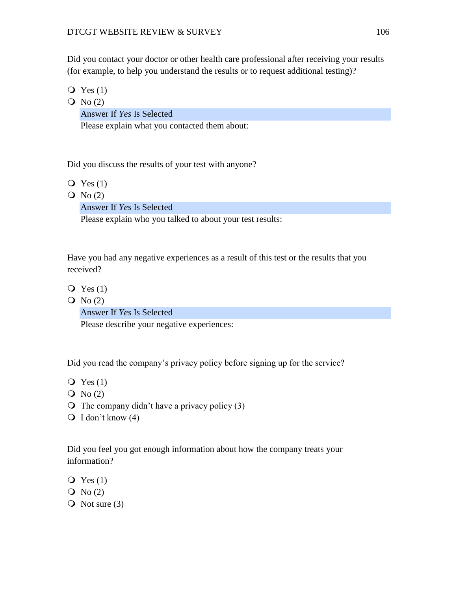Did you contact your doctor or other health care professional after receiving your results (for example, to help you understand the results or to request additional testing)?

- $Q$  Yes  $(1)$
- $\overline{Q}$  No (2)

Answer If *Yes* Is Selected

Please explain what you contacted them about:

Did you discuss the results of your test with anyone?

- $Q$  Yes  $(1)$
- $\overline{O}$  No (2)

Answer If *Yes* Is Selected

Please explain who you talked to about your test results:

Have you had any negative experiences as a result of this test or the results that you received?

- $Q$  Yes  $(1)$
- $\overline{O}$  No (2)

Answer If *Yes* Is Selected

Please describe your negative experiences:

Did you read the company's privacy policy before signing up for the service?

- $Q$  Yes  $(1)$
- $\overline{O}$  No (2)
- $\overline{O}$  The company didn't have a privacy policy (3)
- $\bigcirc$  I don't know (4)

Did you feel you got enough information about how the company treats your information?

- $Q$  Yes  $(1)$
- $\overline{Q}$  No (2)
- $\overline{O}$  Not sure (3)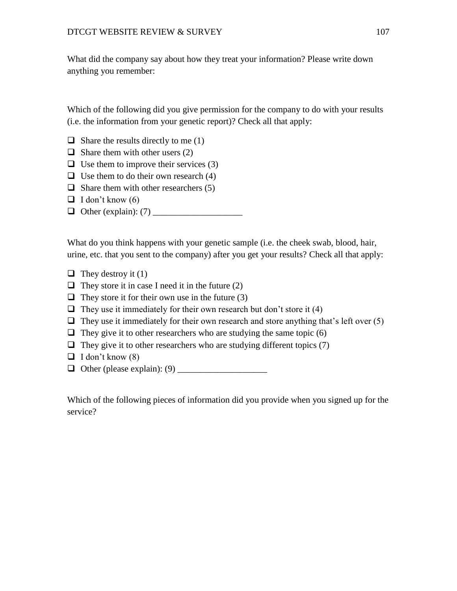What did the company say about how they treat your information? Please write down anything you remember:

Which of the following did you give permission for the company to do with your results (i.e. the information from your genetic report)? Check all that apply:

- $\Box$  Share the results directly to me (1)
- $\Box$  Share them with other users (2)
- $\Box$  Use them to improve their services (3)
- $\Box$  Use them to do their own research (4)
- $\Box$  Share them with other researchers (5)
- $\Box$  I don't know (6)
- $\Box$  Other (explain): (7)

What do you think happens with your genetic sample (i.e. the cheek swab, blood, hair, urine, etc. that you sent to the company) after you get your results? Check all that apply:

- $\Box$  They destroy it (1)
- $\Box$  They store it in case I need it in the future (2)
- $\Box$  They store it for their own use in the future (3)
- $\Box$  They use it immediately for their own research but don't store it (4)
- $\Box$  They use it immediately for their own research and store anything that's left over (5)
- $\Box$  They give it to other researchers who are studying the same topic (6)
- $\Box$  They give it to other researchers who are studying different topics (7)
- $\Box$  I don't know (8)
- Other (please explain): (9) \_\_\_\_\_\_\_\_\_\_\_\_\_\_\_\_\_\_\_\_

Which of the following pieces of information did you provide when you signed up for the service?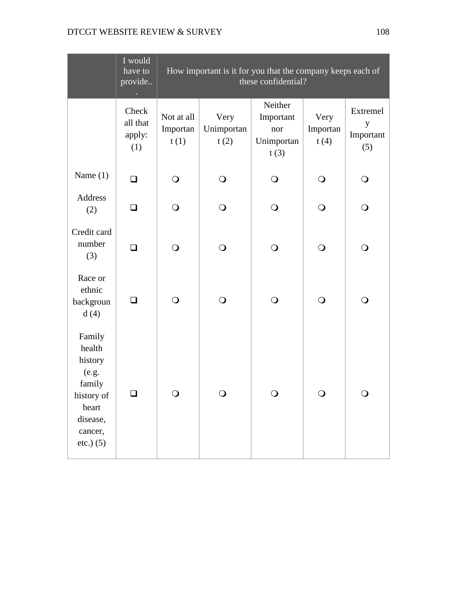|                                                                                                                | I would<br>have to<br>provide      | How important is it for you that the company keeps each of<br>these confidential? |                            |                                                   |                          |                                   |
|----------------------------------------------------------------------------------------------------------------|------------------------------------|-----------------------------------------------------------------------------------|----------------------------|---------------------------------------------------|--------------------------|-----------------------------------|
|                                                                                                                | Check<br>all that<br>apply:<br>(1) | Not at all<br>Importan<br>t(1)                                                    | Very<br>Unimportan<br>t(2) | Neither<br>Important<br>nor<br>Unimportan<br>t(3) | Very<br>Importan<br>t(4) | Extremel<br>y<br>Important<br>(5) |
| Name $(1)$                                                                                                     | ❏                                  | $\bigcirc$                                                                        | $\bigcirc$                 | $\bigcirc$                                        | $\bigcirc$               | $\bigcirc$                        |
| Address<br>(2)                                                                                                 | $\Box$                             | $\bigcirc$                                                                        | $\bigcirc$                 | $\bigcirc$                                        | $\bigcirc$               | $\bigcirc$                        |
| Credit card<br>number<br>(3)                                                                                   | $\Box$                             | $\bigcirc$                                                                        | $\bigcirc$                 | $\bigcirc$                                        | $\bigcirc$               | $\bigcirc$                        |
| Race or<br>ethnic<br>backgroun<br>d(4)                                                                         | ❏                                  | $\bigcirc$                                                                        | $\bigcirc$                 | $\bigcirc$                                        | $\bigcirc$               | O                                 |
| Family<br>health<br>history<br>(e.g.<br>family<br>history of<br>heart<br>disease,<br>cancer,<br>$etc.$ ) $(5)$ | ப                                  | $\bigcirc$                                                                        | $\mathsf{O}$               | $\bigcirc$                                        | $\bigcirc$               | $\bigcirc$                        |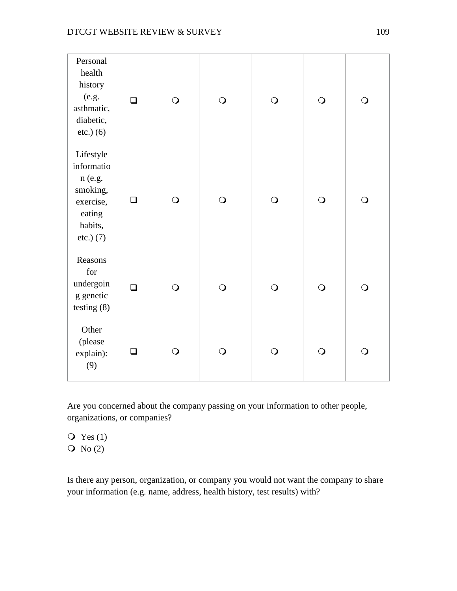| Personal<br>health<br>history<br>(e.g.<br>asthmatic,<br>diabetic,<br>$etc.)$ (6)                   | $\Box$ | $\bigcirc$ | $\bigcirc$ | $\bigcirc$ | $\bigcirc$ | $\bigcirc$ |
|----------------------------------------------------------------------------------------------------|--------|------------|------------|------------|------------|------------|
| Lifestyle<br>informatio<br>n (e.g.<br>smoking,<br>exercise,<br>eating<br>habits,<br>$etc.$ ) $(7)$ | ❏      | $\bigcirc$ | $\bigcirc$ | $\bigcirc$ | $\bigcirc$ | $\bigcirc$ |
| Reasons<br>for<br>undergoin<br>g genetic<br>testing $(8)$                                          | $\Box$ | $\bigcirc$ | $\bigcirc$ | $\bigcirc$ | $\bigcirc$ | $\bigcirc$ |
| Other<br>(please<br>explain):<br>(9)                                                               | П      | $\bigcirc$ | $\bigcirc$ | $\bigcirc$ | $\bigcirc$ | $\bigcirc$ |

Are you concerned about the company passing on your information to other people, organizations, or companies?

 $\overline{Q}$  Yes (1)  $\overline{Q}$  No (2)

Is there any person, organization, or company you would not want the company to share your information (e.g. name, address, health history, test results) with?